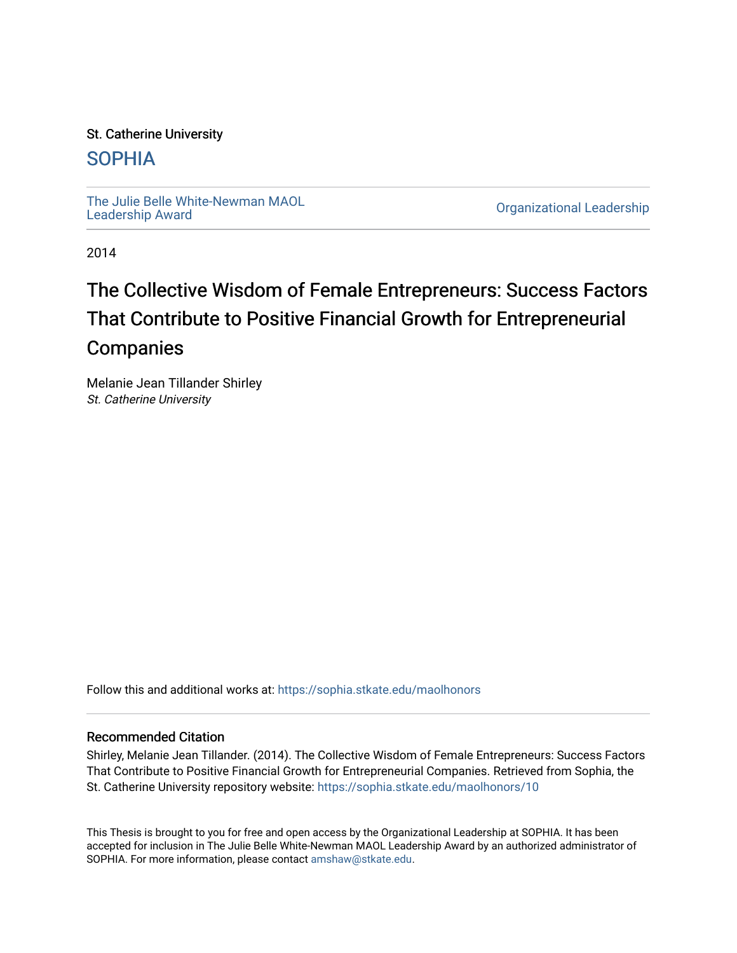# St. Catherine University

# [SOPHIA](https://sophia.stkate.edu/)

[The Julie Belle White-Newman MAOL](https://sophia.stkate.edu/maolhonors)<br>Leadership Award

**Organizational Leadership** 

2014

# The Collective Wisdom of Female Entrepreneurs: Success Factors That Contribute to Positive Financial Growth for Entrepreneurial **Companies**

Melanie Jean Tillander Shirley St. Catherine University

Follow this and additional works at: [https://sophia.stkate.edu/maolhonors](https://sophia.stkate.edu/maolhonors?utm_source=sophia.stkate.edu%2Fmaolhonors%2F10&utm_medium=PDF&utm_campaign=PDFCoverPages) 

## Recommended Citation

Shirley, Melanie Jean Tillander. (2014). The Collective Wisdom of Female Entrepreneurs: Success Factors That Contribute to Positive Financial Growth for Entrepreneurial Companies. Retrieved from Sophia, the St. Catherine University repository website: [https://sophia.stkate.edu/maolhonors/10](https://sophia.stkate.edu/maolhonors/10?utm_source=sophia.stkate.edu%2Fmaolhonors%2F10&utm_medium=PDF&utm_campaign=PDFCoverPages) 

This Thesis is brought to you for free and open access by the Organizational Leadership at SOPHIA. It has been accepted for inclusion in The Julie Belle White-Newman MAOL Leadership Award by an authorized administrator of SOPHIA. For more information, please contact [amshaw@stkate.edu](mailto:amshaw@stkate.edu).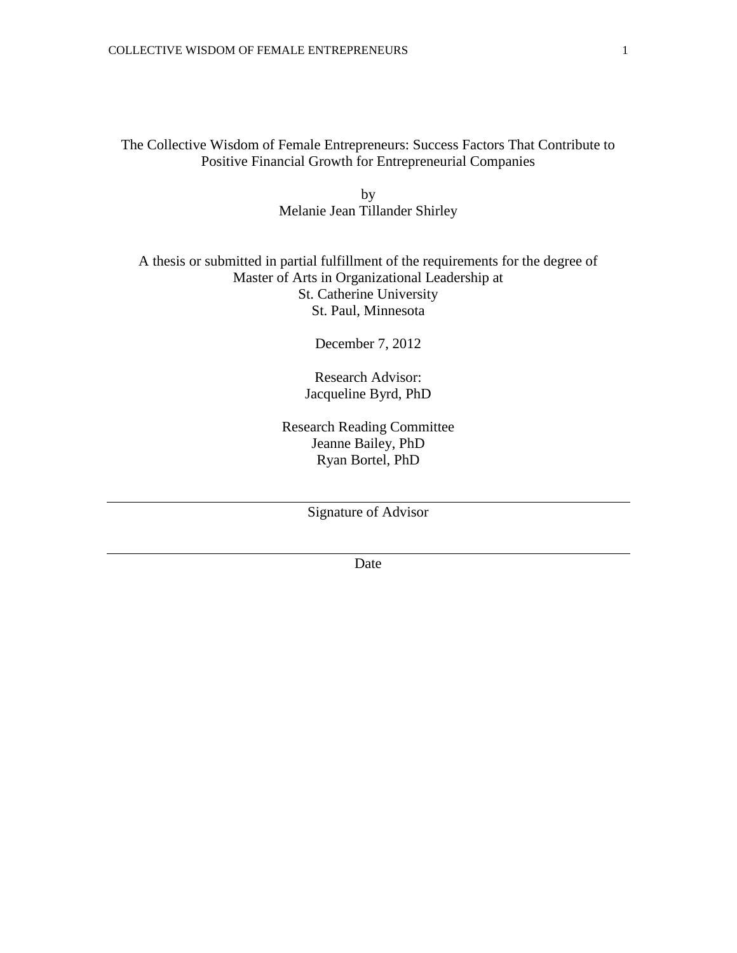The Collective Wisdom of Female Entrepreneurs: Success Factors That Contribute to Positive Financial Growth for Entrepreneurial Companies

> by Melanie Jean Tillander Shirley

# A thesis or submitted in partial fulfillment of the requirements for the degree of Master of Arts in Organizational Leadership at St. Catherine University St. Paul, Minnesota

December 7, 2012

Research Advisor: Jacqueline Byrd, PhD

Research Reading Committee Jeanne Bailey, PhD Ryan Bortel, PhD

Signature of Advisor

Date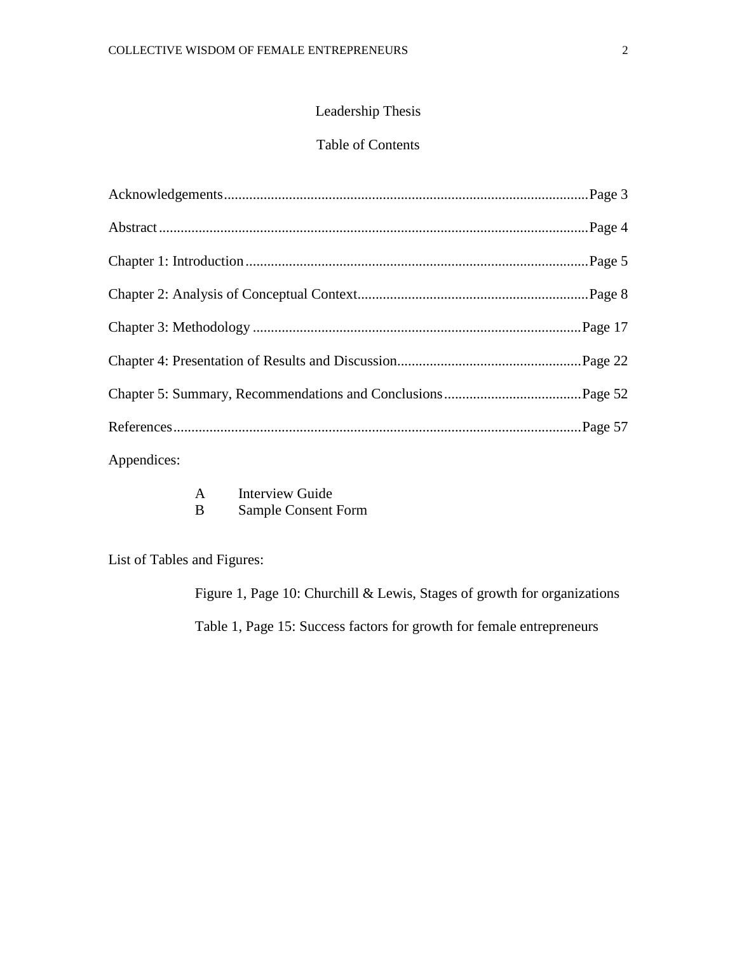# Leadership Thesis

# Table of Contents

| the contract of the contract of the contract of the contract of the contract of the contract of the contract of |  |
|-----------------------------------------------------------------------------------------------------------------|--|

Appendices:

B Sample Consent Form

List of Tables and Figures:

Figure 1, Page 10: Churchill & Lewis, Stages of growth for organizations

Table 1, Page 15: Success factors for growth for female entrepreneurs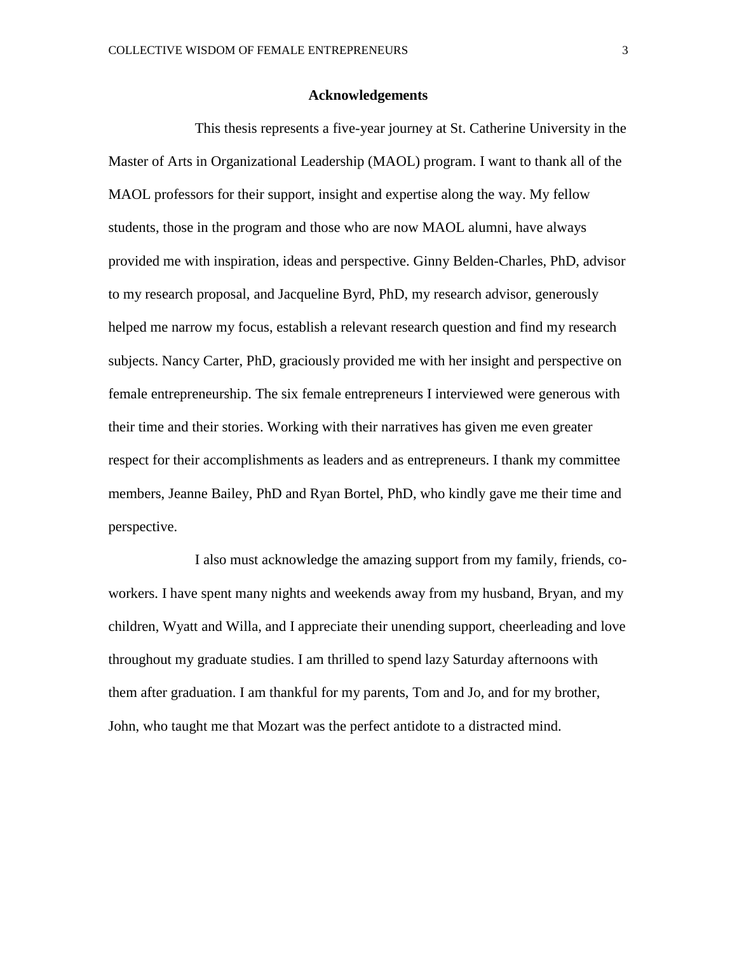#### **Acknowledgements**

This thesis represents a five-year journey at St. Catherine University in the Master of Arts in Organizational Leadership (MAOL) program. I want to thank all of the MAOL professors for their support, insight and expertise along the way. My fellow students, those in the program and those who are now MAOL alumni, have always provided me with inspiration, ideas and perspective. Ginny Belden-Charles, PhD, advisor to my research proposal, and Jacqueline Byrd, PhD, my research advisor, generously helped me narrow my focus, establish a relevant research question and find my research subjects. Nancy Carter, PhD, graciously provided me with her insight and perspective on female entrepreneurship. The six female entrepreneurs I interviewed were generous with their time and their stories. Working with their narratives has given me even greater respect for their accomplishments as leaders and as entrepreneurs. I thank my committee members, Jeanne Bailey, PhD and Ryan Bortel, PhD, who kindly gave me their time and perspective.

I also must acknowledge the amazing support from my family, friends, coworkers. I have spent many nights and weekends away from my husband, Bryan, and my children, Wyatt and Willa, and I appreciate their unending support, cheerleading and love throughout my graduate studies. I am thrilled to spend lazy Saturday afternoons with them after graduation. I am thankful for my parents, Tom and Jo, and for my brother, John, who taught me that Mozart was the perfect antidote to a distracted mind.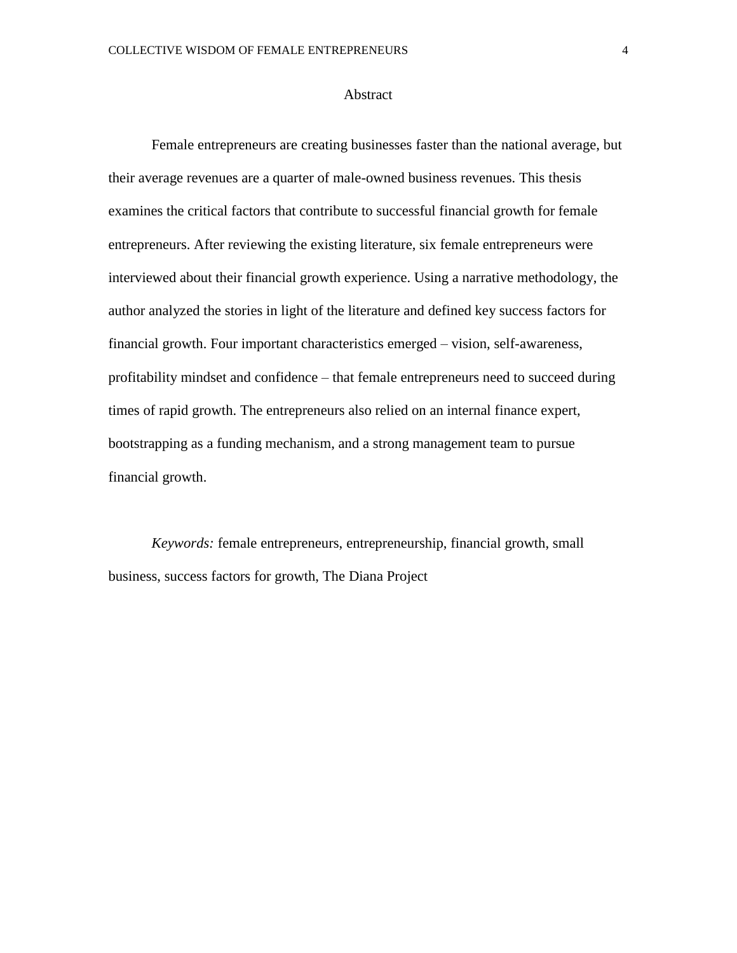#### Abstract

Female entrepreneurs are creating businesses faster than the national average, but their average revenues are a quarter of male-owned business revenues. This thesis examines the critical factors that contribute to successful financial growth for female entrepreneurs. After reviewing the existing literature, six female entrepreneurs were interviewed about their financial growth experience. Using a narrative methodology, the author analyzed the stories in light of the literature and defined key success factors for financial growth. Four important characteristics emerged – vision, self-awareness, profitability mindset and confidence – that female entrepreneurs need to succeed during times of rapid growth. The entrepreneurs also relied on an internal finance expert, bootstrapping as a funding mechanism, and a strong management team to pursue financial growth.

*Keywords:* female entrepreneurs, entrepreneurship, financial growth, small business, success factors for growth, The Diana Project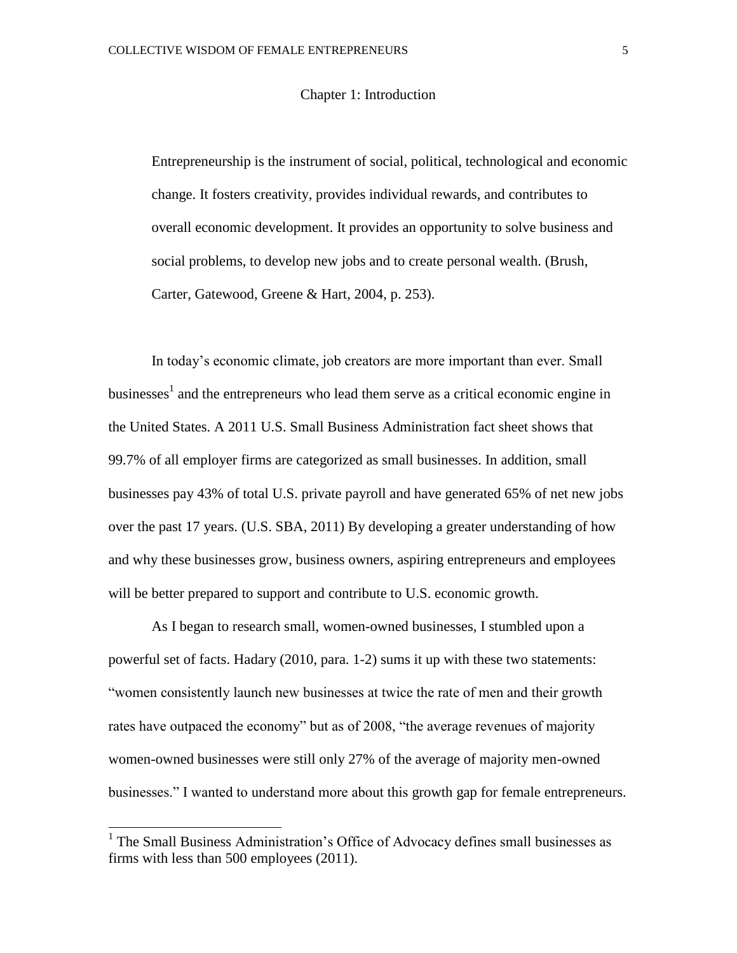#### Chapter 1: Introduction

Entrepreneurship is the instrument of social, political, technological and economic change. It fosters creativity, provides individual rewards, and contributes to overall economic development. It provides an opportunity to solve business and social problems, to develop new jobs and to create personal wealth. (Brush, Carter, Gatewood, Greene & Hart, 2004, p. 253).

In today's economic climate, job creators are more important than ever. Small businesses<sup>1</sup> and the entrepreneurs who lead them serve as a critical economic engine in the United States. A 2011 U.S. Small Business Administration fact sheet shows that 99.7% of all employer firms are categorized as small businesses. In addition, small businesses pay 43% of total U.S. private payroll and have generated 65% of net new jobs over the past 17 years. (U.S. SBA, 2011) By developing a greater understanding of how and why these businesses grow, business owners, aspiring entrepreneurs and employees will be better prepared to support and contribute to U.S. economic growth.

As I began to research small, women-owned businesses, I stumbled upon a powerful set of facts. Hadary (2010, para. 1-2) sums it up with these two statements: "women consistently launch new businesses at twice the rate of men and their growth rates have outpaced the economy" but as of 2008, "the average revenues of majority women-owned businesses were still only 27% of the average of majority men-owned businesses." I wanted to understand more about this growth gap for female entrepreneurs.

<sup>&</sup>lt;sup>1</sup> The Small Business Administration's Office of Advocacy defines small businesses as firms with less than 500 employees (2011).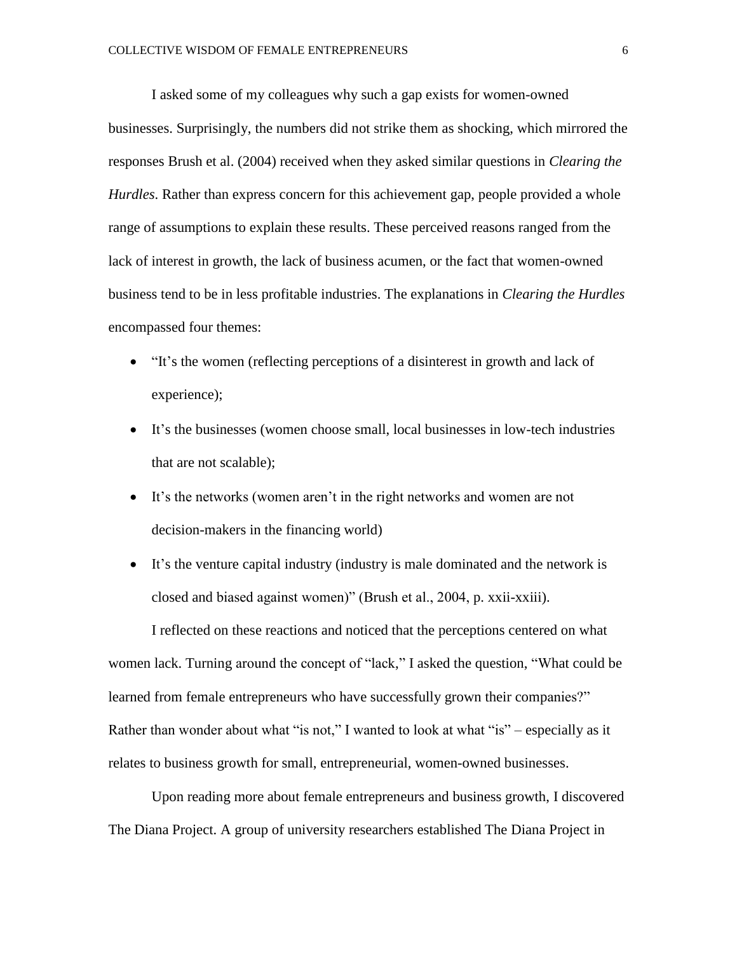I asked some of my colleagues why such a gap exists for women-owned businesses. Surprisingly, the numbers did not strike them as shocking, which mirrored the responses Brush et al. (2004) received when they asked similar questions in *Clearing the Hurdles*. Rather than express concern for this achievement gap, people provided a whole range of assumptions to explain these results. These perceived reasons ranged from the lack of interest in growth, the lack of business acumen, or the fact that women-owned business tend to be in less profitable industries. The explanations in *Clearing the Hurdles* encompassed four themes:

- "It's the women (reflecting perceptions of a disinterest in growth and lack of experience);
- It's the businesses (women choose small, local businesses in low-tech industries that are not scalable);
- It's the networks (women aren't in the right networks and women are not decision-makers in the financing world)
- It's the venture capital industry (industry is male dominated and the network is closed and biased against women)" (Brush et al., 2004, p. xxii-xxiii).

I reflected on these reactions and noticed that the perceptions centered on what women lack. Turning around the concept of "lack," I asked the question, "What could be learned from female entrepreneurs who have successfully grown their companies?" Rather than wonder about what "is not," I wanted to look at what "is" – especially as it relates to business growth for small, entrepreneurial, women-owned businesses.

Upon reading more about female entrepreneurs and business growth, I discovered The Diana Project. A group of university researchers established The Diana Project in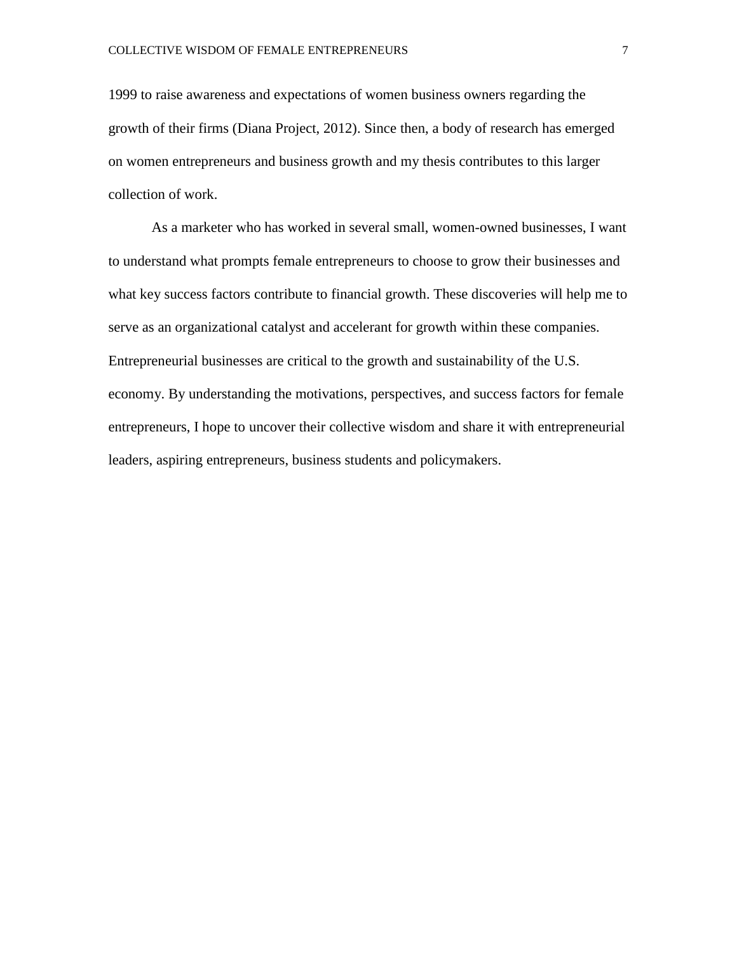1999 to raise awareness and expectations of women business owners regarding the growth of their firms (Diana Project, 2012). Since then, a body of research has emerged on women entrepreneurs and business growth and my thesis contributes to this larger collection of work.

As a marketer who has worked in several small, women-owned businesses, I want to understand what prompts female entrepreneurs to choose to grow their businesses and what key success factors contribute to financial growth. These discoveries will help me to serve as an organizational catalyst and accelerant for growth within these companies. Entrepreneurial businesses are critical to the growth and sustainability of the U.S. economy. By understanding the motivations, perspectives, and success factors for female entrepreneurs, I hope to uncover their collective wisdom and share it with entrepreneurial leaders, aspiring entrepreneurs, business students and policymakers.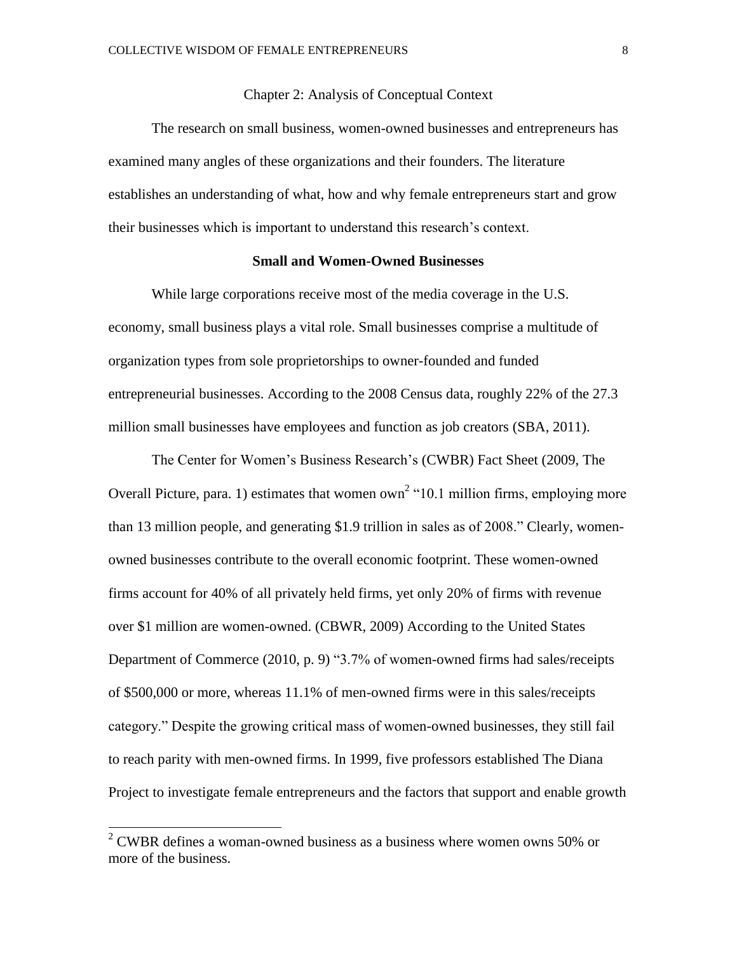Chapter 2: Analysis of Conceptual Context

The research on small business, women-owned businesses and entrepreneurs has examined many angles of these organizations and their founders. The literature establishes an understanding of what, how and why female entrepreneurs start and grow their businesses which is important to understand this research's context.

#### **Small and Women-Owned Businesses**

While large corporations receive most of the media coverage in the U.S. economy, small business plays a vital role. Small businesses comprise a multitude of organization types from sole proprietorships to owner-founded and funded entrepreneurial businesses. According to the 2008 Census data, roughly 22% of the 27.3 million small businesses have employees and function as job creators (SBA, 2011).

The Center for Women's Business Research's (CWBR) Fact Sheet (2009, The Overall Picture, para. 1) estimates that women  $own<sup>2</sup>$  "10.1 million firms, employing more than 13 million people, and generating \$1.9 trillion in sales as of 2008." Clearly, womenowned businesses contribute to the overall economic footprint. These women-owned firms account for 40% of all privately held firms, yet only 20% of firms with revenue over \$1 million are women-owned. (CBWR, 2009) According to the United States Department of Commerce (2010, p. 9) "3.7% of women-owned firms had sales/receipts of \$500,000 or more, whereas 11.1% of men-owned firms were in this sales/receipts category." Despite the growing critical mass of women-owned businesses, they still fail to reach parity with men-owned firms. In 1999, five professors established The Diana Project to investigate female entrepreneurs and the factors that support and enable growth

 $\overline{a}$ 

 $2^2$  CWBR defines a woman-owned business as a business where women owns 50% or more of the business.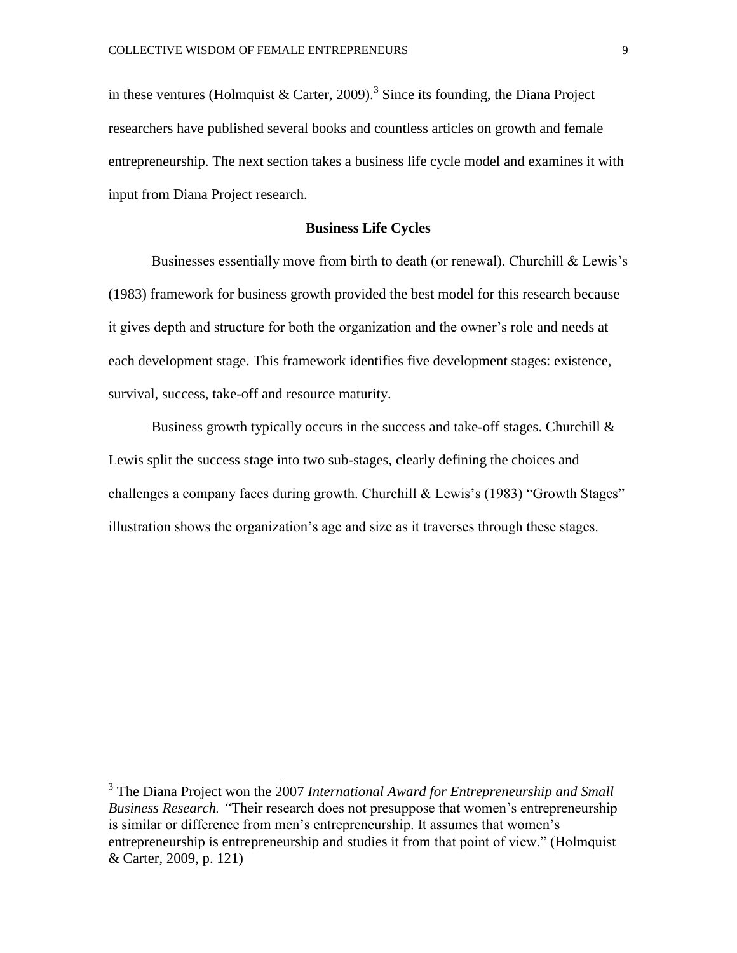in these ventures (Holmquist & Carter, 2009).<sup>3</sup> Since its founding, the Diana Project researchers have published several books and countless articles on growth and female entrepreneurship. The next section takes a business life cycle model and examines it with input from Diana Project research.

#### **Business Life Cycles**

Businesses essentially move from birth to death (or renewal). Churchill & Lewis's (1983) framework for business growth provided the best model for this research because it gives depth and structure for both the organization and the owner's role and needs at each development stage. This framework identifies five development stages: existence, survival, success, take-off and resource maturity.

Business growth typically occurs in the success and take-off stages. Churchill  $\&$ Lewis split the success stage into two sub-stages, clearly defining the choices and challenges a company faces during growth. Churchill & Lewis's (1983) "Growth Stages" illustration shows the organization's age and size as it traverses through these stages.

 3 The Diana Project won the 2007 *International Award for Entrepreneurship and Small Business Research. "*Their research does not presuppose that women's entrepreneurship is similar or difference from men's entrepreneurship. It assumes that women's entrepreneurship is entrepreneurship and studies it from that point of view." (Holmquist & Carter, 2009, p. 121)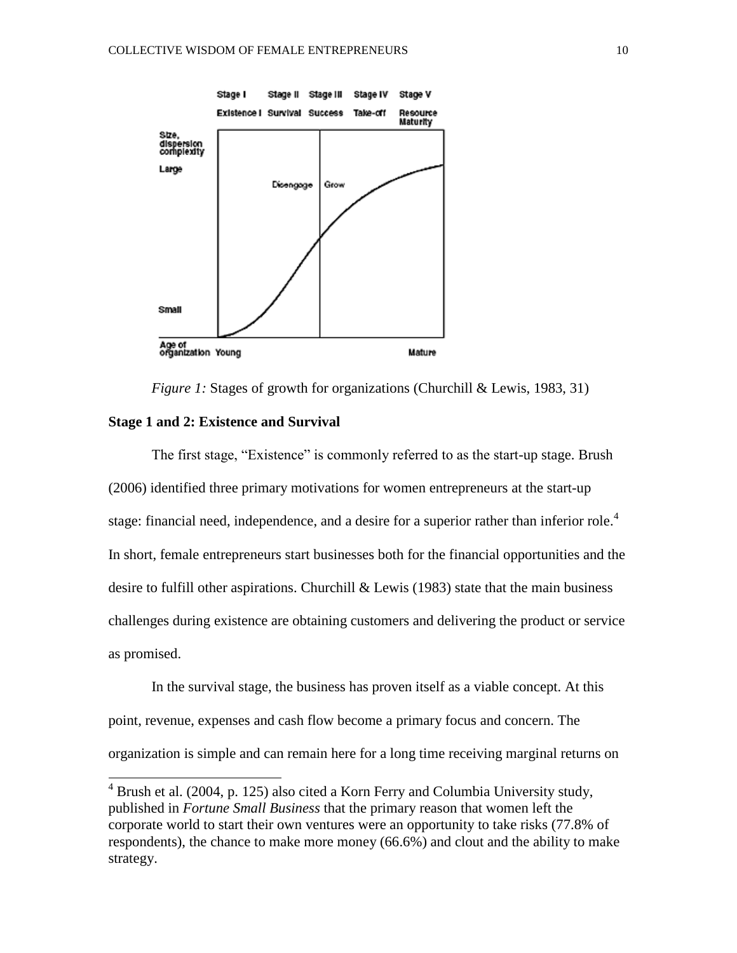

*Figure 1:* Stages of growth for organizations (Churchill & Lewis, 1983, 31)

#### **Stage 1 and 2: Existence and Survival**

 $\overline{a}$ 

The first stage, "Existence" is commonly referred to as the start-up stage. Brush (2006) identified three primary motivations for women entrepreneurs at the start-up stage: financial need, independence, and a desire for a superior rather than inferior role.<sup>4</sup> In short, female entrepreneurs start businesses both for the financial opportunities and the desire to fulfill other aspirations. Churchill  $\&$  Lewis (1983) state that the main business challenges during existence are obtaining customers and delivering the product or service as promised.

In the survival stage, the business has proven itself as a viable concept. At this point, revenue, expenses and cash flow become a primary focus and concern. The organization is simple and can remain here for a long time receiving marginal returns on

 $4$  Brush et al. (2004, p. 125) also cited a Korn Ferry and Columbia University study, published in *Fortune Small Business* that the primary reason that women left the corporate world to start their own ventures were an opportunity to take risks (77.8% of respondents), the chance to make more money (66.6%) and clout and the ability to make strategy.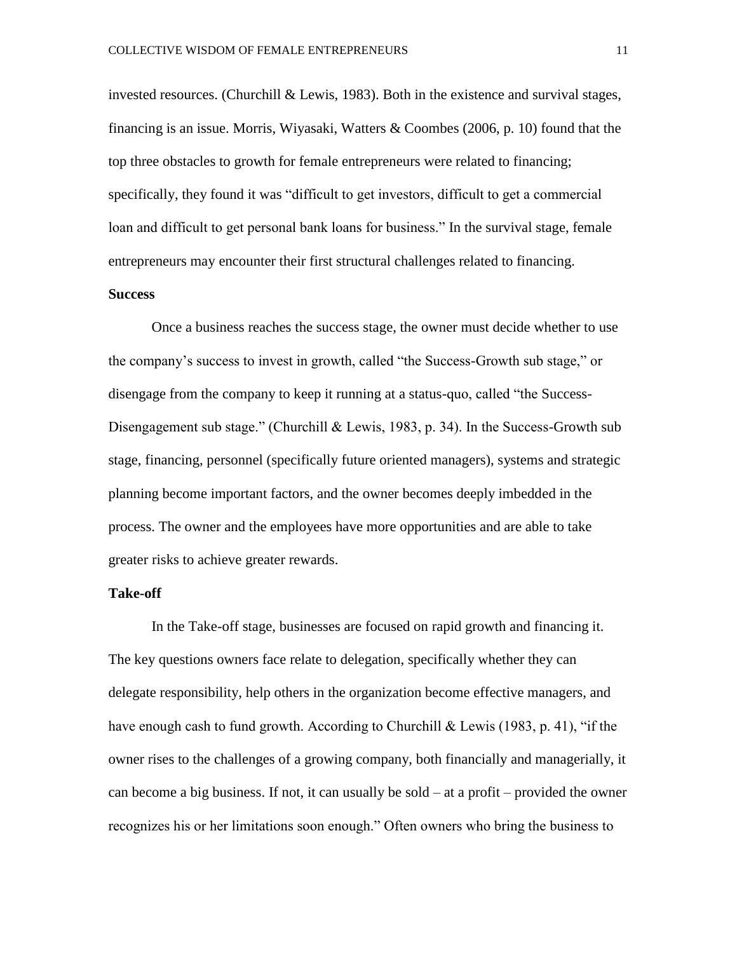invested resources. (Churchill  $& Lewis, 1983$ ). Both in the existence and survival stages, financing is an issue. Morris, Wiyasaki, Watters & Coombes (2006, p. 10) found that the top three obstacles to growth for female entrepreneurs were related to financing; specifically, they found it was "difficult to get investors, difficult to get a commercial loan and difficult to get personal bank loans for business." In the survival stage, female entrepreneurs may encounter their first structural challenges related to financing.

# **Success**

Once a business reaches the success stage, the owner must decide whether to use the company's success to invest in growth, called "the Success-Growth sub stage," or disengage from the company to keep it running at a status-quo, called "the Success-Disengagement sub stage." (Churchill & Lewis, 1983, p. 34). In the Success-Growth sub stage, financing, personnel (specifically future oriented managers), systems and strategic planning become important factors, and the owner becomes deeply imbedded in the process. The owner and the employees have more opportunities and are able to take greater risks to achieve greater rewards.

#### **Take-off**

In the Take-off stage, businesses are focused on rapid growth and financing it. The key questions owners face relate to delegation, specifically whether they can delegate responsibility, help others in the organization become effective managers, and have enough cash to fund growth. According to Churchill & Lewis (1983, p. 41), "if the owner rises to the challenges of a growing company, both financially and managerially, it can become a big business. If not, it can usually be sold  $-$  at a profit  $-$  provided the owner recognizes his or her limitations soon enough." Often owners who bring the business to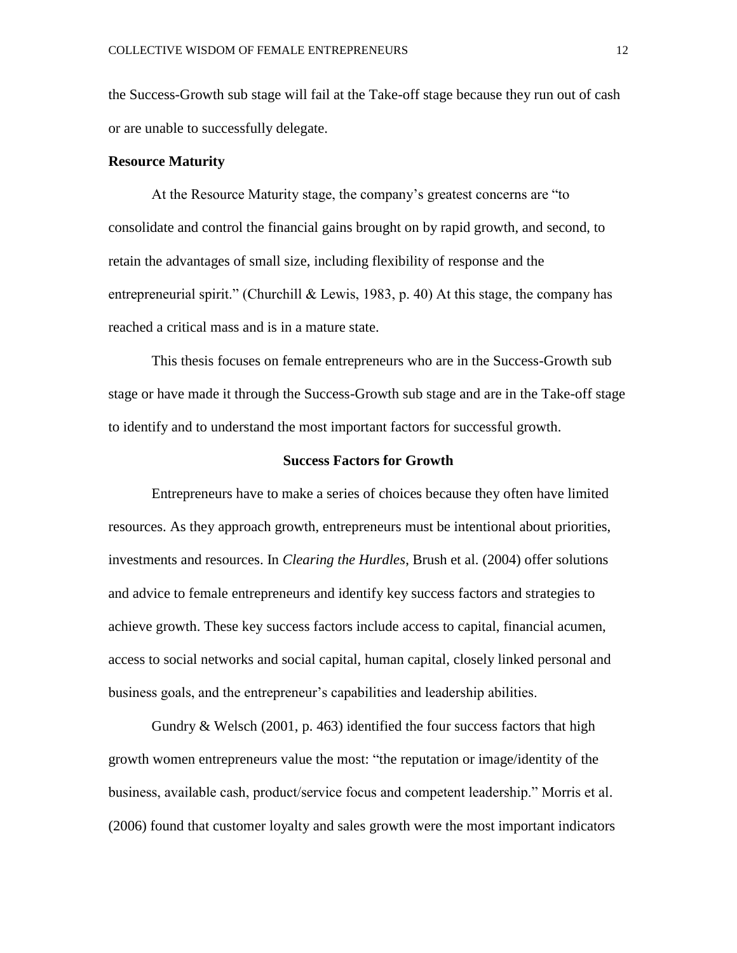the Success-Growth sub stage will fail at the Take-off stage because they run out of cash or are unable to successfully delegate.

#### **Resource Maturity**

At the Resource Maturity stage, the company's greatest concerns are "to consolidate and control the financial gains brought on by rapid growth, and second, to retain the advantages of small size, including flexibility of response and the entrepreneurial spirit." (Churchill & Lewis, 1983, p. 40) At this stage, the company has reached a critical mass and is in a mature state.

This thesis focuses on female entrepreneurs who are in the Success-Growth sub stage or have made it through the Success-Growth sub stage and are in the Take-off stage to identify and to understand the most important factors for successful growth.

#### **Success Factors for Growth**

Entrepreneurs have to make a series of choices because they often have limited resources. As they approach growth, entrepreneurs must be intentional about priorities, investments and resources. In *Clearing the Hurdles*, Brush et al. (2004) offer solutions and advice to female entrepreneurs and identify key success factors and strategies to achieve growth. These key success factors include access to capital, financial acumen, access to social networks and social capital, human capital, closely linked personal and business goals, and the entrepreneur's capabilities and leadership abilities.

Gundry & Welsch (2001, p. 463) identified the four success factors that high growth women entrepreneurs value the most: "the reputation or image/identity of the business, available cash, product/service focus and competent leadership." Morris et al. (2006) found that customer loyalty and sales growth were the most important indicators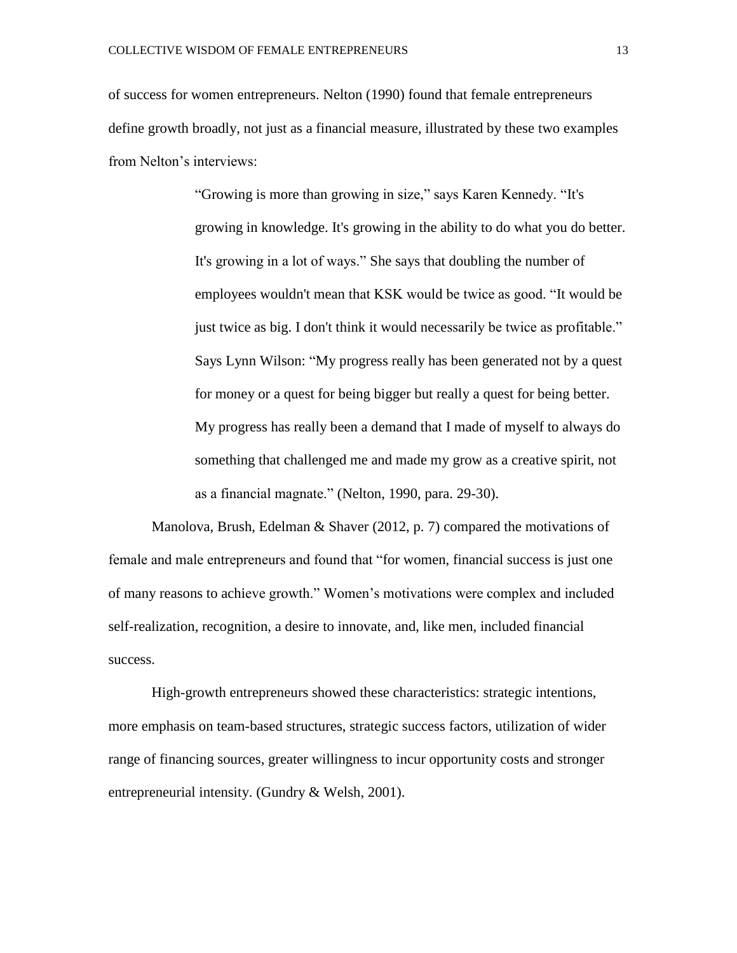of success for women entrepreneurs. Nelton (1990) found that female entrepreneurs define growth broadly, not just as a financial measure, illustrated by these two examples from Nelton's interviews:

> "Growing is more than growing in size," says Karen Kennedy. "It's growing in knowledge. It's growing in the ability to do what you do better. It's growing in a lot of ways." She says that doubling the number of employees wouldn't mean that KSK would be twice as good. "It would be just twice as big. I don't think it would necessarily be twice as profitable." Says Lynn Wilson: "My progress really has been generated not by a quest for money or a quest for being bigger but really a quest for being better. My progress has really been a demand that I made of myself to always do something that challenged me and made my grow as a creative spirit, not as a financial magnate." (Nelton, 1990, para. 29-30).

Manolova, Brush, Edelman & Shaver (2012, p. 7) compared the motivations of female and male entrepreneurs and found that "for women, financial success is just one of many reasons to achieve growth." Women's motivations were complex and included self-realization, recognition, a desire to innovate, and, like men, included financial success.

High-growth entrepreneurs showed these characteristics: strategic intentions, more emphasis on team-based structures, strategic success factors, utilization of wider range of financing sources, greater willingness to incur opportunity costs and stronger entrepreneurial intensity. (Gundry & Welsh, 2001).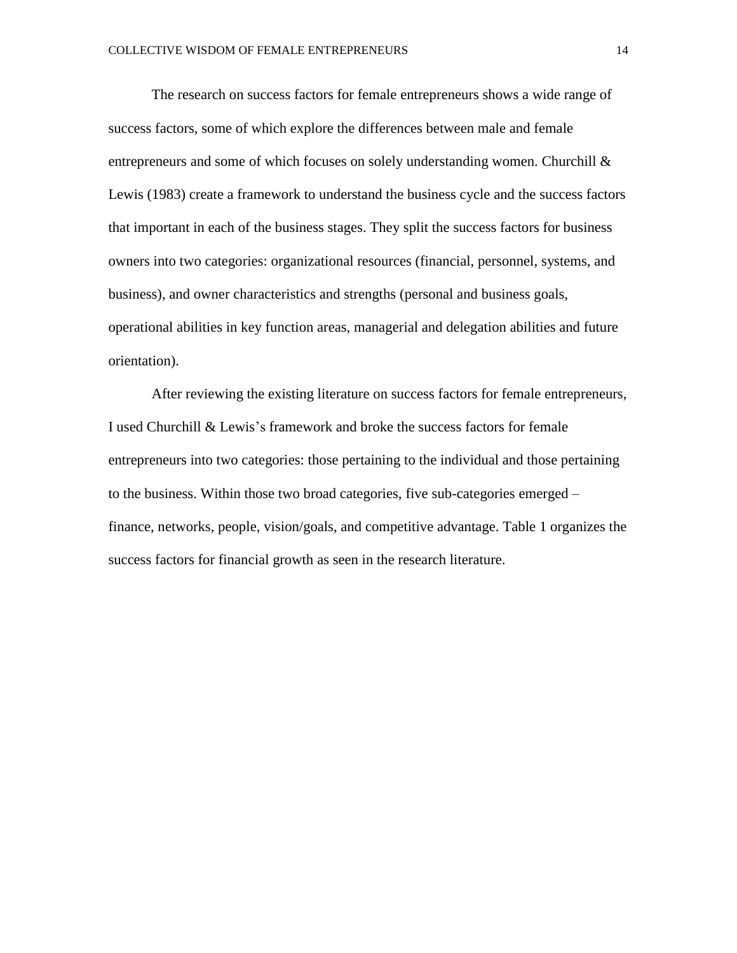The research on success factors for female entrepreneurs shows a wide range of success factors, some of which explore the differences between male and female entrepreneurs and some of which focuses on solely understanding women. Churchill  $\&$ Lewis (1983) create a framework to understand the business cycle and the success factors that important in each of the business stages. They split the success factors for business owners into two categories: organizational resources (financial, personnel, systems, and business), and owner characteristics and strengths (personal and business goals, operational abilities in key function areas, managerial and delegation abilities and future orientation).

After reviewing the existing literature on success factors for female entrepreneurs, I used Churchill & Lewis's framework and broke the success factors for female entrepreneurs into two categories: those pertaining to the individual and those pertaining to the business. Within those two broad categories, five sub-categories emerged – finance, networks, people, vision/goals, and competitive advantage. Table 1 organizes the success factors for financial growth as seen in the research literature.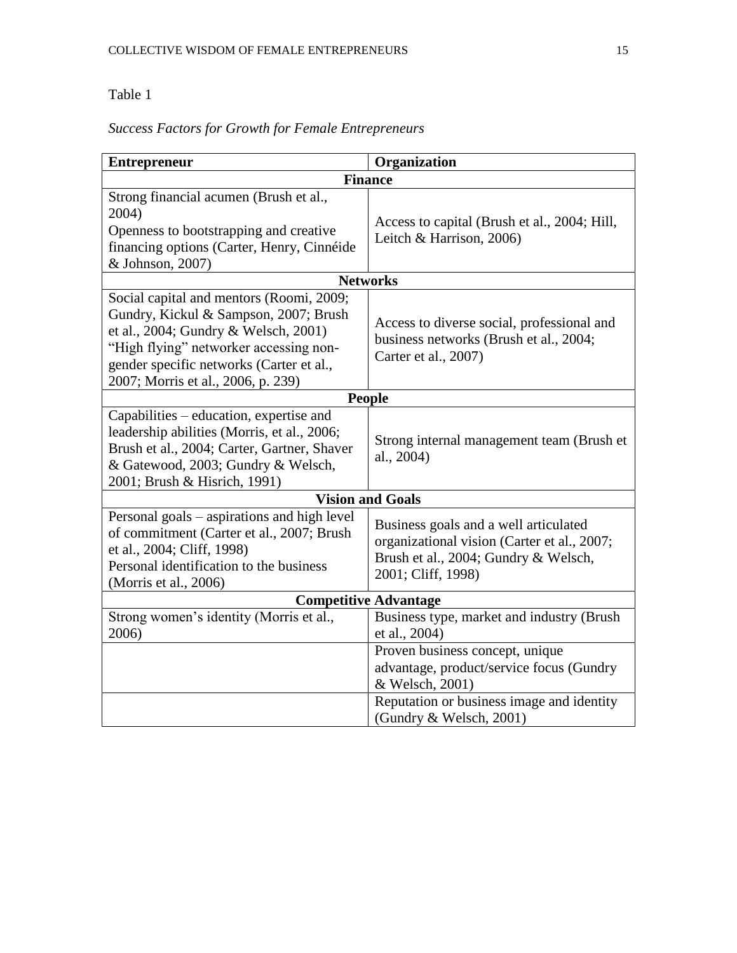# Table 1

| <b>Finance</b>                                                                                                                                                                                                                       |  |
|--------------------------------------------------------------------------------------------------------------------------------------------------------------------------------------------------------------------------------------|--|
| Access to capital (Brush et al., 2004; Hill,<br>Leitch & Harrison, 2006)                                                                                                                                                             |  |
| <b>Networks</b>                                                                                                                                                                                                                      |  |
| Access to diverse social, professional and<br>business networks (Brush et al., 2004;<br>Carter et al., 2007)                                                                                                                         |  |
| <b>People</b>                                                                                                                                                                                                                        |  |
| Strong internal management team (Brush et<br>al., 2004)                                                                                                                                                                              |  |
| 2001; Brush & Hisrich, 1991)<br><b>Vision and Goals</b>                                                                                                                                                                              |  |
| Business goals and a well articulated<br>organizational vision (Carter et al., 2007;<br>Brush et al., 2004; Gundry & Welsch,<br>2001; Cliff, 1998)                                                                                   |  |
| <b>Competitive Advantage</b><br>Strong women's identity (Morris et al.,                                                                                                                                                              |  |
| Business type, market and industry (Brush<br>et al., 2004)<br>Proven business concept, unique<br>advantage, product/service focus (Gundry<br>& Welsch, 2001)<br>Reputation or business image and identity<br>(Gundry & Welsch, 2001) |  |
|                                                                                                                                                                                                                                      |  |

# *Success Factors for Growth for Female Entrepreneurs*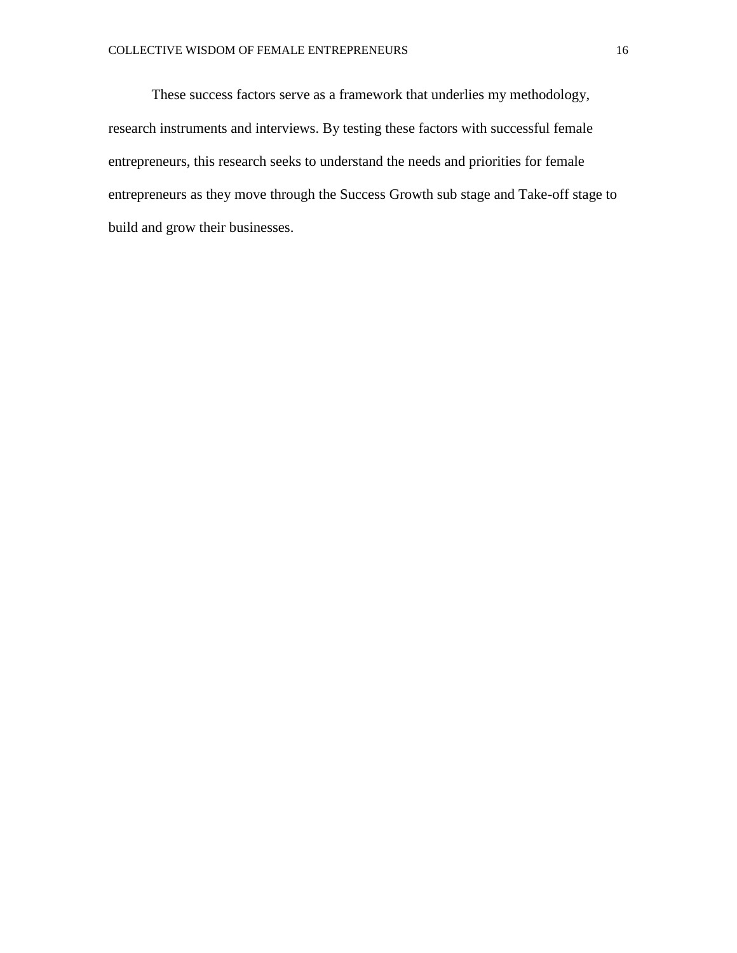These success factors serve as a framework that underlies my methodology, research instruments and interviews. By testing these factors with successful female entrepreneurs, this research seeks to understand the needs and priorities for female entrepreneurs as they move through the Success Growth sub stage and Take-off stage to build and grow their businesses.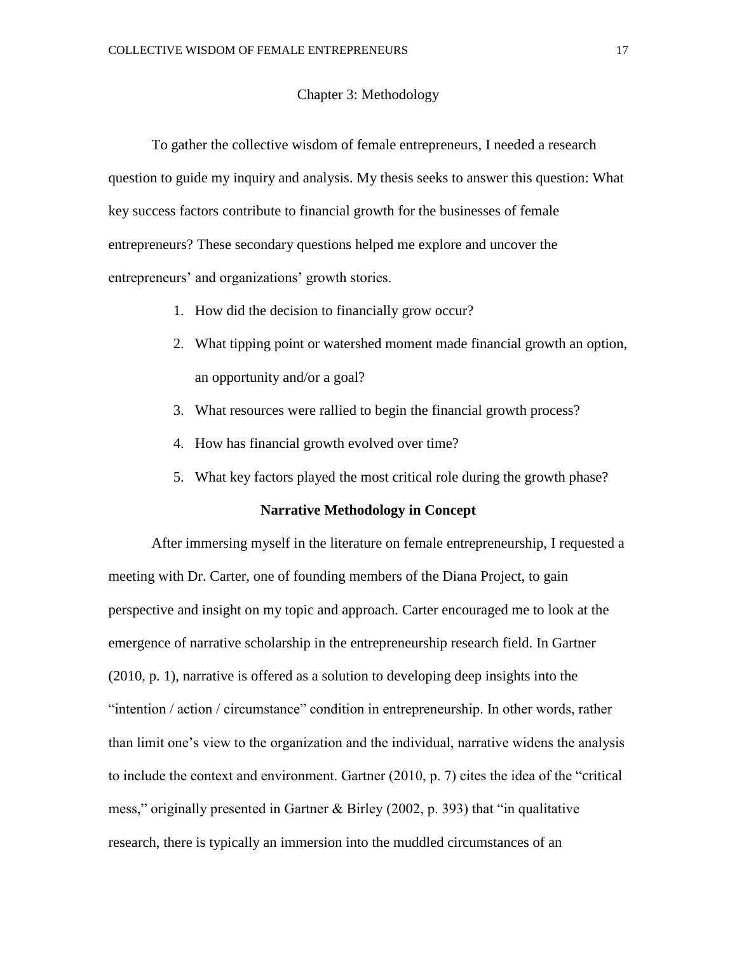#### Chapter 3: Methodology

To gather the collective wisdom of female entrepreneurs, I needed a research question to guide my inquiry and analysis. My thesis seeks to answer this question: What key success factors contribute to financial growth for the businesses of female entrepreneurs? These secondary questions helped me explore and uncover the entrepreneurs' and organizations' growth stories.

- 1. How did the decision to financially grow occur?
- 2. What tipping point or watershed moment made financial growth an option, an opportunity and/or a goal?
- 3. What resources were rallied to begin the financial growth process?
- 4. How has financial growth evolved over time?
- 5. What key factors played the most critical role during the growth phase?

#### **Narrative Methodology in Concept**

After immersing myself in the literature on female entrepreneurship, I requested a meeting with Dr. Carter, one of founding members of the Diana Project, to gain perspective and insight on my topic and approach. Carter encouraged me to look at the emergence of narrative scholarship in the entrepreneurship research field. In Gartner (2010, p. 1), narrative is offered as a solution to developing deep insights into the "intention / action / circumstance" condition in entrepreneurship. In other words, rather than limit one's view to the organization and the individual, narrative widens the analysis to include the context and environment. Gartner (2010, p. 7) cites the idea of the "critical mess," originally presented in Gartner & Birley (2002, p. 393) that "in qualitative research, there is typically an immersion into the muddled circumstances of an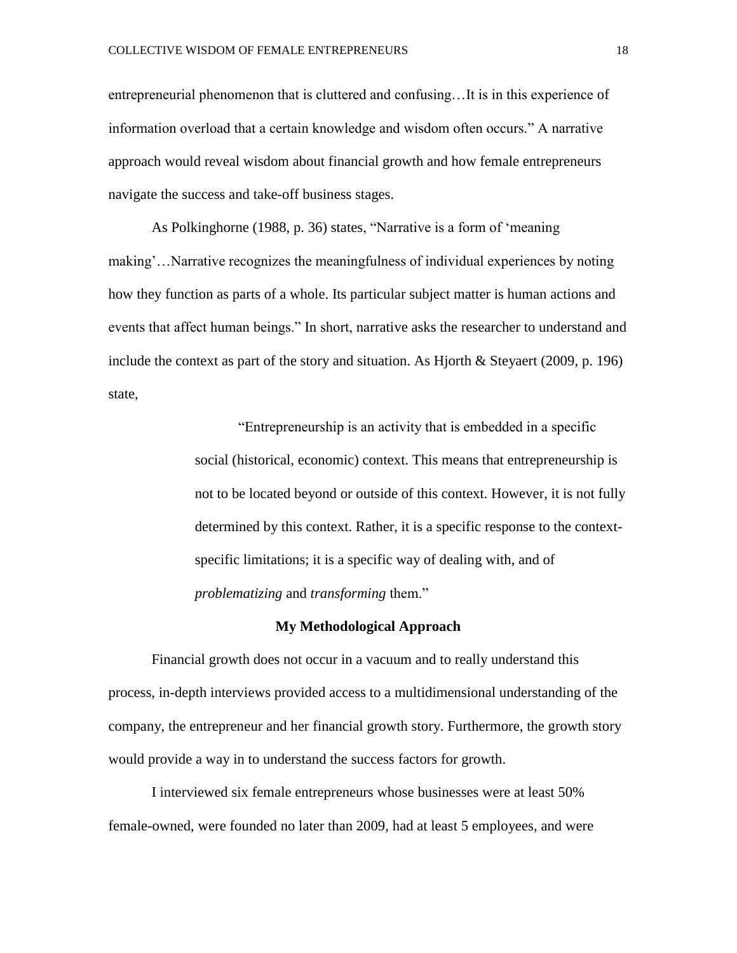entrepreneurial phenomenon that is cluttered and confusing…It is in this experience of information overload that a certain knowledge and wisdom often occurs." A narrative approach would reveal wisdom about financial growth and how female entrepreneurs navigate the success and take-off business stages.

As Polkinghorne (1988, p. 36) states, "Narrative is a form of 'meaning making'…Narrative recognizes the meaningfulness of individual experiences by noting how they function as parts of a whole. Its particular subject matter is human actions and events that affect human beings." In short, narrative asks the researcher to understand and include the context as part of the story and situation. As Hjorth & Steyaert (2009, p. 196) state,

> "Entrepreneurship is an activity that is embedded in a specific social (historical, economic) context. This means that entrepreneurship is not to be located beyond or outside of this context. However, it is not fully determined by this context. Rather, it is a specific response to the contextspecific limitations; it is a specific way of dealing with, and of *problematizing* and *transforming* them."

#### **My Methodological Approach**

Financial growth does not occur in a vacuum and to really understand this process, in-depth interviews provided access to a multidimensional understanding of the company, the entrepreneur and her financial growth story. Furthermore, the growth story would provide a way in to understand the success factors for growth.

I interviewed six female entrepreneurs whose businesses were at least 50% female-owned, were founded no later than 2009, had at least 5 employees, and were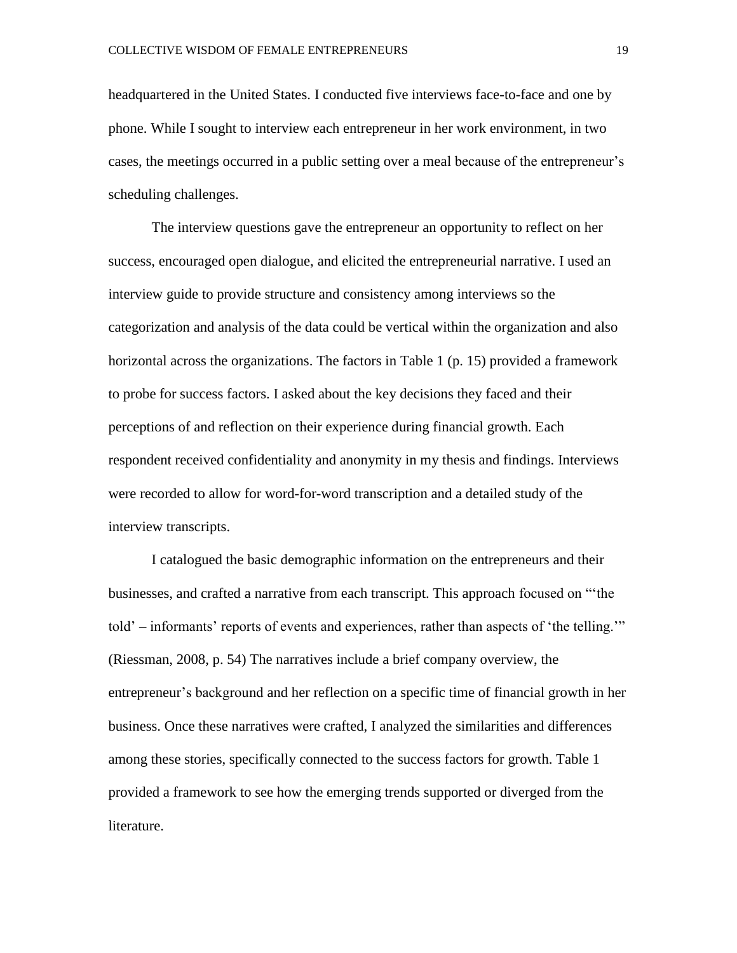headquartered in the United States. I conducted five interviews face-to-face and one by phone. While I sought to interview each entrepreneur in her work environment, in two cases, the meetings occurred in a public setting over a meal because of the entrepreneur's scheduling challenges.

The interview questions gave the entrepreneur an opportunity to reflect on her success, encouraged open dialogue, and elicited the entrepreneurial narrative. I used an interview guide to provide structure and consistency among interviews so the categorization and analysis of the data could be vertical within the organization and also horizontal across the organizations. The factors in Table 1 (p. 15) provided a framework to probe for success factors. I asked about the key decisions they faced and their perceptions of and reflection on their experience during financial growth. Each respondent received confidentiality and anonymity in my thesis and findings. Interviews were recorded to allow for word-for-word transcription and a detailed study of the interview transcripts.

I catalogued the basic demographic information on the entrepreneurs and their businesses, and crafted a narrative from each transcript. This approach focused on "'the told' – informants' reports of events and experiences, rather than aspects of 'the telling.'" (Riessman, 2008, p. 54) The narratives include a brief company overview, the entrepreneur's background and her reflection on a specific time of financial growth in her business. Once these narratives were crafted, I analyzed the similarities and differences among these stories, specifically connected to the success factors for growth. Table 1 provided a framework to see how the emerging trends supported or diverged from the literature.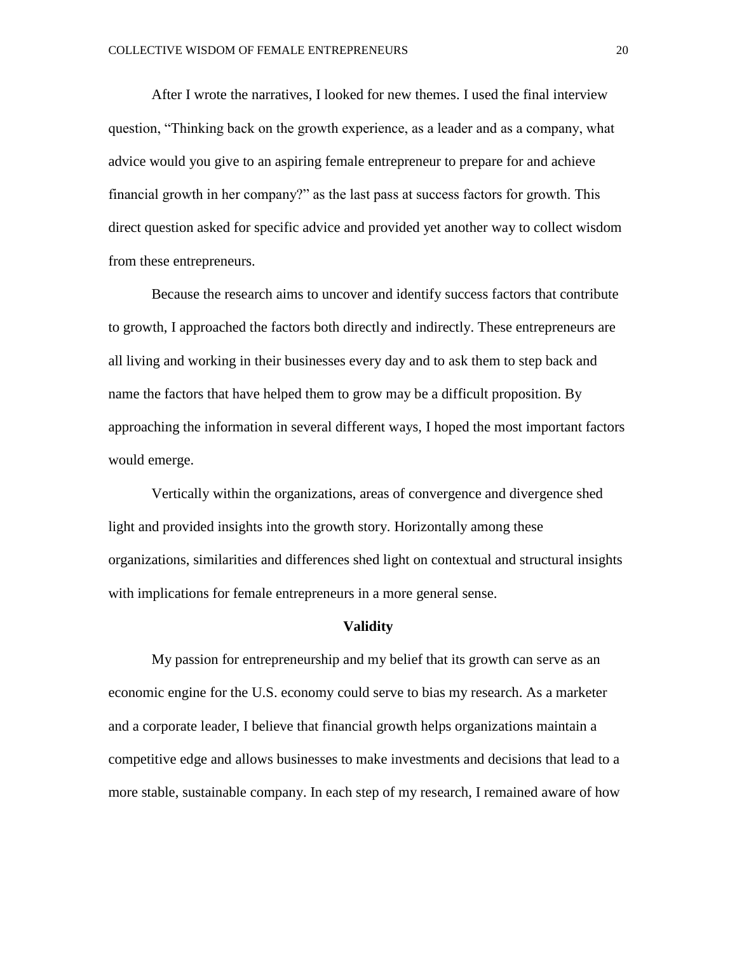After I wrote the narratives, I looked for new themes. I used the final interview question, "Thinking back on the growth experience, as a leader and as a company, what advice would you give to an aspiring female entrepreneur to prepare for and achieve financial growth in her company?" as the last pass at success factors for growth. This direct question asked for specific advice and provided yet another way to collect wisdom from these entrepreneurs.

Because the research aims to uncover and identify success factors that contribute to growth, I approached the factors both directly and indirectly. These entrepreneurs are all living and working in their businesses every day and to ask them to step back and name the factors that have helped them to grow may be a difficult proposition. By approaching the information in several different ways, I hoped the most important factors would emerge.

Vertically within the organizations, areas of convergence and divergence shed light and provided insights into the growth story. Horizontally among these organizations, similarities and differences shed light on contextual and structural insights with implications for female entrepreneurs in a more general sense.

#### **Validity**

My passion for entrepreneurship and my belief that its growth can serve as an economic engine for the U.S. economy could serve to bias my research. As a marketer and a corporate leader, I believe that financial growth helps organizations maintain a competitive edge and allows businesses to make investments and decisions that lead to a more stable, sustainable company. In each step of my research, I remained aware of how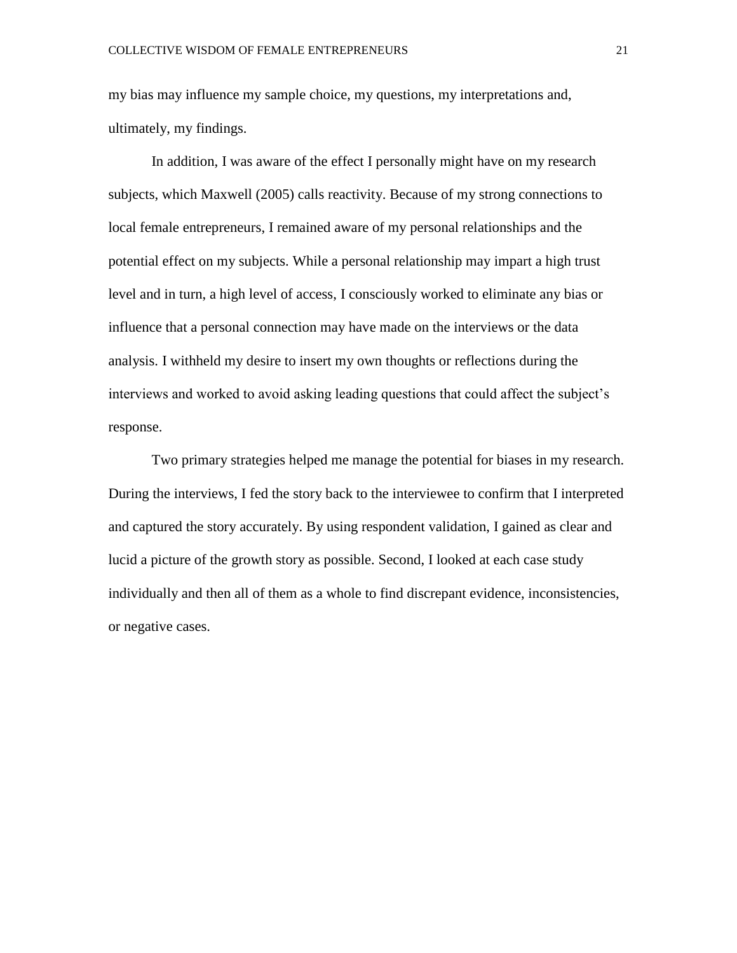my bias may influence my sample choice, my questions, my interpretations and, ultimately, my findings.

In addition, I was aware of the effect I personally might have on my research subjects, which Maxwell (2005) calls reactivity. Because of my strong connections to local female entrepreneurs, I remained aware of my personal relationships and the potential effect on my subjects. While a personal relationship may impart a high trust level and in turn, a high level of access, I consciously worked to eliminate any bias or influence that a personal connection may have made on the interviews or the data analysis. I withheld my desire to insert my own thoughts or reflections during the interviews and worked to avoid asking leading questions that could affect the subject's response.

Two primary strategies helped me manage the potential for biases in my research. During the interviews, I fed the story back to the interviewee to confirm that I interpreted and captured the story accurately. By using respondent validation, I gained as clear and lucid a picture of the growth story as possible. Second, I looked at each case study individually and then all of them as a whole to find discrepant evidence, inconsistencies, or negative cases.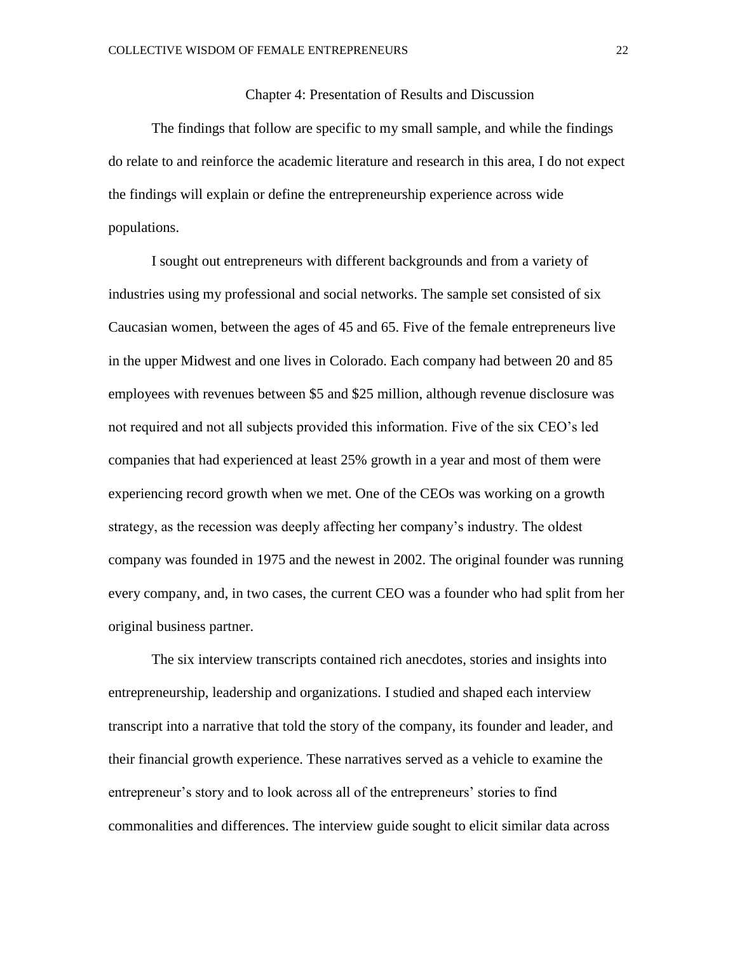#### Chapter 4: Presentation of Results and Discussion

The findings that follow are specific to my small sample, and while the findings do relate to and reinforce the academic literature and research in this area, I do not expect the findings will explain or define the entrepreneurship experience across wide populations.

I sought out entrepreneurs with different backgrounds and from a variety of industries using my professional and social networks. The sample set consisted of six Caucasian women, between the ages of 45 and 65. Five of the female entrepreneurs live in the upper Midwest and one lives in Colorado. Each company had between 20 and 85 employees with revenues between \$5 and \$25 million, although revenue disclosure was not required and not all subjects provided this information. Five of the six CEO's led companies that had experienced at least 25% growth in a year and most of them were experiencing record growth when we met. One of the CEOs was working on a growth strategy, as the recession was deeply affecting her company's industry. The oldest company was founded in 1975 and the newest in 2002. The original founder was running every company, and, in two cases, the current CEO was a founder who had split from her original business partner.

The six interview transcripts contained rich anecdotes, stories and insights into entrepreneurship, leadership and organizations. I studied and shaped each interview transcript into a narrative that told the story of the company, its founder and leader, and their financial growth experience. These narratives served as a vehicle to examine the entrepreneur's story and to look across all of the entrepreneurs' stories to find commonalities and differences. The interview guide sought to elicit similar data across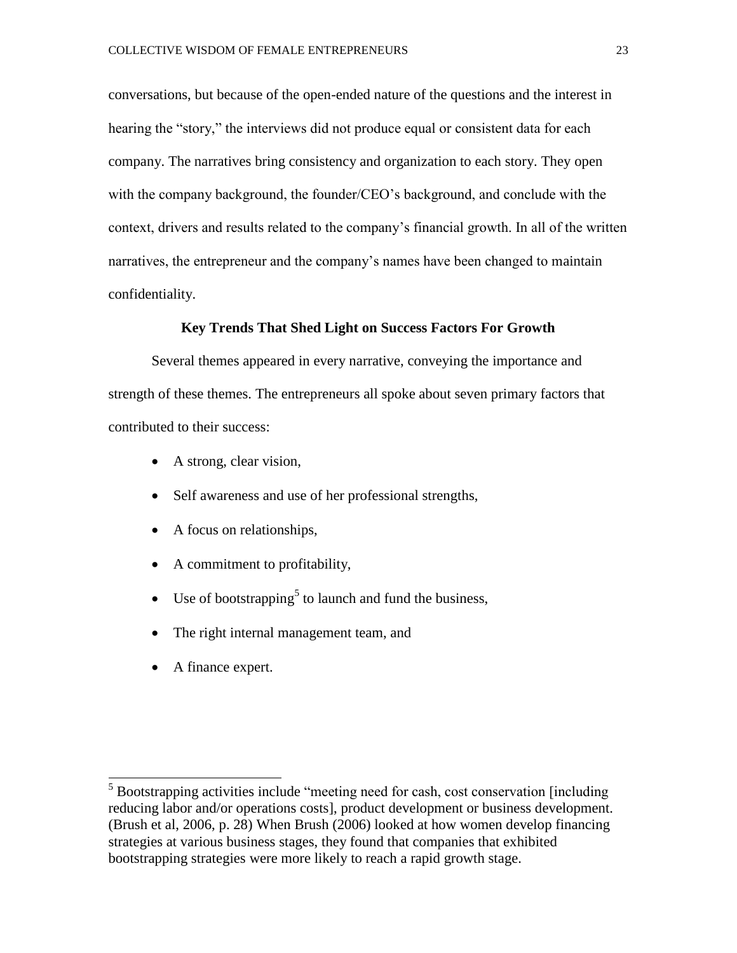conversations, but because of the open-ended nature of the questions and the interest in hearing the "story," the interviews did not produce equal or consistent data for each company. The narratives bring consistency and organization to each story. They open with the company background, the founder/CEO's background, and conclude with the context, drivers and results related to the company's financial growth. In all of the written narratives, the entrepreneur and the company's names have been changed to maintain confidentiality.

#### **Key Trends That Shed Light on Success Factors For Growth**

Several themes appeared in every narrative, conveying the importance and strength of these themes. The entrepreneurs all spoke about seven primary factors that contributed to their success:

- A strong, clear vision,
- Self awareness and use of her professional strengths,
- A focus on relationships,
- A commitment to profitability,
- Use of bootstrapping<sup>5</sup> to launch and fund the business,
- The right internal management team, and
- A finance expert.

 $\overline{a}$ 

 $<sup>5</sup>$  Bootstrapping activities include "meeting need for cash, cost conservation [including</sup> reducing labor and/or operations costs], product development or business development. (Brush et al, 2006, p. 28) When Brush (2006) looked at how women develop financing strategies at various business stages, they found that companies that exhibited bootstrapping strategies were more likely to reach a rapid growth stage.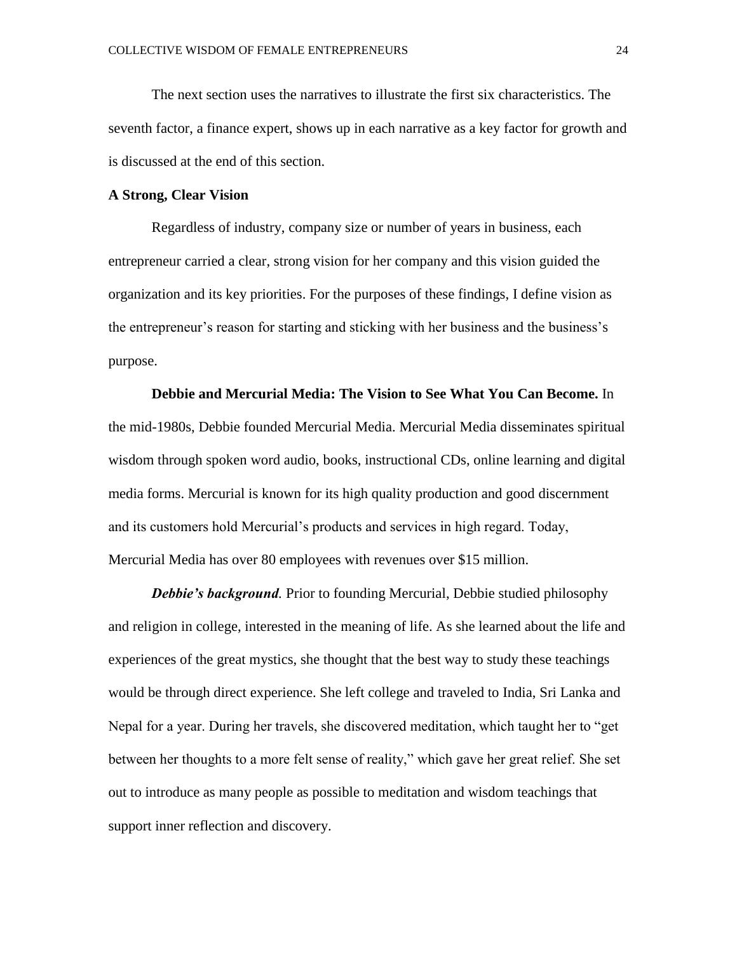The next section uses the narratives to illustrate the first six characteristics. The seventh factor, a finance expert, shows up in each narrative as a key factor for growth and is discussed at the end of this section.

#### **A Strong, Clear Vision**

Regardless of industry, company size or number of years in business, each entrepreneur carried a clear, strong vision for her company and this vision guided the organization and its key priorities. For the purposes of these findings, I define vision as the entrepreneur's reason for starting and sticking with her business and the business's purpose.

**Debbie and Mercurial Media: The Vision to See What You Can Become.** In the mid-1980s, Debbie founded Mercurial Media. Mercurial Media disseminates spiritual wisdom through spoken word audio, books, instructional CDs, online learning and digital media forms. Mercurial is known for its high quality production and good discernment and its customers hold Mercurial's products and services in high regard. Today, Mercurial Media has over 80 employees with revenues over \$15 million.

*Debbie's background.* Prior to founding Mercurial, Debbie studied philosophy and religion in college, interested in the meaning of life. As she learned about the life and experiences of the great mystics, she thought that the best way to study these teachings would be through direct experience. She left college and traveled to India, Sri Lanka and Nepal for a year. During her travels, she discovered meditation, which taught her to "get between her thoughts to a more felt sense of reality," which gave her great relief. She set out to introduce as many people as possible to meditation and wisdom teachings that support inner reflection and discovery.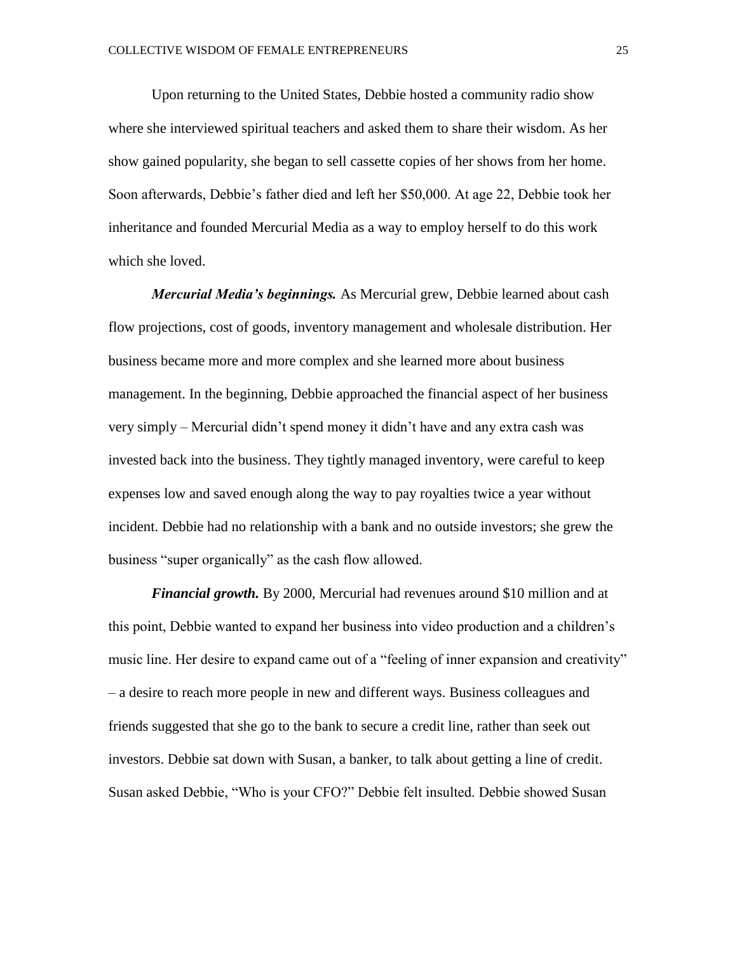Upon returning to the United States, Debbie hosted a community radio show where she interviewed spiritual teachers and asked them to share their wisdom. As her show gained popularity, she began to sell cassette copies of her shows from her home. Soon afterwards, Debbie's father died and left her \$50,000. At age 22, Debbie took her inheritance and founded Mercurial Media as a way to employ herself to do this work which she loved.

*Mercurial Media's beginnings.* As Mercurial grew, Debbie learned about cash flow projections, cost of goods, inventory management and wholesale distribution. Her business became more and more complex and she learned more about business management. In the beginning, Debbie approached the financial aspect of her business very simply – Mercurial didn't spend money it didn't have and any extra cash was invested back into the business. They tightly managed inventory, were careful to keep expenses low and saved enough along the way to pay royalties twice a year without incident. Debbie had no relationship with a bank and no outside investors; she grew the business "super organically" as the cash flow allowed.

*Financial growth.* By 2000, Mercurial had revenues around \$10 million and at this point, Debbie wanted to expand her business into video production and a children's music line. Her desire to expand came out of a "feeling of inner expansion and creativity" – a desire to reach more people in new and different ways. Business colleagues and friends suggested that she go to the bank to secure a credit line, rather than seek out investors. Debbie sat down with Susan, a banker, to talk about getting a line of credit. Susan asked Debbie, "Who is your CFO?" Debbie felt insulted. Debbie showed Susan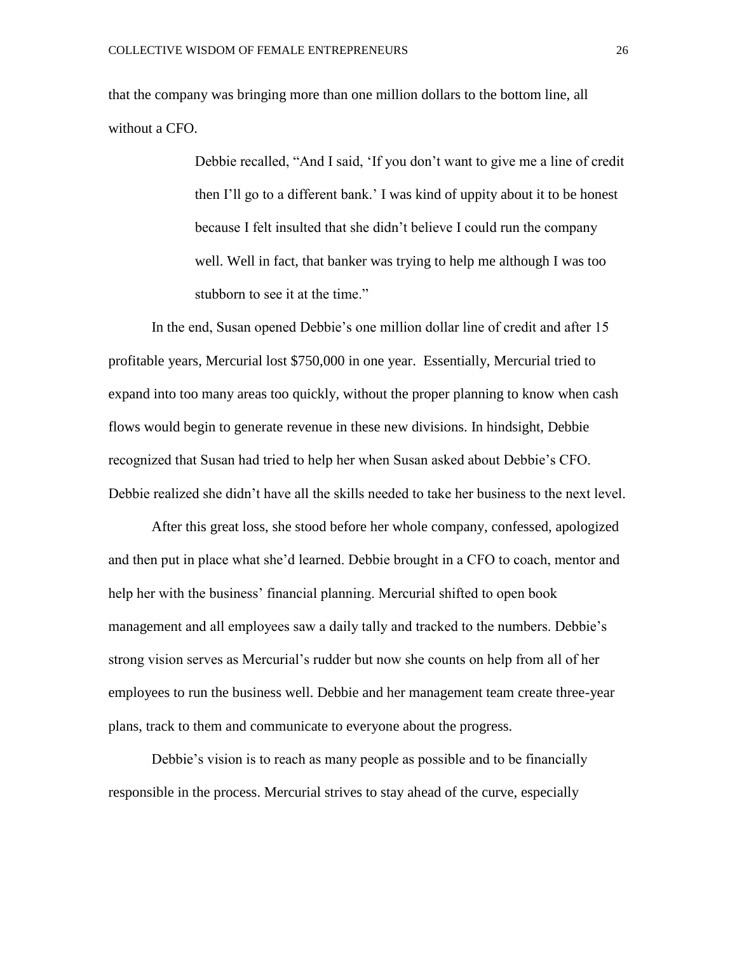that the company was bringing more than one million dollars to the bottom line, all without a CFO.

> Debbie recalled, "And I said, 'If you don't want to give me a line of credit then I'll go to a different bank.' I was kind of uppity about it to be honest because I felt insulted that she didn't believe I could run the company well. Well in fact, that banker was trying to help me although I was too stubborn to see it at the time."

In the end, Susan opened Debbie's one million dollar line of credit and after 15 profitable years, Mercurial lost \$750,000 in one year. Essentially, Mercurial tried to expand into too many areas too quickly, without the proper planning to know when cash flows would begin to generate revenue in these new divisions. In hindsight, Debbie recognized that Susan had tried to help her when Susan asked about Debbie's CFO. Debbie realized she didn't have all the skills needed to take her business to the next level.

After this great loss, she stood before her whole company, confessed, apologized and then put in place what she'd learned. Debbie brought in a CFO to coach, mentor and help her with the business' financial planning. Mercurial shifted to open book management and all employees saw a daily tally and tracked to the numbers. Debbie's strong vision serves as Mercurial's rudder but now she counts on help from all of her employees to run the business well. Debbie and her management team create three-year plans, track to them and communicate to everyone about the progress.

Debbie's vision is to reach as many people as possible and to be financially responsible in the process. Mercurial strives to stay ahead of the curve, especially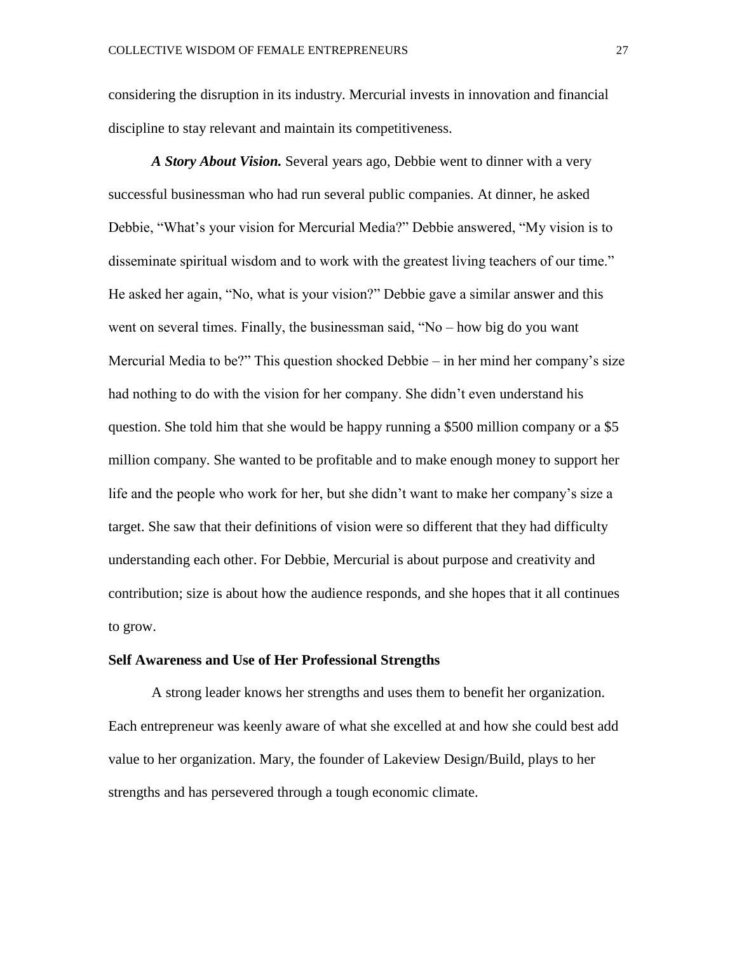considering the disruption in its industry. Mercurial invests in innovation and financial discipline to stay relevant and maintain its competitiveness.

*A Story About Vision.* Several years ago, Debbie went to dinner with a very successful businessman who had run several public companies. At dinner, he asked Debbie, "What's your vision for Mercurial Media?" Debbie answered, "My vision is to disseminate spiritual wisdom and to work with the greatest living teachers of our time." He asked her again, "No, what is your vision?" Debbie gave a similar answer and this went on several times. Finally, the businessman said,  $W_0$  – how big do you want Mercurial Media to be?" This question shocked Debbie – in her mind her company's size had nothing to do with the vision for her company. She didn't even understand his question. She told him that she would be happy running a \$500 million company or a \$5 million company. She wanted to be profitable and to make enough money to support her life and the people who work for her, but she didn't want to make her company's size a target. She saw that their definitions of vision were so different that they had difficulty understanding each other. For Debbie, Mercurial is about purpose and creativity and contribution; size is about how the audience responds, and she hopes that it all continues to grow.

#### **Self Awareness and Use of Her Professional Strengths**

A strong leader knows her strengths and uses them to benefit her organization. Each entrepreneur was keenly aware of what she excelled at and how she could best add value to her organization. Mary, the founder of Lakeview Design/Build, plays to her strengths and has persevered through a tough economic climate.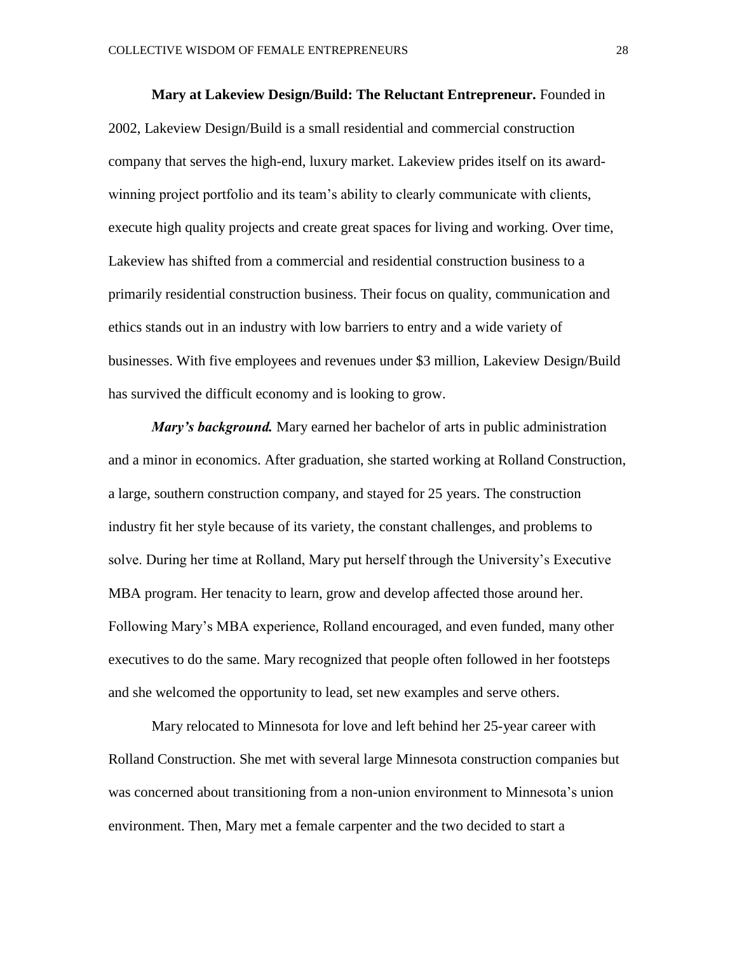**Mary at Lakeview Design/Build: The Reluctant Entrepreneur.** Founded in 2002, Lakeview Design/Build is a small residential and commercial construction company that serves the high-end, luxury market. Lakeview prides itself on its awardwinning project portfolio and its team's ability to clearly communicate with clients, execute high quality projects and create great spaces for living and working. Over time, Lakeview has shifted from a commercial and residential construction business to a primarily residential construction business. Their focus on quality, communication and ethics stands out in an industry with low barriers to entry and a wide variety of businesses. With five employees and revenues under \$3 million, Lakeview Design/Build has survived the difficult economy and is looking to grow.

*Mary's background.* Mary earned her bachelor of arts in public administration and a minor in economics. After graduation, she started working at Rolland Construction, a large, southern construction company, and stayed for 25 years. The construction industry fit her style because of its variety, the constant challenges, and problems to solve. During her time at Rolland, Mary put herself through the University's Executive MBA program. Her tenacity to learn, grow and develop affected those around her. Following Mary's MBA experience, Rolland encouraged, and even funded, many other executives to do the same. Mary recognized that people often followed in her footsteps and she welcomed the opportunity to lead, set new examples and serve others.

Mary relocated to Minnesota for love and left behind her 25-year career with Rolland Construction. She met with several large Minnesota construction companies but was concerned about transitioning from a non-union environment to Minnesota's union environment. Then, Mary met a female carpenter and the two decided to start a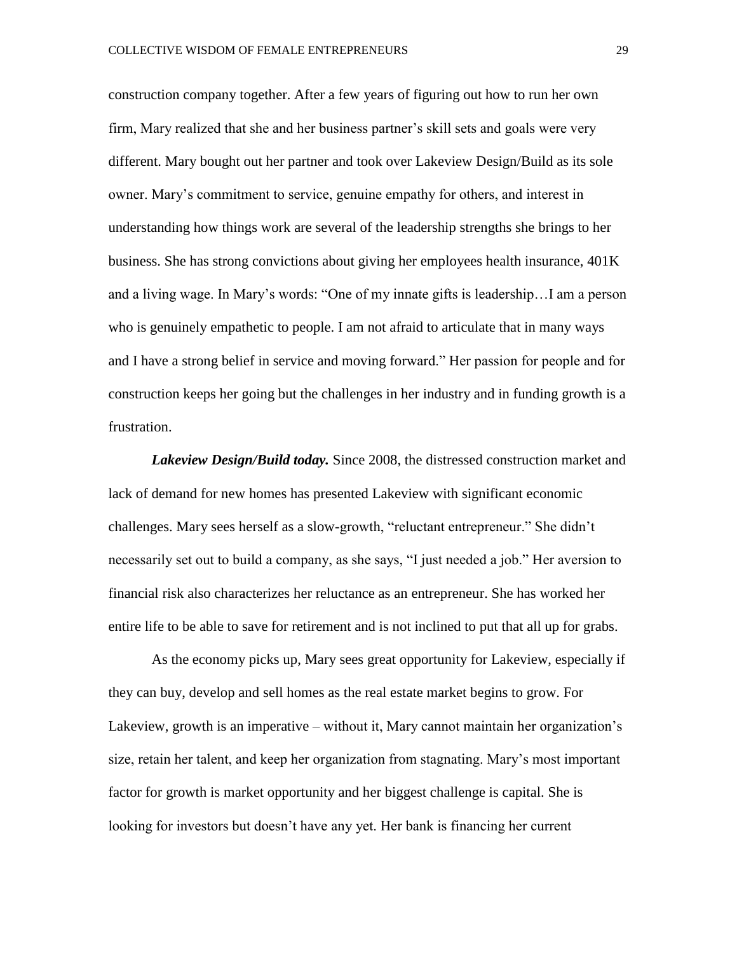construction company together. After a few years of figuring out how to run her own firm, Mary realized that she and her business partner's skill sets and goals were very different. Mary bought out her partner and took over Lakeview Design/Build as its sole owner. Mary's commitment to service, genuine empathy for others, and interest in understanding how things work are several of the leadership strengths she brings to her business. She has strong convictions about giving her employees health insurance, 401K and a living wage. In Mary's words: "One of my innate gifts is leadership…I am a person who is genuinely empathetic to people. I am not afraid to articulate that in many ways and I have a strong belief in service and moving forward." Her passion for people and for construction keeps her going but the challenges in her industry and in funding growth is a frustration.

*Lakeview Design/Build today.* Since 2008, the distressed construction market and lack of demand for new homes has presented Lakeview with significant economic challenges. Mary sees herself as a slow-growth, "reluctant entrepreneur." She didn't necessarily set out to build a company, as she says, "I just needed a job." Her aversion to financial risk also characterizes her reluctance as an entrepreneur. She has worked her entire life to be able to save for retirement and is not inclined to put that all up for grabs.

As the economy picks up, Mary sees great opportunity for Lakeview, especially if they can buy, develop and sell homes as the real estate market begins to grow. For Lakeview, growth is an imperative – without it, Mary cannot maintain her organization's size, retain her talent, and keep her organization from stagnating. Mary's most important factor for growth is market opportunity and her biggest challenge is capital. She is looking for investors but doesn't have any yet. Her bank is financing her current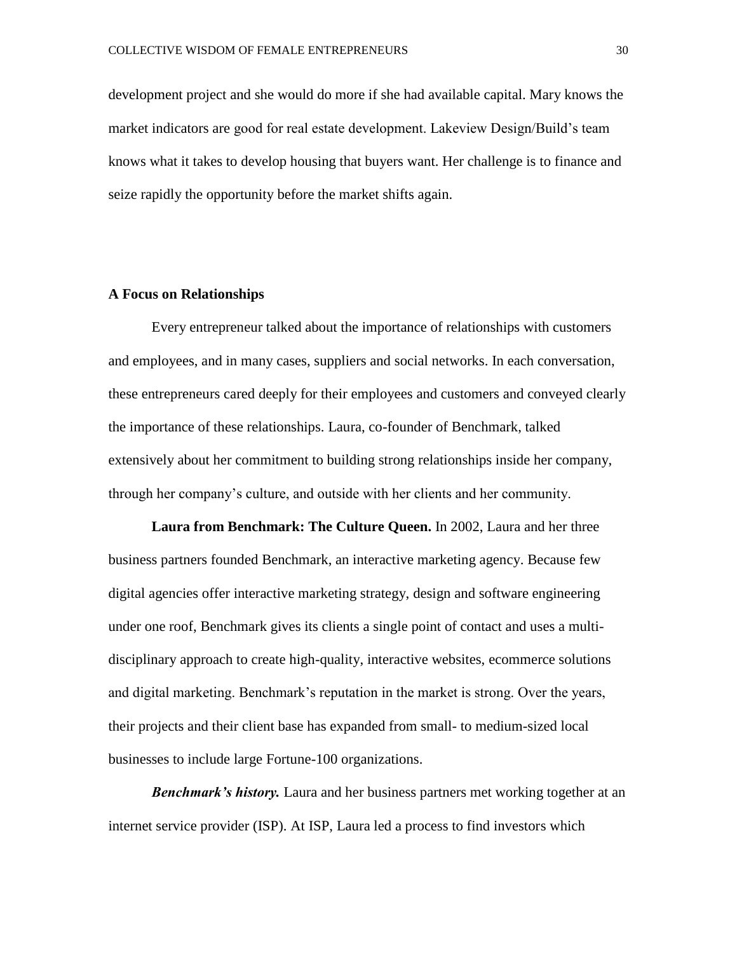development project and she would do more if she had available capital. Mary knows the market indicators are good for real estate development. Lakeview Design/Build's team knows what it takes to develop housing that buyers want. Her challenge is to finance and seize rapidly the opportunity before the market shifts again.

#### **A Focus on Relationships**

Every entrepreneur talked about the importance of relationships with customers and employees, and in many cases, suppliers and social networks. In each conversation, these entrepreneurs cared deeply for their employees and customers and conveyed clearly the importance of these relationships. Laura, co-founder of Benchmark, talked extensively about her commitment to building strong relationships inside her company, through her company's culture, and outside with her clients and her community.

**Laura from Benchmark: The Culture Queen.** In 2002, Laura and her three business partners founded Benchmark, an interactive marketing agency. Because few digital agencies offer interactive marketing strategy, design and software engineering under one roof, Benchmark gives its clients a single point of contact and uses a multidisciplinary approach to create high-quality, interactive websites, ecommerce solutions and digital marketing. Benchmark's reputation in the market is strong. Over the years, their projects and their client base has expanded from small- to medium-sized local businesses to include large Fortune-100 organizations.

*Benchmark's history.* Laura and her business partners met working together at an internet service provider (ISP). At ISP, Laura led a process to find investors which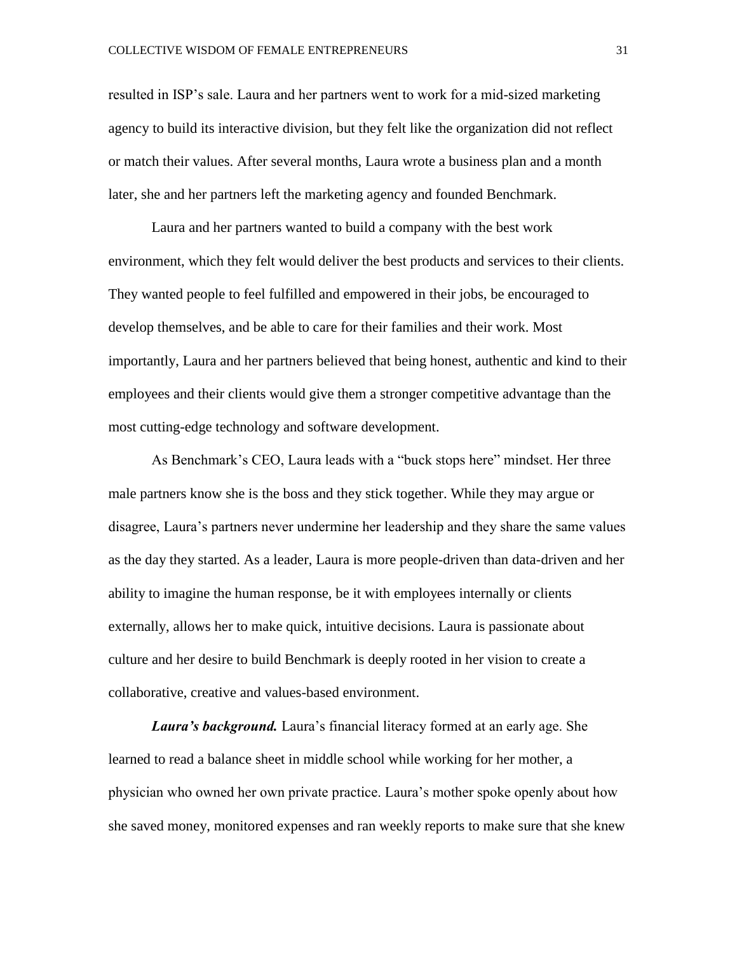resulted in ISP's sale. Laura and her partners went to work for a mid-sized marketing agency to build its interactive division, but they felt like the organization did not reflect or match their values. After several months, Laura wrote a business plan and a month later, she and her partners left the marketing agency and founded Benchmark.

Laura and her partners wanted to build a company with the best work environment, which they felt would deliver the best products and services to their clients. They wanted people to feel fulfilled and empowered in their jobs, be encouraged to develop themselves, and be able to care for their families and their work. Most importantly, Laura and her partners believed that being honest, authentic and kind to their employees and their clients would give them a stronger competitive advantage than the most cutting-edge technology and software development.

As Benchmark's CEO, Laura leads with a "buck stops here" mindset. Her three male partners know she is the boss and they stick together. While they may argue or disagree, Laura's partners never undermine her leadership and they share the same values as the day they started. As a leader, Laura is more people-driven than data-driven and her ability to imagine the human response, be it with employees internally or clients externally, allows her to make quick, intuitive decisions. Laura is passionate about culture and her desire to build Benchmark is deeply rooted in her vision to create a collaborative, creative and values-based environment.

*Laura's background.* Laura's financial literacy formed at an early age. She learned to read a balance sheet in middle school while working for her mother, a physician who owned her own private practice. Laura's mother spoke openly about how she saved money, monitored expenses and ran weekly reports to make sure that she knew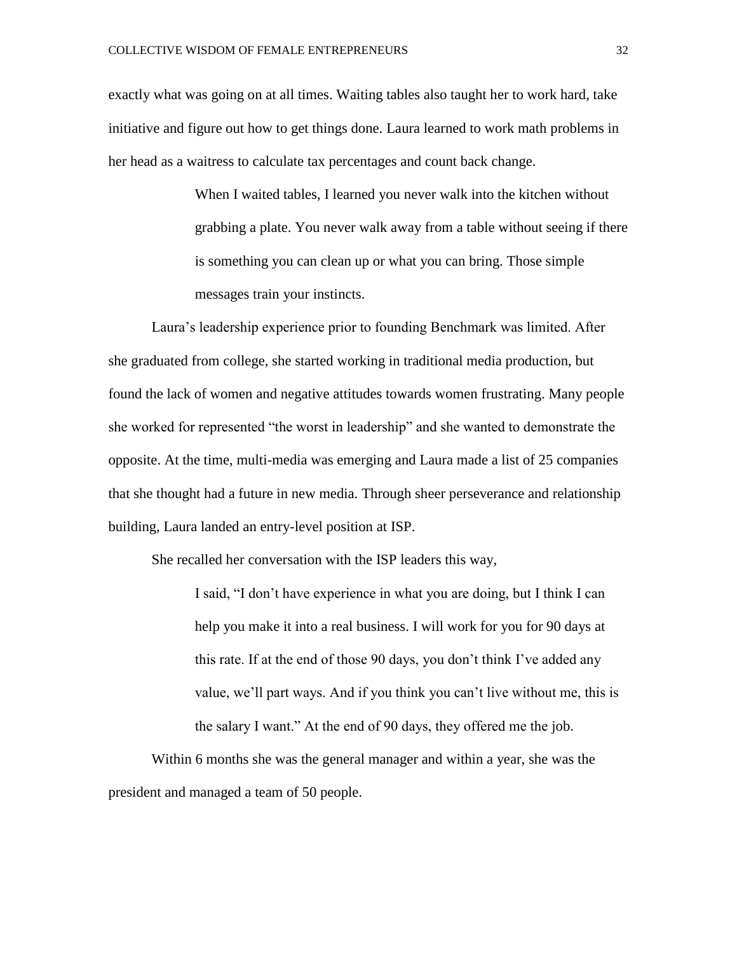exactly what was going on at all times. Waiting tables also taught her to work hard, take initiative and figure out how to get things done. Laura learned to work math problems in her head as a waitress to calculate tax percentages and count back change.

> When I waited tables, I learned you never walk into the kitchen without grabbing a plate. You never walk away from a table without seeing if there is something you can clean up or what you can bring. Those simple messages train your instincts.

Laura's leadership experience prior to founding Benchmark was limited. After she graduated from college, she started working in traditional media production, but found the lack of women and negative attitudes towards women frustrating. Many people she worked for represented "the worst in leadership" and she wanted to demonstrate the opposite. At the time, multi-media was emerging and Laura made a list of 25 companies that she thought had a future in new media. Through sheer perseverance and relationship building, Laura landed an entry-level position at ISP.

She recalled her conversation with the ISP leaders this way,

I said, "I don't have experience in what you are doing, but I think I can help you make it into a real business. I will work for you for 90 days at this rate. If at the end of those 90 days, you don't think I've added any value, we'll part ways. And if you think you can't live without me, this is the salary I want." At the end of 90 days, they offered me the job.

Within 6 months she was the general manager and within a year, she was the president and managed a team of 50 people.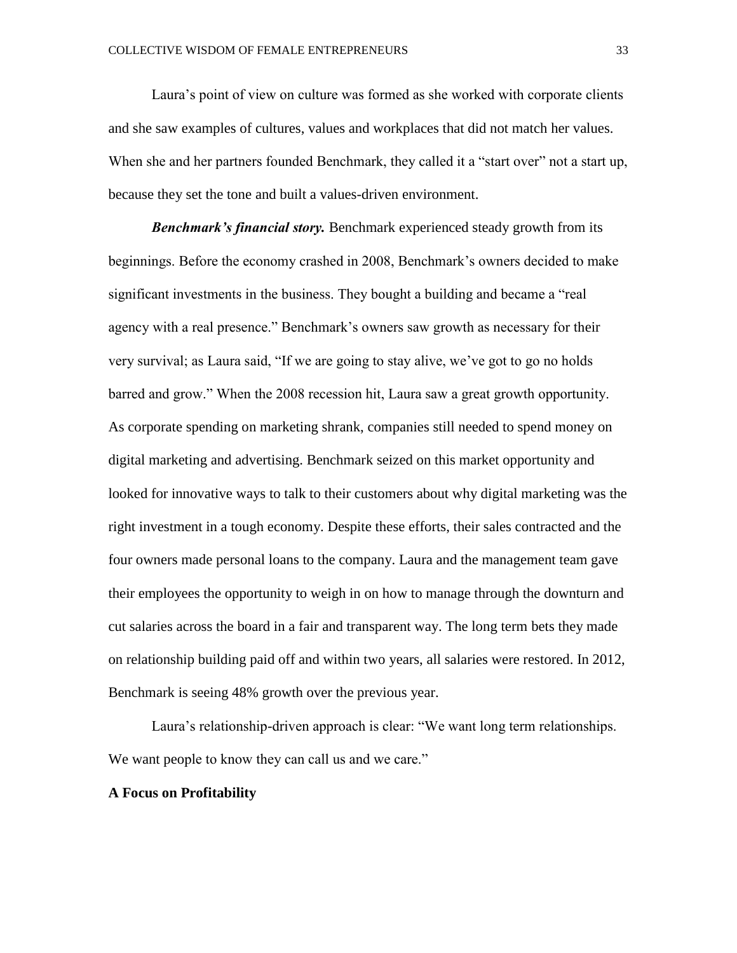Laura's point of view on culture was formed as she worked with corporate clients and she saw examples of cultures, values and workplaces that did not match her values. When she and her partners founded Benchmark, they called it a "start over" not a start up, because they set the tone and built a values-driven environment.

*Benchmark's financial story.* Benchmark experienced steady growth from its beginnings. Before the economy crashed in 2008, Benchmark's owners decided to make significant investments in the business. They bought a building and became a "real agency with a real presence." Benchmark's owners saw growth as necessary for their very survival; as Laura said, "If we are going to stay alive, we've got to go no holds barred and grow." When the 2008 recession hit, Laura saw a great growth opportunity. As corporate spending on marketing shrank, companies still needed to spend money on digital marketing and advertising. Benchmark seized on this market opportunity and looked for innovative ways to talk to their customers about why digital marketing was the right investment in a tough economy. Despite these efforts, their sales contracted and the four owners made personal loans to the company. Laura and the management team gave their employees the opportunity to weigh in on how to manage through the downturn and cut salaries across the board in a fair and transparent way. The long term bets they made on relationship building paid off and within two years, all salaries were restored. In 2012, Benchmark is seeing 48% growth over the previous year.

Laura's relationship-driven approach is clear: "We want long term relationships. We want people to know they can call us and we care."

#### **A Focus on Profitability**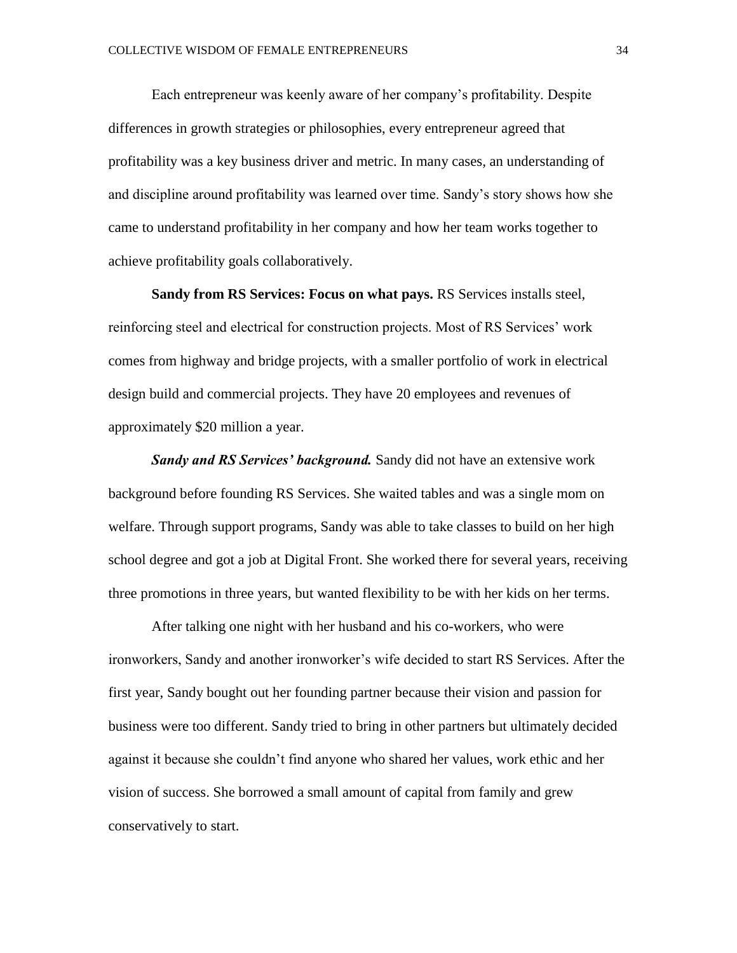Each entrepreneur was keenly aware of her company's profitability. Despite differences in growth strategies or philosophies, every entrepreneur agreed that profitability was a key business driver and metric. In many cases, an understanding of and discipline around profitability was learned over time. Sandy's story shows how she came to understand profitability in her company and how her team works together to achieve profitability goals collaboratively.

**Sandy from RS Services: Focus on what pays.** RS Services installs steel, reinforcing steel and electrical for construction projects. Most of RS Services' work comes from highway and bridge projects, with a smaller portfolio of work in electrical design build and commercial projects. They have 20 employees and revenues of approximately \$20 million a year.

*Sandy and RS Services' background.* Sandy did not have an extensive work background before founding RS Services. She waited tables and was a single mom on welfare. Through support programs, Sandy was able to take classes to build on her high school degree and got a job at Digital Front. She worked there for several years, receiving three promotions in three years, but wanted flexibility to be with her kids on her terms.

After talking one night with her husband and his co-workers, who were ironworkers, Sandy and another ironworker's wife decided to start RS Services. After the first year, Sandy bought out her founding partner because their vision and passion for business were too different. Sandy tried to bring in other partners but ultimately decided against it because she couldn't find anyone who shared her values, work ethic and her vision of success. She borrowed a small amount of capital from family and grew conservatively to start.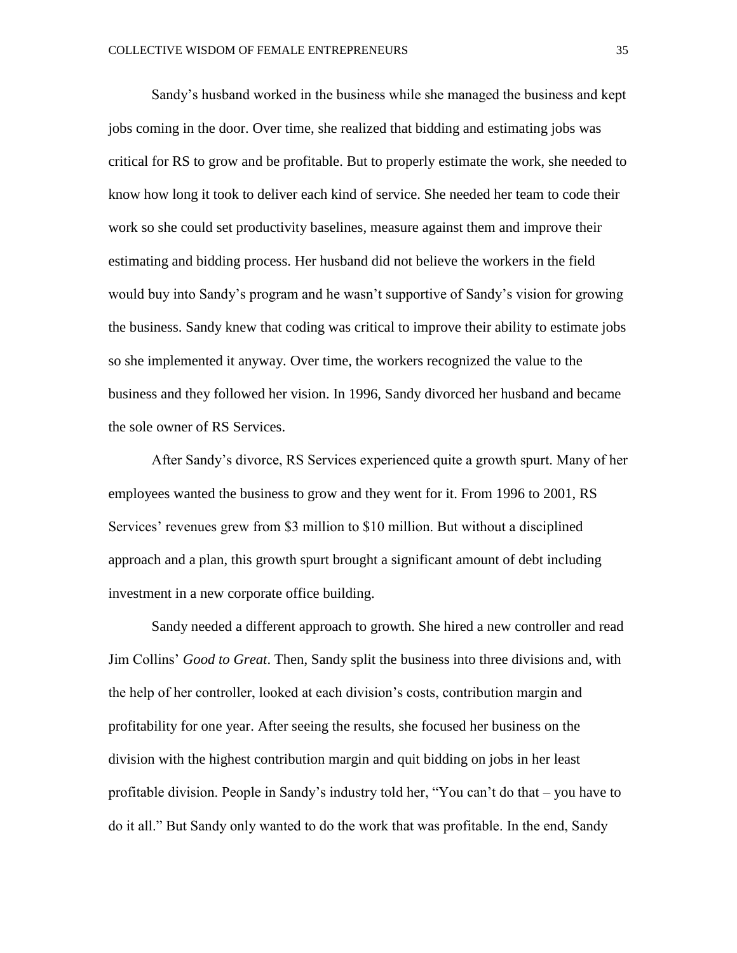Sandy's husband worked in the business while she managed the business and kept jobs coming in the door. Over time, she realized that bidding and estimating jobs was critical for RS to grow and be profitable. But to properly estimate the work, she needed to know how long it took to deliver each kind of service. She needed her team to code their work so she could set productivity baselines, measure against them and improve their estimating and bidding process. Her husband did not believe the workers in the field would buy into Sandy's program and he wasn't supportive of Sandy's vision for growing the business. Sandy knew that coding was critical to improve their ability to estimate jobs so she implemented it anyway. Over time, the workers recognized the value to the business and they followed her vision. In 1996, Sandy divorced her husband and became the sole owner of RS Services.

After Sandy's divorce, RS Services experienced quite a growth spurt. Many of her employees wanted the business to grow and they went for it. From 1996 to 2001, RS Services' revenues grew from \$3 million to \$10 million. But without a disciplined approach and a plan, this growth spurt brought a significant amount of debt including investment in a new corporate office building.

Sandy needed a different approach to growth. She hired a new controller and read Jim Collins' *Good to Great*. Then, Sandy split the business into three divisions and, with the help of her controller, looked at each division's costs, contribution margin and profitability for one year. After seeing the results, she focused her business on the division with the highest contribution margin and quit bidding on jobs in her least profitable division. People in Sandy's industry told her, "You can't do that – you have to do it all." But Sandy only wanted to do the work that was profitable. In the end, Sandy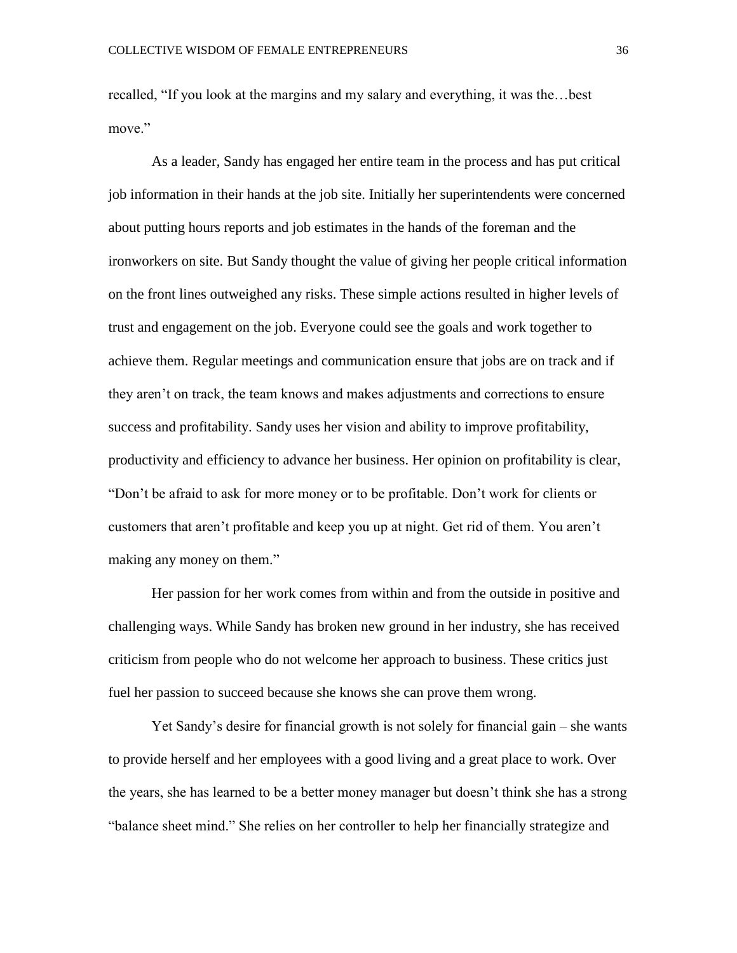recalled, "If you look at the margins and my salary and everything, it was the…best move<sup>"</sup>

As a leader, Sandy has engaged her entire team in the process and has put critical job information in their hands at the job site. Initially her superintendents were concerned about putting hours reports and job estimates in the hands of the foreman and the ironworkers on site. But Sandy thought the value of giving her people critical information on the front lines outweighed any risks. These simple actions resulted in higher levels of trust and engagement on the job. Everyone could see the goals and work together to achieve them. Regular meetings and communication ensure that jobs are on track and if they aren't on track, the team knows and makes adjustments and corrections to ensure success and profitability. Sandy uses her vision and ability to improve profitability, productivity and efficiency to advance her business. Her opinion on profitability is clear, "Don't be afraid to ask for more money or to be profitable. Don't work for clients or customers that aren't profitable and keep you up at night. Get rid of them. You aren't making any money on them."

Her passion for her work comes from within and from the outside in positive and challenging ways. While Sandy has broken new ground in her industry, she has received criticism from people who do not welcome her approach to business. These critics just fuel her passion to succeed because she knows she can prove them wrong.

Yet Sandy's desire for financial growth is not solely for financial gain – she wants to provide herself and her employees with a good living and a great place to work. Over the years, she has learned to be a better money manager but doesn't think she has a strong "balance sheet mind." She relies on her controller to help her financially strategize and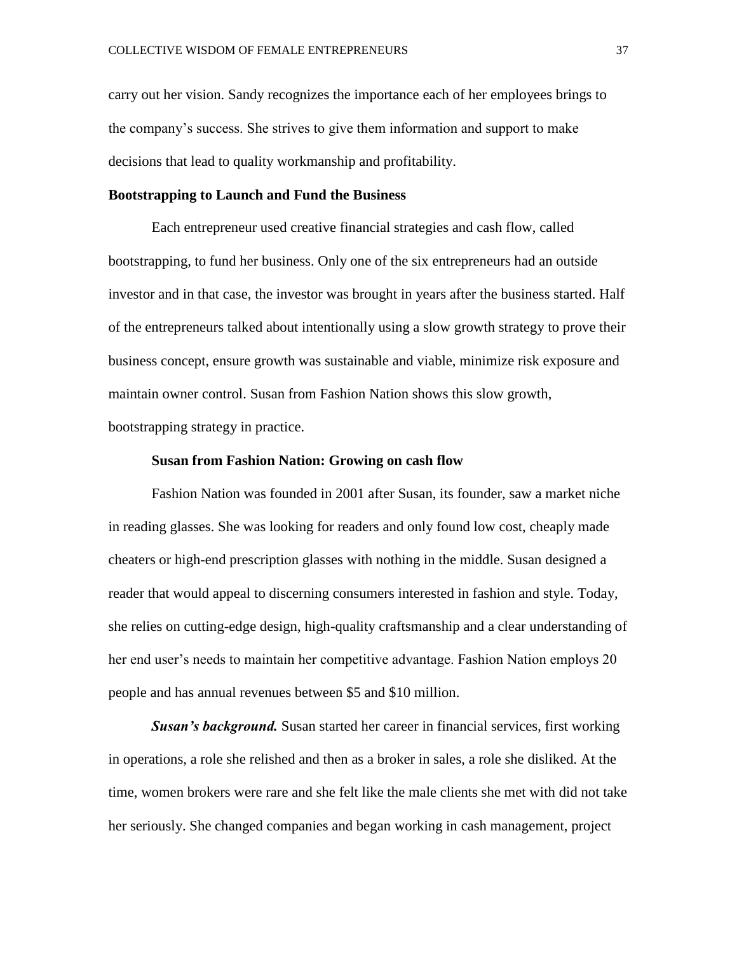carry out her vision. Sandy recognizes the importance each of her employees brings to the company's success. She strives to give them information and support to make decisions that lead to quality workmanship and profitability.

### **Bootstrapping to Launch and Fund the Business**

Each entrepreneur used creative financial strategies and cash flow, called bootstrapping, to fund her business. Only one of the six entrepreneurs had an outside investor and in that case, the investor was brought in years after the business started. Half of the entrepreneurs talked about intentionally using a slow growth strategy to prove their business concept, ensure growth was sustainable and viable, minimize risk exposure and maintain owner control. Susan from Fashion Nation shows this slow growth, bootstrapping strategy in practice.

#### **Susan from Fashion Nation: Growing on cash flow**

Fashion Nation was founded in 2001 after Susan, its founder, saw a market niche in reading glasses. She was looking for readers and only found low cost, cheaply made cheaters or high-end prescription glasses with nothing in the middle. Susan designed a reader that would appeal to discerning consumers interested in fashion and style. Today, she relies on cutting-edge design, high-quality craftsmanship and a clear understanding of her end user's needs to maintain her competitive advantage. Fashion Nation employs 20 people and has annual revenues between \$5 and \$10 million.

*Susan's background.* Susan started her career in financial services, first working in operations, a role she relished and then as a broker in sales, a role she disliked. At the time, women brokers were rare and she felt like the male clients she met with did not take her seriously. She changed companies and began working in cash management, project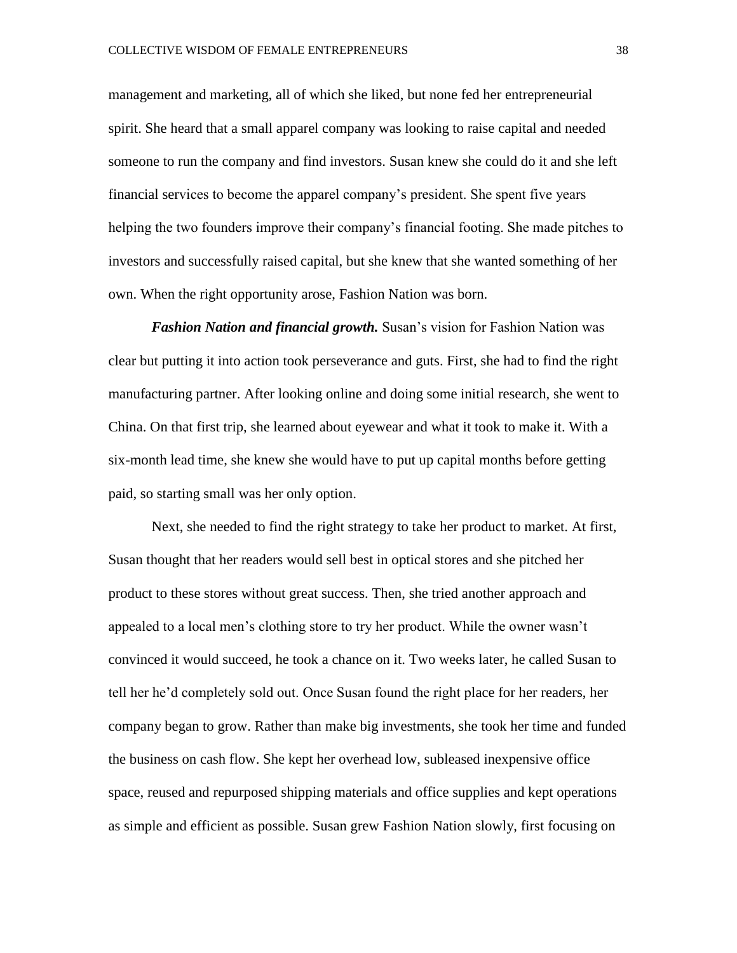management and marketing, all of which she liked, but none fed her entrepreneurial spirit. She heard that a small apparel company was looking to raise capital and needed someone to run the company and find investors. Susan knew she could do it and she left financial services to become the apparel company's president. She spent five years helping the two founders improve their company's financial footing. She made pitches to investors and successfully raised capital, but she knew that she wanted something of her own. When the right opportunity arose, Fashion Nation was born.

*Fashion Nation and financial growth.* Susan's vision for Fashion Nation was clear but putting it into action took perseverance and guts. First, she had to find the right manufacturing partner. After looking online and doing some initial research, she went to China. On that first trip, she learned about eyewear and what it took to make it. With a six-month lead time, she knew she would have to put up capital months before getting paid, so starting small was her only option.

Next, she needed to find the right strategy to take her product to market. At first, Susan thought that her readers would sell best in optical stores and she pitched her product to these stores without great success. Then, she tried another approach and appealed to a local men's clothing store to try her product. While the owner wasn't convinced it would succeed, he took a chance on it. Two weeks later, he called Susan to tell her he'd completely sold out. Once Susan found the right place for her readers, her company began to grow. Rather than make big investments, she took her time and funded the business on cash flow. She kept her overhead low, subleased inexpensive office space, reused and repurposed shipping materials and office supplies and kept operations as simple and efficient as possible. Susan grew Fashion Nation slowly, first focusing on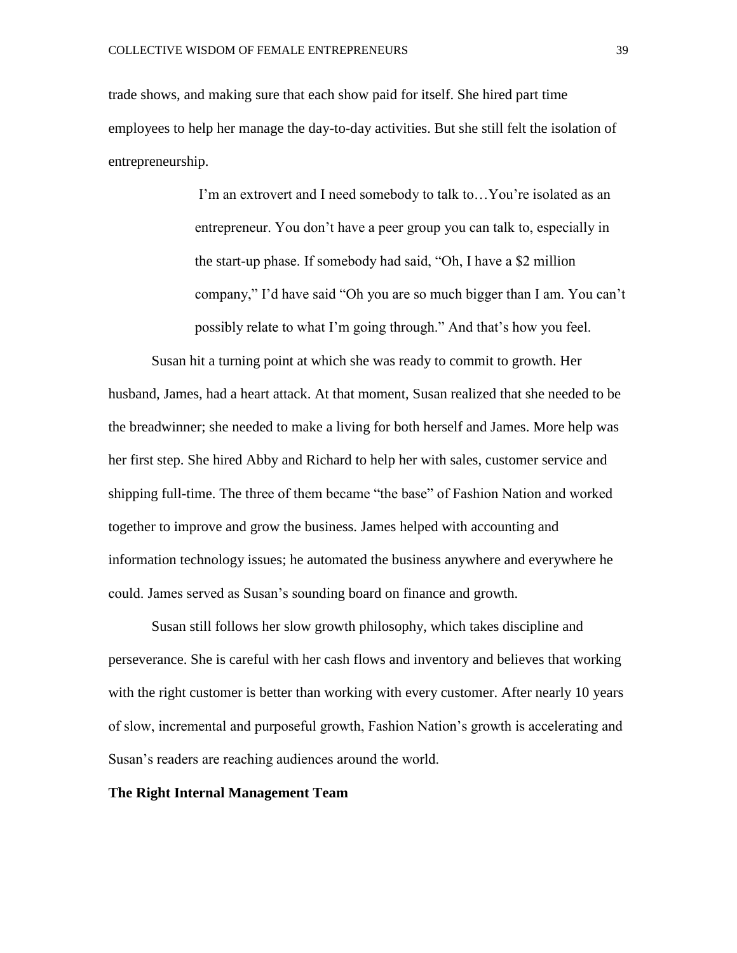trade shows, and making sure that each show paid for itself. She hired part time employees to help her manage the day-to-day activities. But she still felt the isolation of entrepreneurship.

> I'm an extrovert and I need somebody to talk to…You're isolated as an entrepreneur. You don't have a peer group you can talk to, especially in the start-up phase. If somebody had said, "Oh, I have a \$2 million company," I'd have said "Oh you are so much bigger than I am. You can't possibly relate to what I'm going through." And that's how you feel.

Susan hit a turning point at which she was ready to commit to growth. Her husband, James, had a heart attack. At that moment, Susan realized that she needed to be the breadwinner; she needed to make a living for both herself and James. More help was her first step. She hired Abby and Richard to help her with sales, customer service and shipping full-time. The three of them became "the base" of Fashion Nation and worked together to improve and grow the business. James helped with accounting and information technology issues; he automated the business anywhere and everywhere he could. James served as Susan's sounding board on finance and growth.

Susan still follows her slow growth philosophy, which takes discipline and perseverance. She is careful with her cash flows and inventory and believes that working with the right customer is better than working with every customer. After nearly 10 years of slow, incremental and purposeful growth, Fashion Nation's growth is accelerating and Susan's readers are reaching audiences around the world.

#### **The Right Internal Management Team**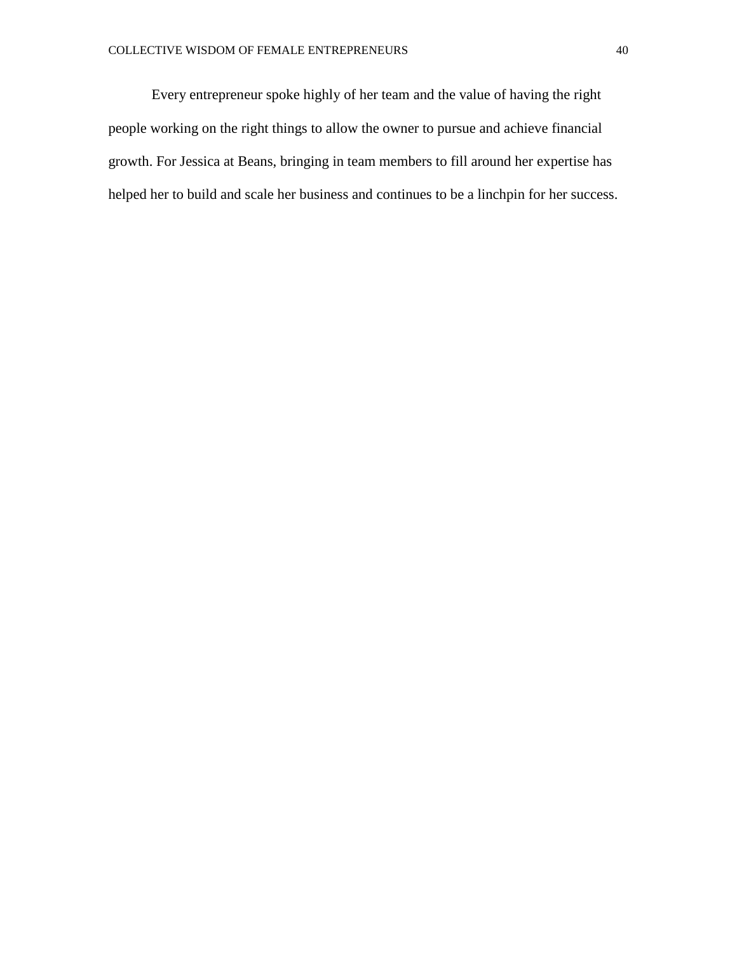Every entrepreneur spoke highly of her team and the value of having the right people working on the right things to allow the owner to pursue and achieve financial growth. For Jessica at Beans, bringing in team members to fill around her expertise has helped her to build and scale her business and continues to be a linchpin for her success.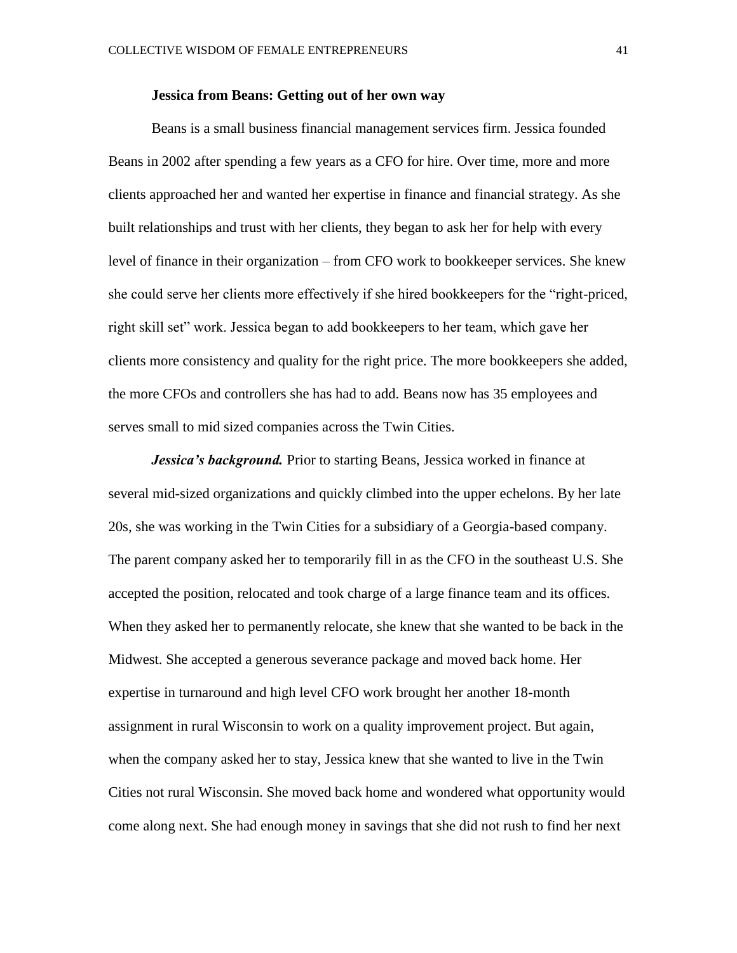#### **Jessica from Beans: Getting out of her own way**

Beans is a small business financial management services firm. Jessica founded Beans in 2002 after spending a few years as a CFO for hire. Over time, more and more clients approached her and wanted her expertise in finance and financial strategy. As she built relationships and trust with her clients, they began to ask her for help with every level of finance in their organization – from CFO work to bookkeeper services. She knew she could serve her clients more effectively if she hired bookkeepers for the "right-priced, right skill set" work. Jessica began to add bookkeepers to her team, which gave her clients more consistency and quality for the right price. The more bookkeepers she added, the more CFOs and controllers she has had to add. Beans now has 35 employees and serves small to mid sized companies across the Twin Cities.

*Jessica's background.* Prior to starting Beans, Jessica worked in finance at several mid-sized organizations and quickly climbed into the upper echelons. By her late 20s, she was working in the Twin Cities for a subsidiary of a Georgia-based company. The parent company asked her to temporarily fill in as the CFO in the southeast U.S. She accepted the position, relocated and took charge of a large finance team and its offices. When they asked her to permanently relocate, she knew that she wanted to be back in the Midwest. She accepted a generous severance package and moved back home. Her expertise in turnaround and high level CFO work brought her another 18-month assignment in rural Wisconsin to work on a quality improvement project. But again, when the company asked her to stay, Jessica knew that she wanted to live in the Twin Cities not rural Wisconsin. She moved back home and wondered what opportunity would come along next. She had enough money in savings that she did not rush to find her next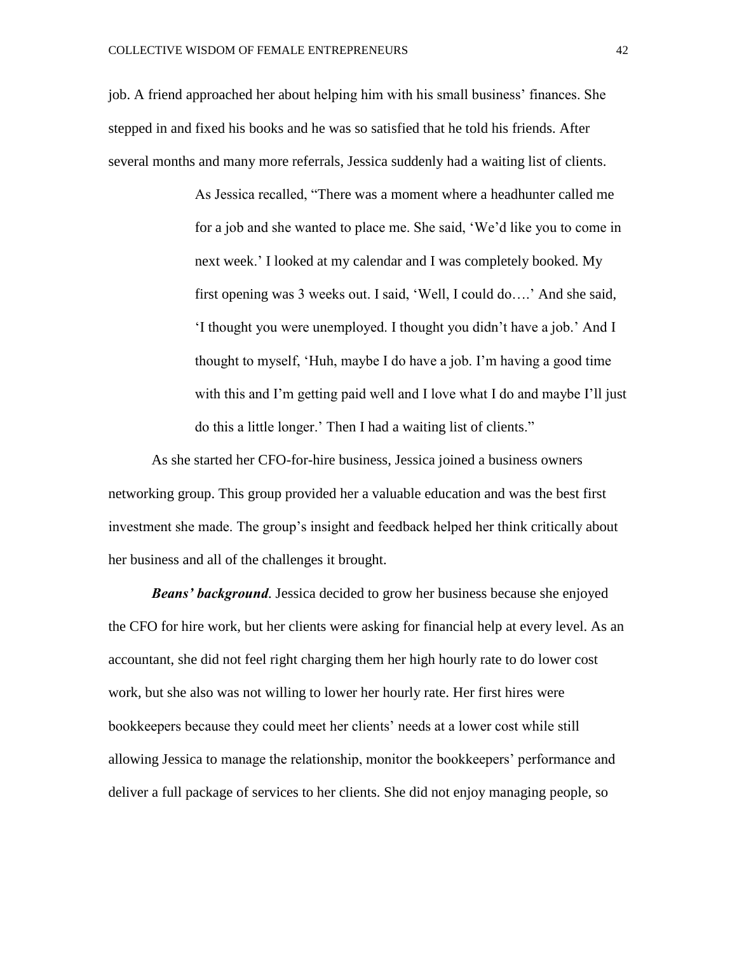job. A friend approached her about helping him with his small business' finances. She stepped in and fixed his books and he was so satisfied that he told his friends. After several months and many more referrals, Jessica suddenly had a waiting list of clients.

> As Jessica recalled, "There was a moment where a headhunter called me for a job and she wanted to place me. She said, 'We'd like you to come in next week.' I looked at my calendar and I was completely booked. My first opening was 3 weeks out. I said, 'Well, I could do….' And she said, 'I thought you were unemployed. I thought you didn't have a job.' And I thought to myself, 'Huh, maybe I do have a job. I'm having a good time with this and I'm getting paid well and I love what I do and maybe I'll just do this a little longer.' Then I had a waiting list of clients."

As she started her CFO-for-hire business, Jessica joined a business owners networking group. This group provided her a valuable education and was the best first investment she made. The group's insight and feedback helped her think critically about her business and all of the challenges it brought.

*Beans' background.* Jessica decided to grow her business because she enjoyed the CFO for hire work, but her clients were asking for financial help at every level. As an accountant, she did not feel right charging them her high hourly rate to do lower cost work, but she also was not willing to lower her hourly rate. Her first hires were bookkeepers because they could meet her clients' needs at a lower cost while still allowing Jessica to manage the relationship, monitor the bookkeepers' performance and deliver a full package of services to her clients. She did not enjoy managing people, so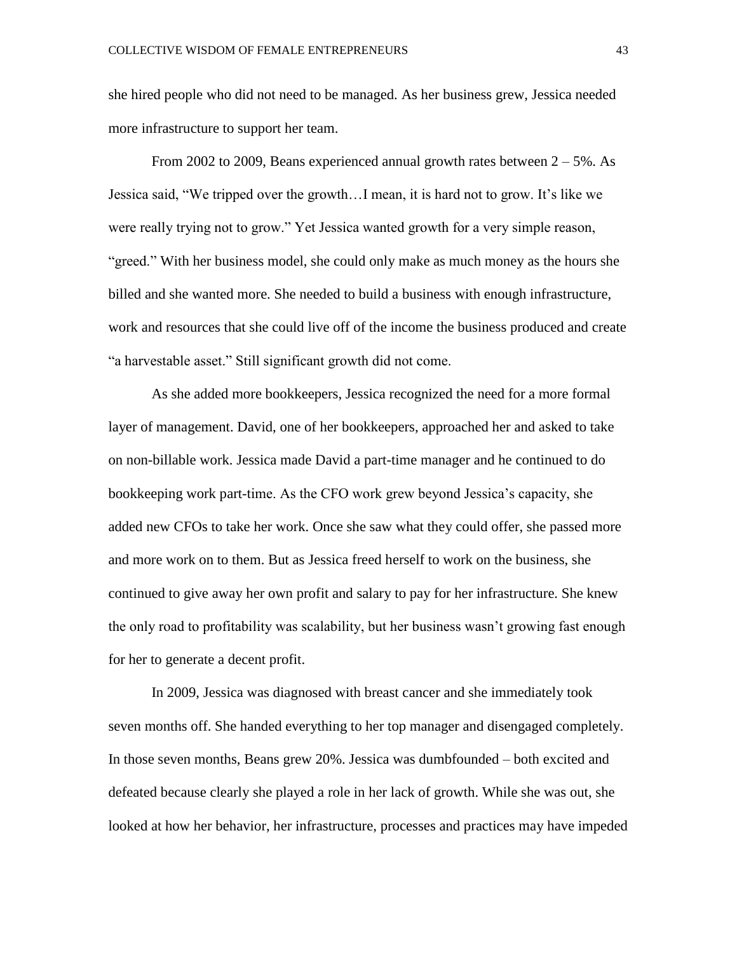she hired people who did not need to be managed. As her business grew, Jessica needed more infrastructure to support her team.

From 2002 to 2009, Beans experienced annual growth rates between  $2 - 5\%$ . As Jessica said, "We tripped over the growth…I mean, it is hard not to grow. It's like we were really trying not to grow." Yet Jessica wanted growth for a very simple reason, "greed." With her business model, she could only make as much money as the hours she billed and she wanted more. She needed to build a business with enough infrastructure, work and resources that she could live off of the income the business produced and create "a harvestable asset." Still significant growth did not come.

As she added more bookkeepers, Jessica recognized the need for a more formal layer of management. David, one of her bookkeepers, approached her and asked to take on non-billable work. Jessica made David a part-time manager and he continued to do bookkeeping work part-time. As the CFO work grew beyond Jessica's capacity, she added new CFOs to take her work. Once she saw what they could offer, she passed more and more work on to them. But as Jessica freed herself to work on the business, she continued to give away her own profit and salary to pay for her infrastructure. She knew the only road to profitability was scalability, but her business wasn't growing fast enough for her to generate a decent profit.

In 2009, Jessica was diagnosed with breast cancer and she immediately took seven months off. She handed everything to her top manager and disengaged completely. In those seven months, Beans grew 20%. Jessica was dumbfounded – both excited and defeated because clearly she played a role in her lack of growth. While she was out, she looked at how her behavior, her infrastructure, processes and practices may have impeded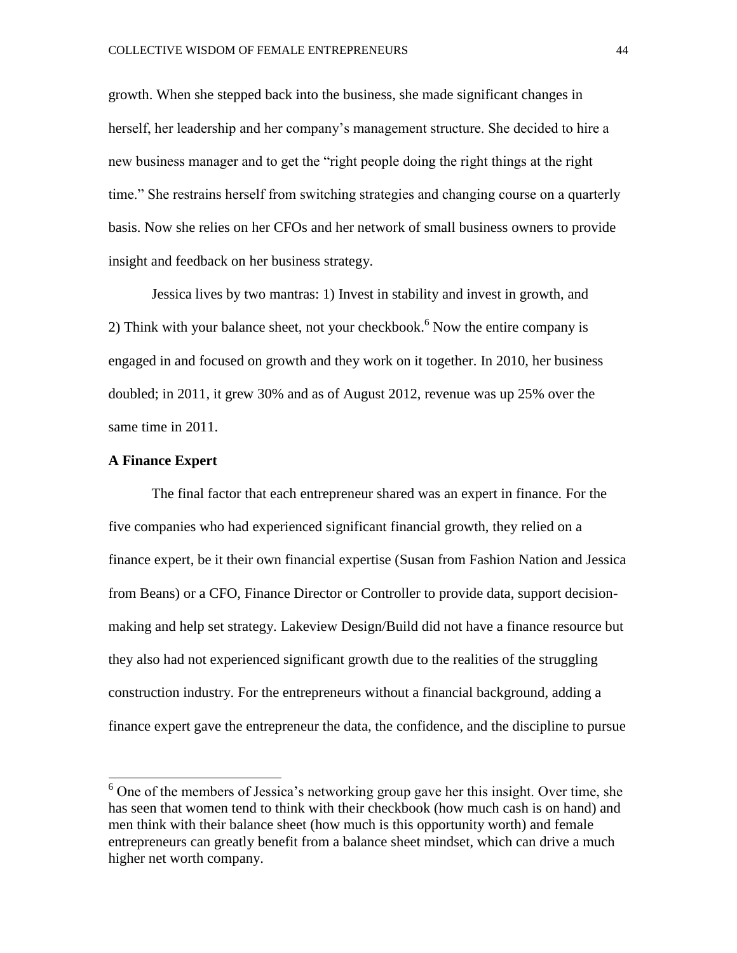growth. When she stepped back into the business, she made significant changes in herself, her leadership and her company's management structure. She decided to hire a new business manager and to get the "right people doing the right things at the right time." She restrains herself from switching strategies and changing course on a quarterly basis. Now she relies on her CFOs and her network of small business owners to provide insight and feedback on her business strategy.

Jessica lives by two mantras: 1) Invest in stability and invest in growth, and 2) Think with your balance sheet, not your checkbook.<sup>6</sup> Now the entire company is engaged in and focused on growth and they work on it together. In 2010, her business doubled; in 2011, it grew 30% and as of August 2012, revenue was up 25% over the same time in 2011.

#### **A Finance Expert**

 $\overline{a}$ 

The final factor that each entrepreneur shared was an expert in finance. For the five companies who had experienced significant financial growth, they relied on a finance expert, be it their own financial expertise (Susan from Fashion Nation and Jessica from Beans) or a CFO, Finance Director or Controller to provide data, support decisionmaking and help set strategy. Lakeview Design/Build did not have a finance resource but they also had not experienced significant growth due to the realities of the struggling construction industry. For the entrepreneurs without a financial background, adding a finance expert gave the entrepreneur the data, the confidence, and the discipline to pursue

 $6$  One of the members of Jessica's networking group gave her this insight. Over time, she has seen that women tend to think with their checkbook (how much cash is on hand) and men think with their balance sheet (how much is this opportunity worth) and female entrepreneurs can greatly benefit from a balance sheet mindset, which can drive a much higher net worth company.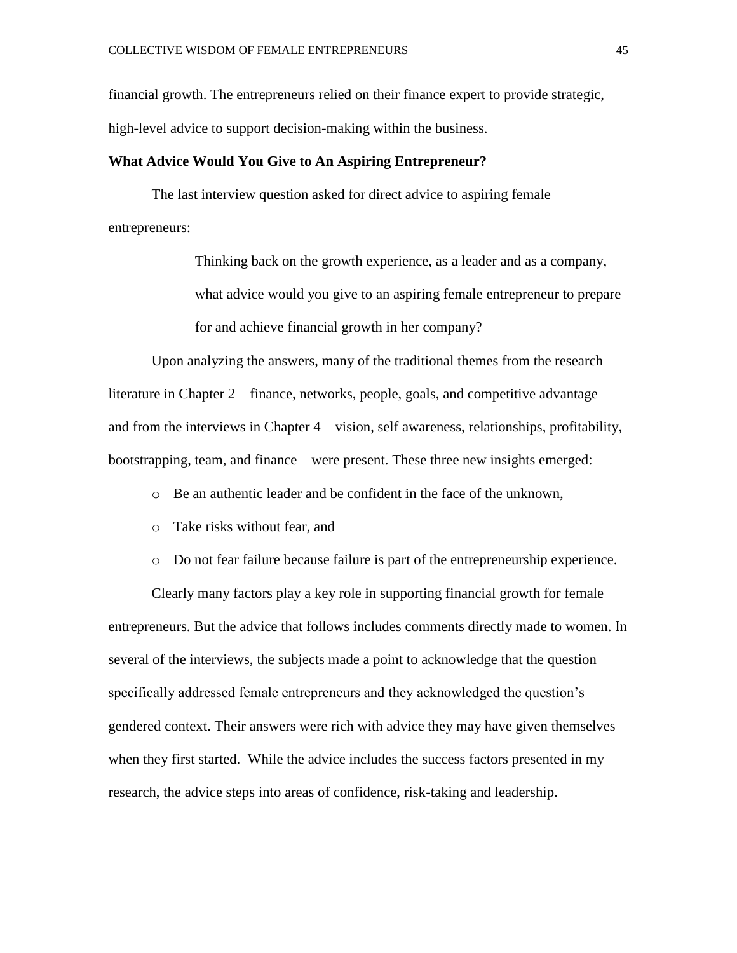financial growth. The entrepreneurs relied on their finance expert to provide strategic,

high-level advice to support decision-making within the business.

#### **What Advice Would You Give to An Aspiring Entrepreneur?**

The last interview question asked for direct advice to aspiring female entrepreneurs:

> Thinking back on the growth experience, as a leader and as a company, what advice would you give to an aspiring female entrepreneur to prepare for and achieve financial growth in her company?

Upon analyzing the answers, many of the traditional themes from the research literature in Chapter 2 – finance, networks, people, goals, and competitive advantage – and from the interviews in Chapter 4 – vision, self awareness, relationships, profitability, bootstrapping, team, and finance – were present. These three new insights emerged:

o Be an authentic leader and be confident in the face of the unknown,

- o Take risks without fear, and
- o Do not fear failure because failure is part of the entrepreneurship experience.

Clearly many factors play a key role in supporting financial growth for female entrepreneurs. But the advice that follows includes comments directly made to women. In several of the interviews, the subjects made a point to acknowledge that the question specifically addressed female entrepreneurs and they acknowledged the question's gendered context. Their answers were rich with advice they may have given themselves when they first started. While the advice includes the success factors presented in my research, the advice steps into areas of confidence, risk-taking and leadership.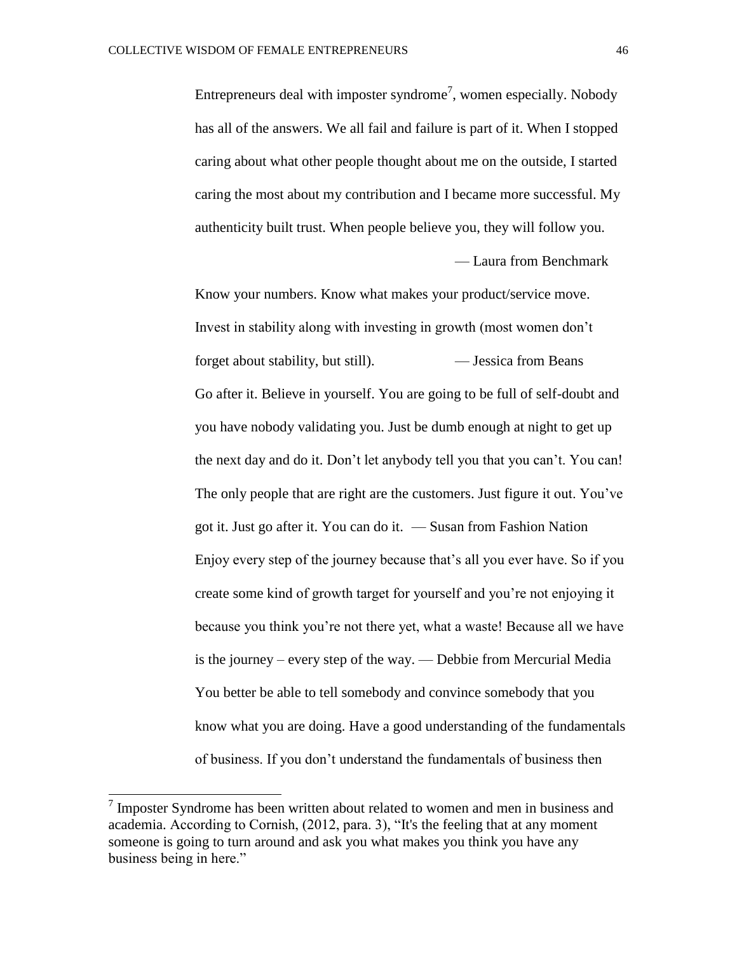Entrepreneurs deal with imposter syndrome<sup>7</sup>, women especially. Nobody has all of the answers. We all fail and failure is part of it. When I stopped caring about what other people thought about me on the outside, I started caring the most about my contribution and I became more successful. My authenticity built trust. When people believe you, they will follow you. — Laura from Benchmark

Know your numbers. Know what makes your product/service move. Invest in stability along with investing in growth (most women don't forget about stability, but still). — Jessica from Beans Go after it. Believe in yourself. You are going to be full of self-doubt and you have nobody validating you. Just be dumb enough at night to get up the next day and do it. Don't let anybody tell you that you can't. You can! The only people that are right are the customers. Just figure it out. You've got it. Just go after it. You can do it. — Susan from Fashion Nation Enjoy every step of the journey because that's all you ever have. So if you create some kind of growth target for yourself and you're not enjoying it because you think you're not there yet, what a waste! Because all we have is the journey – every step of the way. — Debbie from Mercurial Media You better be able to tell somebody and convince somebody that you know what you are doing. Have a good understanding of the fundamentals of business. If you don't understand the fundamentals of business then

 $\overline{a}$ 

 $<sup>7</sup>$  Imposter Syndrome has been written about related to women and men in business and</sup> academia. According to Cornish, (2012, para. 3), "It's the feeling that at any moment someone is going to turn around and ask you what makes you think you have any business being in here."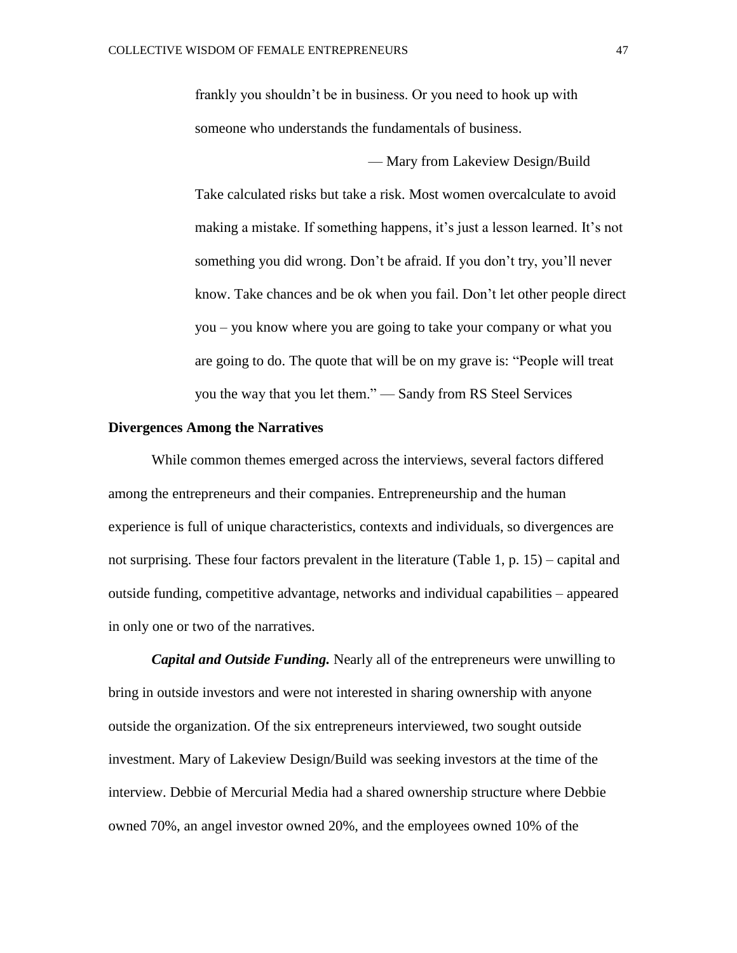frankly you shouldn't be in business. Or you need to hook up with someone who understands the fundamentals of business.

— Mary from Lakeview Design/Build

Take calculated risks but take a risk. Most women overcalculate to avoid making a mistake. If something happens, it's just a lesson learned. It's not something you did wrong. Don't be afraid. If you don't try, you'll never know. Take chances and be ok when you fail. Don't let other people direct you – you know where you are going to take your company or what you are going to do. The quote that will be on my grave is: "People will treat you the way that you let them." — Sandy from RS Steel Services

#### **Divergences Among the Narratives**

While common themes emerged across the interviews, several factors differed among the entrepreneurs and their companies. Entrepreneurship and the human experience is full of unique characteristics, contexts and individuals, so divergences are not surprising. These four factors prevalent in the literature (Table 1, p. 15) – capital and outside funding, competitive advantage, networks and individual capabilities – appeared in only one or two of the narratives.

*Capital and Outside Funding.* Nearly all of the entrepreneurs were unwilling to bring in outside investors and were not interested in sharing ownership with anyone outside the organization. Of the six entrepreneurs interviewed, two sought outside investment. Mary of Lakeview Design/Build was seeking investors at the time of the interview. Debbie of Mercurial Media had a shared ownership structure where Debbie owned 70%, an angel investor owned 20%, and the employees owned 10% of the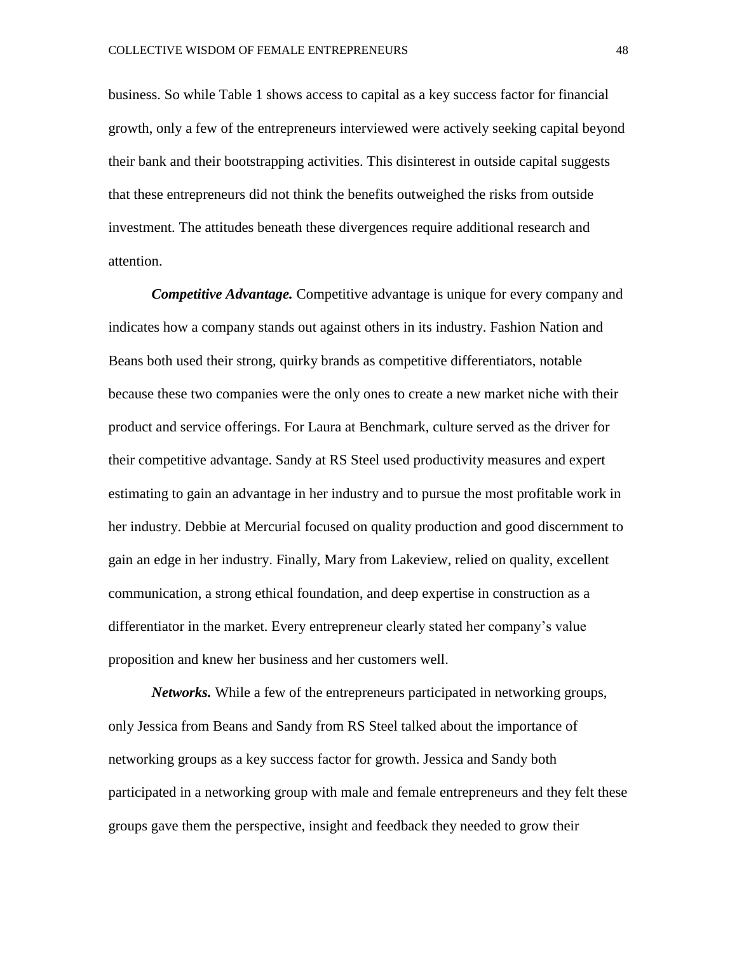business. So while Table 1 shows access to capital as a key success factor for financial growth, only a few of the entrepreneurs interviewed were actively seeking capital beyond their bank and their bootstrapping activities. This disinterest in outside capital suggests that these entrepreneurs did not think the benefits outweighed the risks from outside investment. The attitudes beneath these divergences require additional research and attention.

*Competitive Advantage.* Competitive advantage is unique for every company and indicates how a company stands out against others in its industry. Fashion Nation and Beans both used their strong, quirky brands as competitive differentiators, notable because these two companies were the only ones to create a new market niche with their product and service offerings. For Laura at Benchmark, culture served as the driver for their competitive advantage. Sandy at RS Steel used productivity measures and expert estimating to gain an advantage in her industry and to pursue the most profitable work in her industry. Debbie at Mercurial focused on quality production and good discernment to gain an edge in her industry. Finally, Mary from Lakeview, relied on quality, excellent communication, a strong ethical foundation, and deep expertise in construction as a differentiator in the market. Every entrepreneur clearly stated her company's value proposition and knew her business and her customers well.

*Networks.* While a few of the entrepreneurs participated in networking groups, only Jessica from Beans and Sandy from RS Steel talked about the importance of networking groups as a key success factor for growth. Jessica and Sandy both participated in a networking group with male and female entrepreneurs and they felt these groups gave them the perspective, insight and feedback they needed to grow their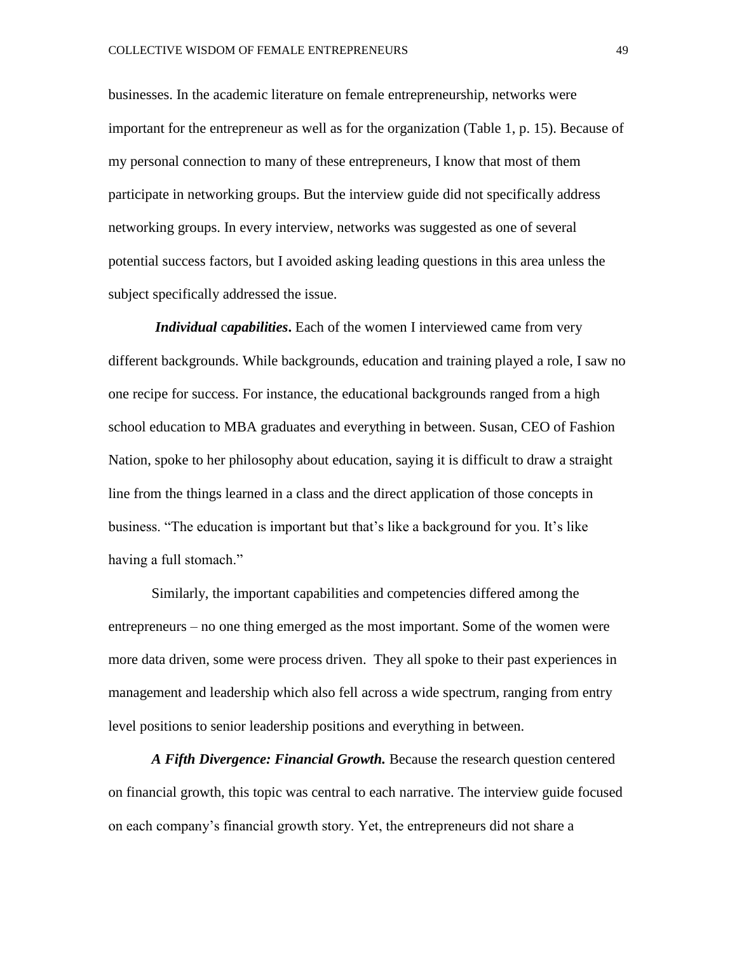businesses. In the academic literature on female entrepreneurship, networks were important for the entrepreneur as well as for the organization (Table 1, p. 15). Because of my personal connection to many of these entrepreneurs, I know that most of them participate in networking groups. But the interview guide did not specifically address networking groups. In every interview, networks was suggested as one of several potential success factors, but I avoided asking leading questions in this area unless the subject specifically addressed the issue.

*Individual* c*apabilities***.** Each of the women I interviewed came from very different backgrounds. While backgrounds, education and training played a role, I saw no one recipe for success. For instance, the educational backgrounds ranged from a high school education to MBA graduates and everything in between. Susan, CEO of Fashion Nation, spoke to her philosophy about education, saying it is difficult to draw a straight line from the things learned in a class and the direct application of those concepts in business. "The education is important but that's like a background for you. It's like having a full stomach."

Similarly, the important capabilities and competencies differed among the entrepreneurs – no one thing emerged as the most important. Some of the women were more data driven, some were process driven. They all spoke to their past experiences in management and leadership which also fell across a wide spectrum, ranging from entry level positions to senior leadership positions and everything in between.

*A Fifth Divergence: Financial Growth.* Because the research question centered on financial growth, this topic was central to each narrative. The interview guide focused on each company's financial growth story. Yet, the entrepreneurs did not share a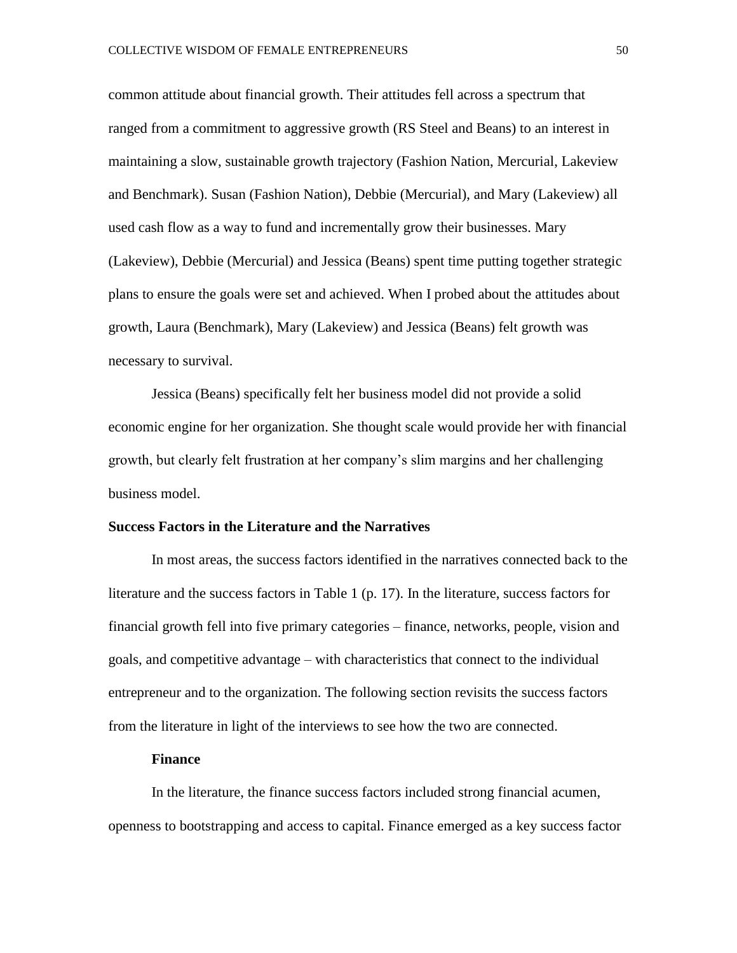common attitude about financial growth. Their attitudes fell across a spectrum that ranged from a commitment to aggressive growth (RS Steel and Beans) to an interest in maintaining a slow, sustainable growth trajectory (Fashion Nation, Mercurial, Lakeview and Benchmark). Susan (Fashion Nation), Debbie (Mercurial), and Mary (Lakeview) all used cash flow as a way to fund and incrementally grow their businesses. Mary (Lakeview), Debbie (Mercurial) and Jessica (Beans) spent time putting together strategic plans to ensure the goals were set and achieved. When I probed about the attitudes about growth, Laura (Benchmark), Mary (Lakeview) and Jessica (Beans) felt growth was necessary to survival.

Jessica (Beans) specifically felt her business model did not provide a solid economic engine for her organization. She thought scale would provide her with financial growth, but clearly felt frustration at her company's slim margins and her challenging business model.

#### **Success Factors in the Literature and the Narratives**

In most areas, the success factors identified in the narratives connected back to the literature and the success factors in Table 1 (p. 17). In the literature, success factors for financial growth fell into five primary categories – finance, networks, people, vision and goals, and competitive advantage – with characteristics that connect to the individual entrepreneur and to the organization. The following section revisits the success factors from the literature in light of the interviews to see how the two are connected.

#### **Finance**

In the literature, the finance success factors included strong financial acumen, openness to bootstrapping and access to capital. Finance emerged as a key success factor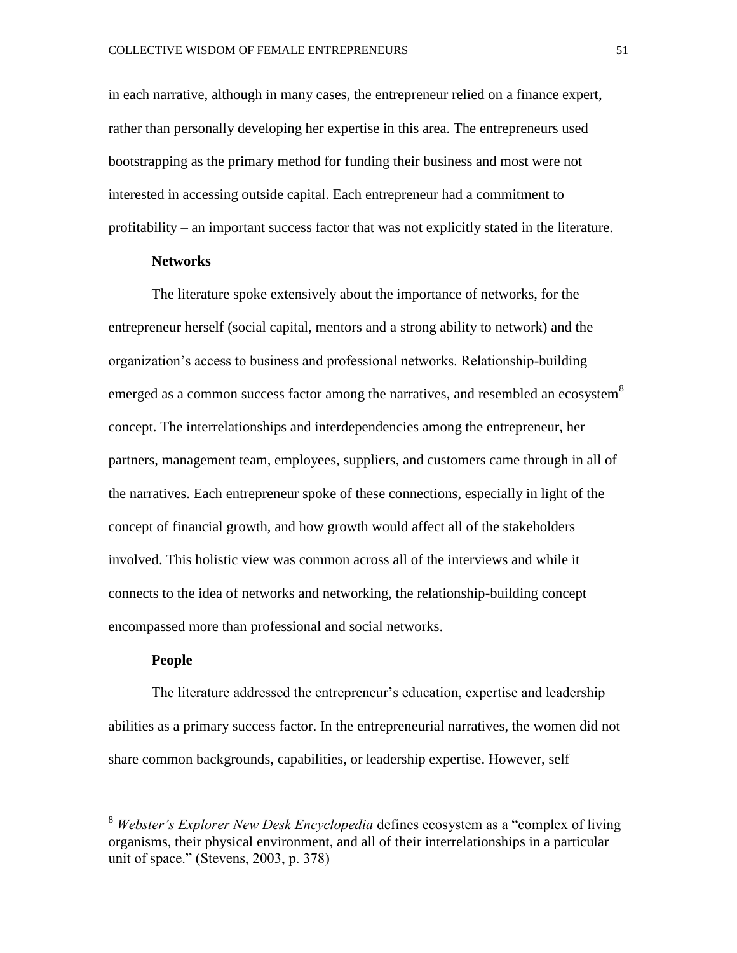in each narrative, although in many cases, the entrepreneur relied on a finance expert, rather than personally developing her expertise in this area. The entrepreneurs used bootstrapping as the primary method for funding their business and most were not interested in accessing outside capital. Each entrepreneur had a commitment to profitability – an important success factor that was not explicitly stated in the literature.

#### **Networks**

The literature spoke extensively about the importance of networks, for the entrepreneur herself (social capital, mentors and a strong ability to network) and the organization's access to business and professional networks. Relationship-building emerged as a common success factor among the narratives, and resembled an ecosystem  $8$ concept. The interrelationships and interdependencies among the entrepreneur, her partners, management team, employees, suppliers, and customers came through in all of the narratives. Each entrepreneur spoke of these connections, especially in light of the concept of financial growth, and how growth would affect all of the stakeholders involved. This holistic view was common across all of the interviews and while it connects to the idea of networks and networking, the relationship-building concept encompassed more than professional and social networks.

#### **People**

 $\overline{a}$ 

The literature addressed the entrepreneur's education, expertise and leadership abilities as a primary success factor. In the entrepreneurial narratives, the women did not share common backgrounds, capabilities, or leadership expertise. However, self

<sup>8</sup> *Webster's Explorer New Desk Encyclopedia* defines ecosystem as a "complex of living organisms, their physical environment, and all of their interrelationships in a particular unit of space." (Stevens, 2003, p. 378)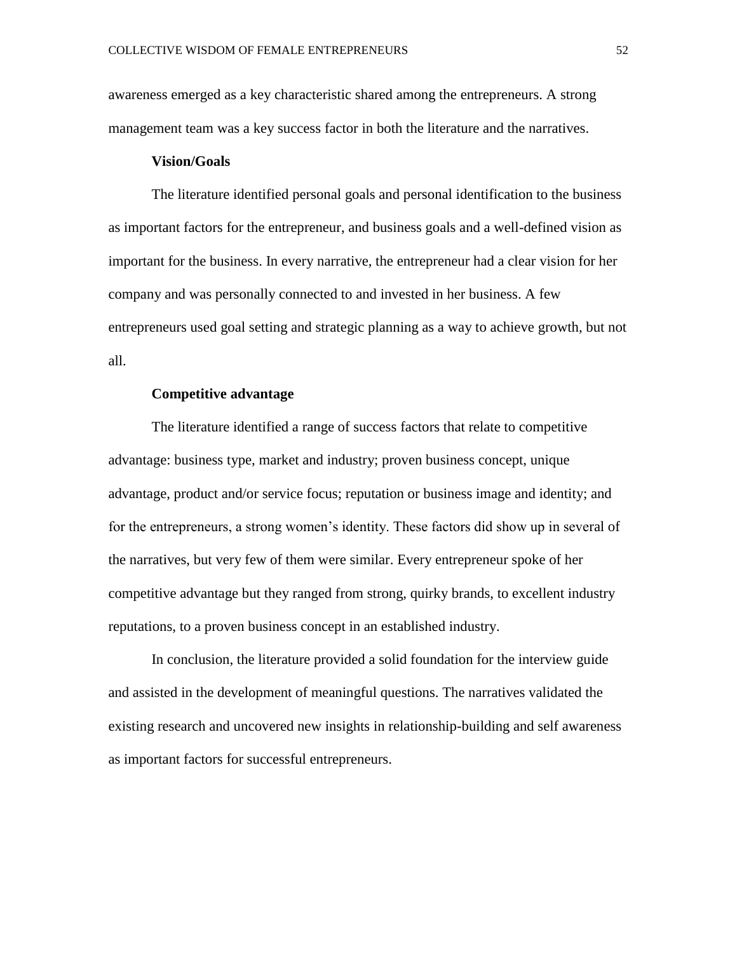awareness emerged as a key characteristic shared among the entrepreneurs. A strong management team was a key success factor in both the literature and the narratives.

# **Vision/Goals**

The literature identified personal goals and personal identification to the business as important factors for the entrepreneur, and business goals and a well-defined vision as important for the business. In every narrative, the entrepreneur had a clear vision for her company and was personally connected to and invested in her business. A few entrepreneurs used goal setting and strategic planning as a way to achieve growth, but not all.

# **Competitive advantage**

The literature identified a range of success factors that relate to competitive advantage: business type, market and industry; proven business concept, unique advantage, product and/or service focus; reputation or business image and identity; and for the entrepreneurs, a strong women's identity. These factors did show up in several of the narratives, but very few of them were similar. Every entrepreneur spoke of her competitive advantage but they ranged from strong, quirky brands, to excellent industry reputations, to a proven business concept in an established industry.

In conclusion, the literature provided a solid foundation for the interview guide and assisted in the development of meaningful questions. The narratives validated the existing research and uncovered new insights in relationship-building and self awareness as important factors for successful entrepreneurs.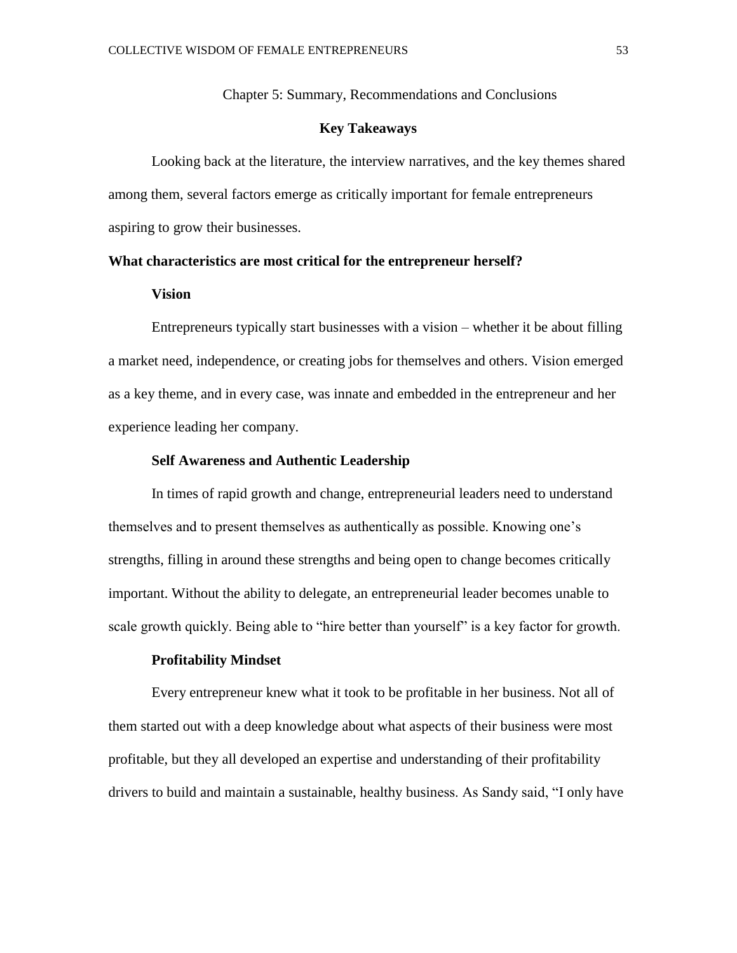Chapter 5: Summary, Recommendations and Conclusions

# **Key Takeaways**

Looking back at the literature, the interview narratives, and the key themes shared among them, several factors emerge as critically important for female entrepreneurs aspiring to grow their businesses.

#### **What characteristics are most critical for the entrepreneur herself?**

#### **Vision**

Entrepreneurs typically start businesses with a vision – whether it be about filling a market need, independence, or creating jobs for themselves and others. Vision emerged as a key theme, and in every case, was innate and embedded in the entrepreneur and her experience leading her company.

#### **Self Awareness and Authentic Leadership**

In times of rapid growth and change, entrepreneurial leaders need to understand themselves and to present themselves as authentically as possible. Knowing one's strengths, filling in around these strengths and being open to change becomes critically important. Without the ability to delegate, an entrepreneurial leader becomes unable to scale growth quickly. Being able to "hire better than yourself" is a key factor for growth.

### **Profitability Mindset**

Every entrepreneur knew what it took to be profitable in her business. Not all of them started out with a deep knowledge about what aspects of their business were most profitable, but they all developed an expertise and understanding of their profitability drivers to build and maintain a sustainable, healthy business. As Sandy said, "I only have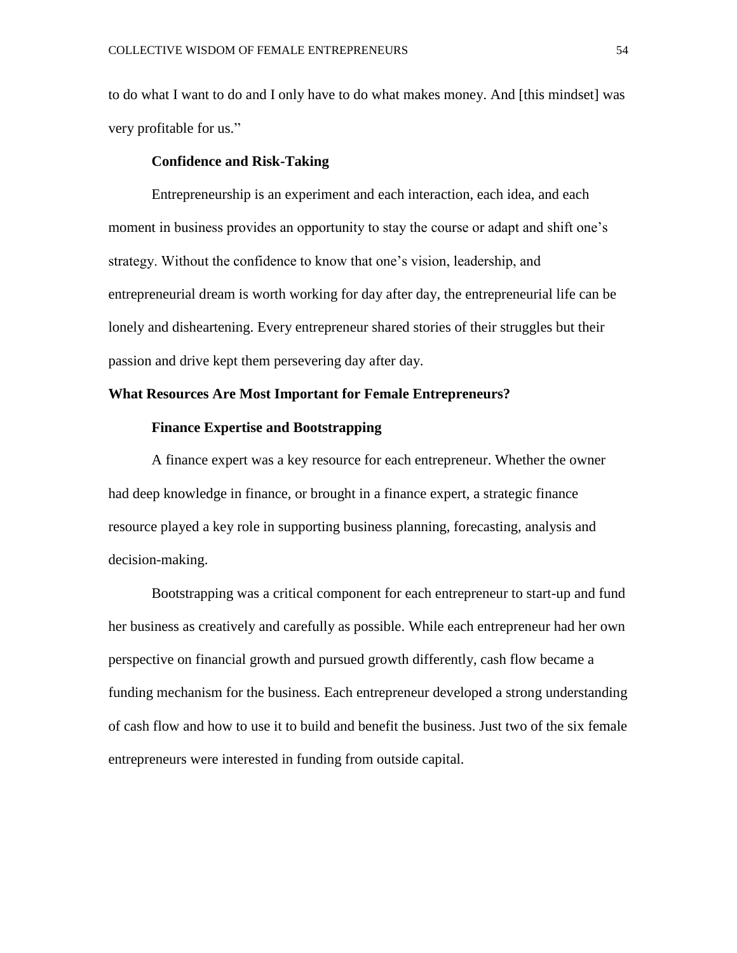to do what I want to do and I only have to do what makes money. And [this mindset] was very profitable for us."

#### **Confidence and Risk-Taking**

Entrepreneurship is an experiment and each interaction, each idea, and each moment in business provides an opportunity to stay the course or adapt and shift one's strategy. Without the confidence to know that one's vision, leadership, and entrepreneurial dream is worth working for day after day, the entrepreneurial life can be lonely and disheartening. Every entrepreneur shared stories of their struggles but their passion and drive kept them persevering day after day.

# **What Resources Are Most Important for Female Entrepreneurs?**

#### **Finance Expertise and Bootstrapping**

A finance expert was a key resource for each entrepreneur. Whether the owner had deep knowledge in finance, or brought in a finance expert, a strategic finance resource played a key role in supporting business planning, forecasting, analysis and decision-making.

Bootstrapping was a critical component for each entrepreneur to start-up and fund her business as creatively and carefully as possible. While each entrepreneur had her own perspective on financial growth and pursued growth differently, cash flow became a funding mechanism for the business. Each entrepreneur developed a strong understanding of cash flow and how to use it to build and benefit the business. Just two of the six female entrepreneurs were interested in funding from outside capital.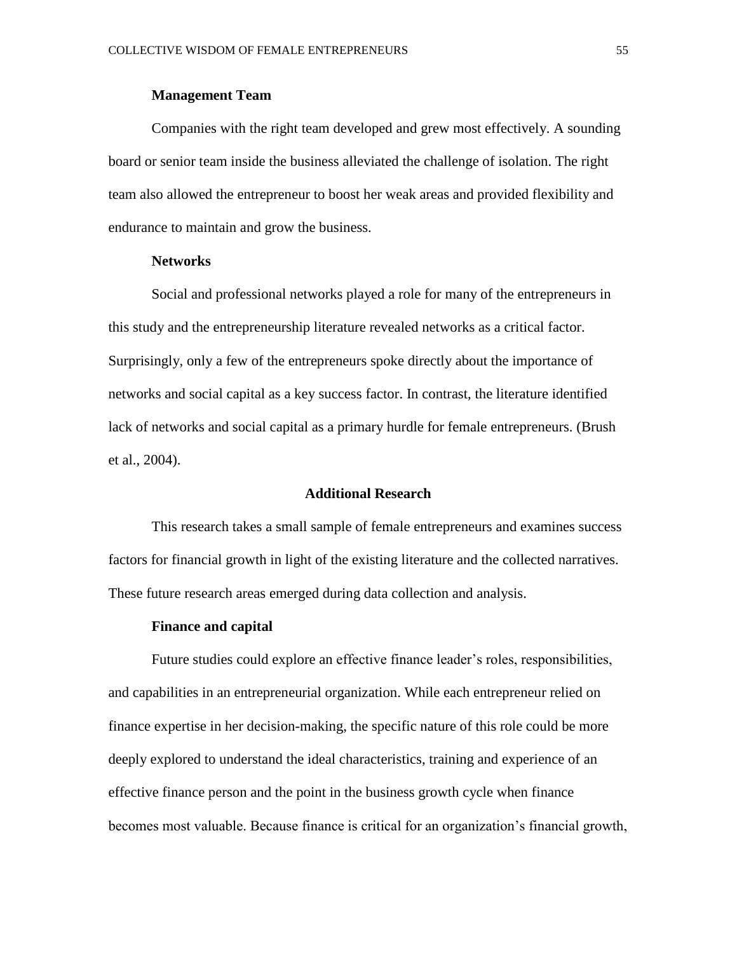#### **Management Team**

Companies with the right team developed and grew most effectively. A sounding board or senior team inside the business alleviated the challenge of isolation. The right team also allowed the entrepreneur to boost her weak areas and provided flexibility and endurance to maintain and grow the business.

#### **Networks**

Social and professional networks played a role for many of the entrepreneurs in this study and the entrepreneurship literature revealed networks as a critical factor. Surprisingly, only a few of the entrepreneurs spoke directly about the importance of networks and social capital as a key success factor. In contrast, the literature identified lack of networks and social capital as a primary hurdle for female entrepreneurs. (Brush et al., 2004).

#### **Additional Research**

This research takes a small sample of female entrepreneurs and examines success factors for financial growth in light of the existing literature and the collected narratives. These future research areas emerged during data collection and analysis.

#### **Finance and capital**

Future studies could explore an effective finance leader's roles, responsibilities, and capabilities in an entrepreneurial organization. While each entrepreneur relied on finance expertise in her decision-making, the specific nature of this role could be more deeply explored to understand the ideal characteristics, training and experience of an effective finance person and the point in the business growth cycle when finance becomes most valuable. Because finance is critical for an organization's financial growth,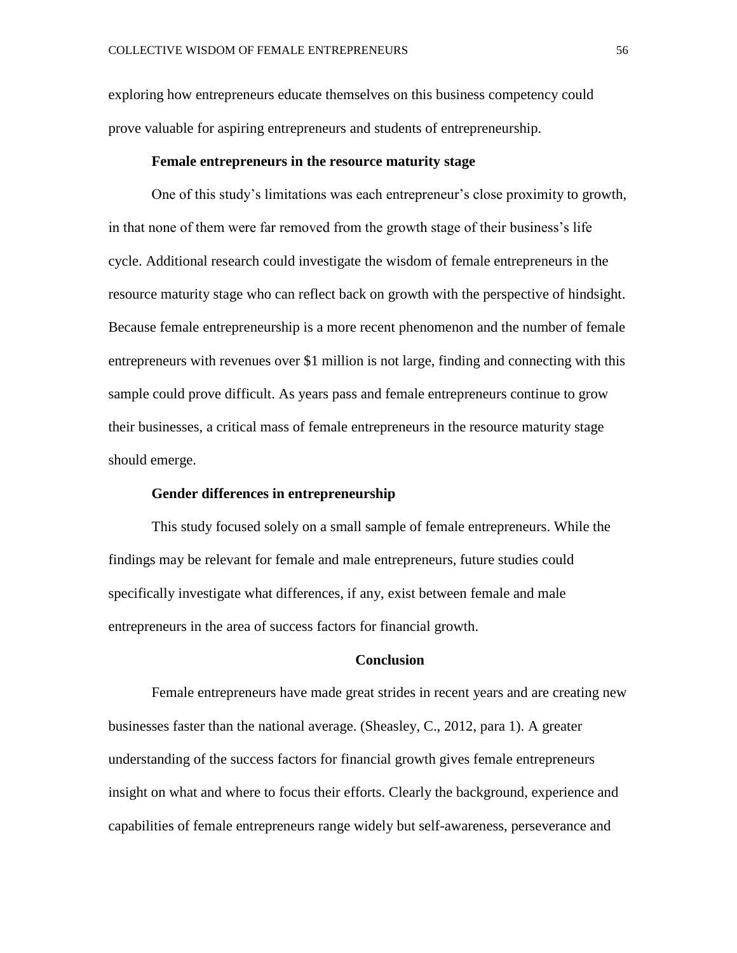exploring how entrepreneurs educate themselves on this business competency could prove valuable for aspiring entrepreneurs and students of entrepreneurship.

#### **Female entrepreneurs in the resource maturity stage**

One of this study's limitations was each entrepreneur's close proximity to growth, in that none of them were far removed from the growth stage of their business's life cycle. Additional research could investigate the wisdom of female entrepreneurs in the resource maturity stage who can reflect back on growth with the perspective of hindsight. Because female entrepreneurship is a more recent phenomenon and the number of female entrepreneurs with revenues over \$1 million is not large, finding and connecting with this sample could prove difficult. As years pass and female entrepreneurs continue to grow their businesses, a critical mass of female entrepreneurs in the resource maturity stage should emerge.

#### **Gender differences in entrepreneurship**

This study focused solely on a small sample of female entrepreneurs. While the findings may be relevant for female and male entrepreneurs, future studies could specifically investigate what differences, if any, exist between female and male entrepreneurs in the area of success factors for financial growth.

#### **Conclusion**

Female entrepreneurs have made great strides in recent years and are creating new businesses faster than the national average. (Sheasley, C., 2012, para 1). A greater understanding of the success factors for financial growth gives female entrepreneurs insight on what and where to focus their efforts. Clearly the background, experience and capabilities of female entrepreneurs range widely but self-awareness, perseverance and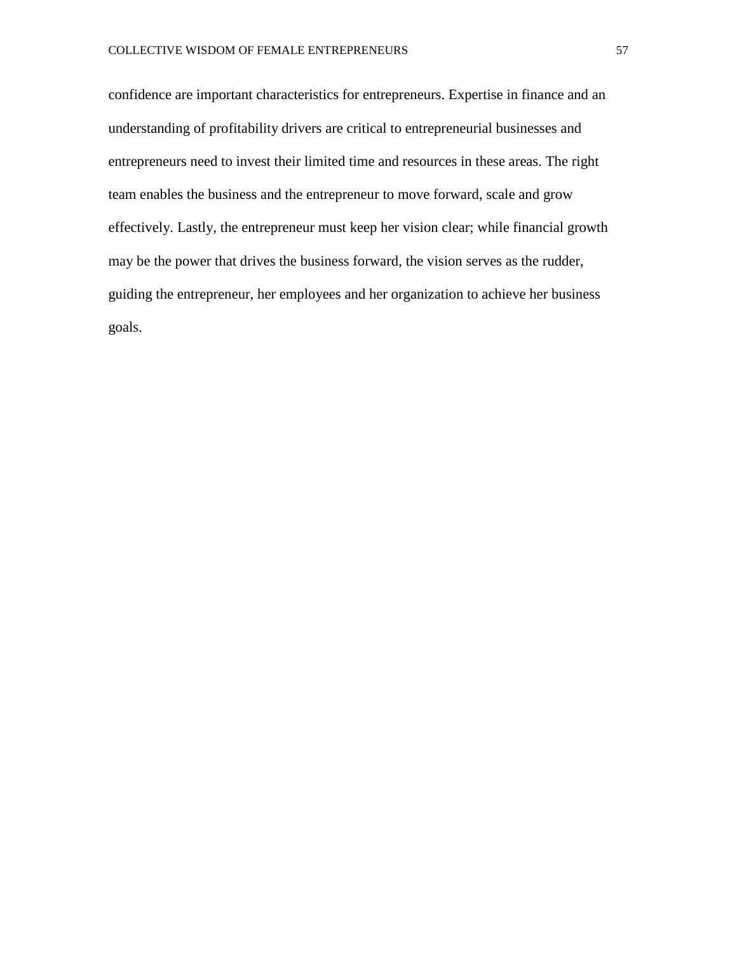confidence are important characteristics for entrepreneurs. Expertise in finance and an understanding of profitability drivers are critical to entrepreneurial businesses and entrepreneurs need to invest their limited time and resources in these areas. The right team enables the business and the entrepreneur to move forward, scale and grow effectively. Lastly, the entrepreneur must keep her vision clear; while financial growth may be the power that drives the business forward, the vision serves as the rudder, guiding the entrepreneur, her employees and her organization to achieve her business goals.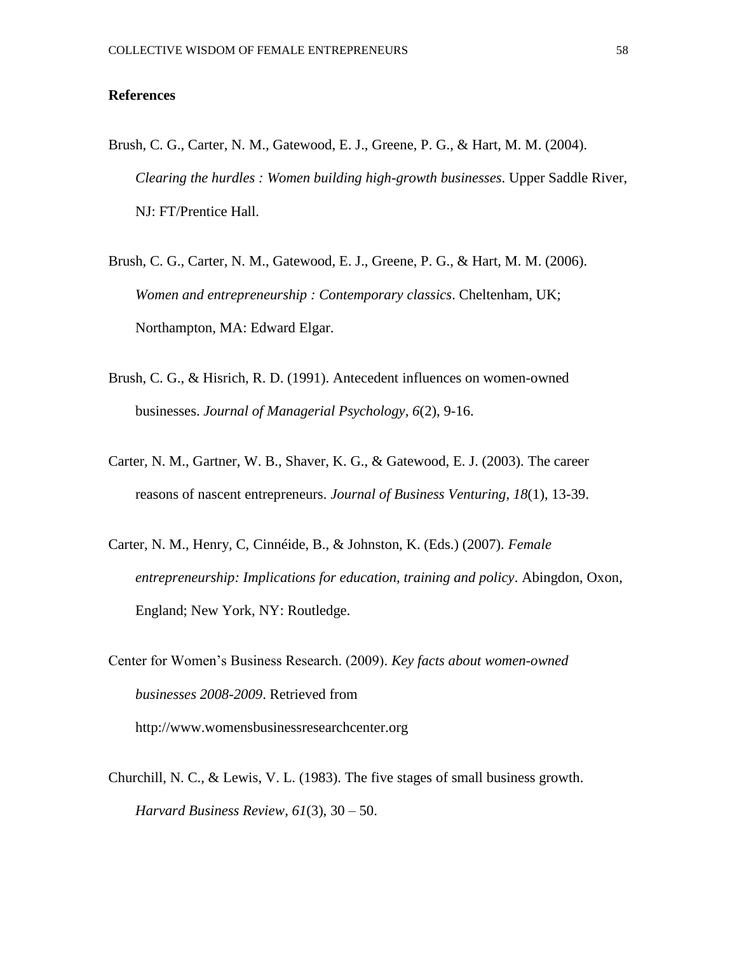# **References**

- Brush, C. G., Carter, N. M., Gatewood, E. J., Greene, P. G., & Hart, M. M. (2004). *Clearing the hurdles : Women building high-growth businesses*. Upper Saddle River, NJ: FT/Prentice Hall.
- Brush, C. G., Carter, N. M., Gatewood, E. J., Greene, P. G., & Hart, M. M. (2006). *Women and entrepreneurship : Contemporary classics*. Cheltenham, UK; Northampton, MA: Edward Elgar.
- Brush, C. G., & Hisrich, R. D. (1991). Antecedent influences on women-owned businesses. *Journal of Managerial Psychology, 6*(2), 9-16.
- Carter, N. M., Gartner, W. B., Shaver, K. G., & Gatewood, E. J. (2003). The career reasons of nascent entrepreneurs. *Journal of Business Venturing, 18*(1), 13-39.
- Carter, N. M., Henry, C, Cinnéide, B., & Johnston, K. (Eds.) (2007). *Female entrepreneurship: Implications for education, training and policy*. Abingdon, Oxon, England; New York, NY: Routledge.
- Center for Women's Business Research. (2009). *Key facts about women-owned businesses 2008-2009*. Retrieved from http://www.womensbusinessresearchcenter.org
- Churchill, N. C., & Lewis, V. L. (1983). The five stages of small business growth. *Harvard Business Review*, *61*(3), 30 – 50.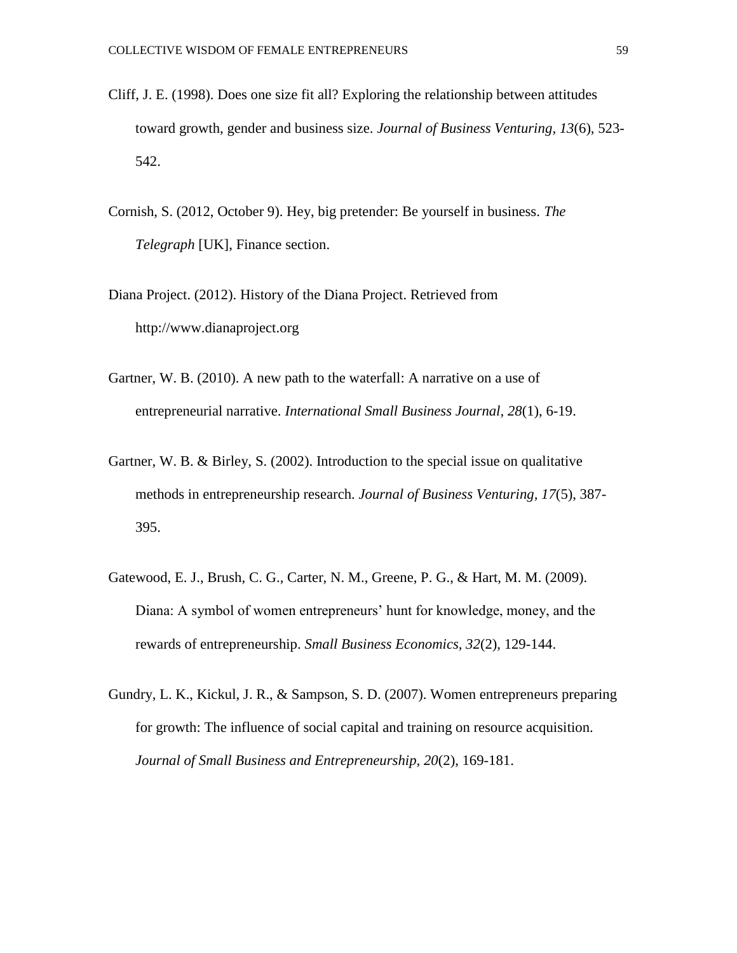- Cliff, J. E. (1998). Does one size fit all? Exploring the relationship between attitudes toward growth, gender and business size. *Journal of Business Venturing, 13*(6), 523- 542.
- Cornish, S. (2012, October 9). Hey, big pretender: Be yourself in business. *The Telegraph* [UK], Finance section.
- Diana Project. (2012). History of the Diana Project. Retrieved from http://www.dianaproject.org
- Gartner, W. B. (2010). A new path to the waterfall: A narrative on a use of entrepreneurial narrative. *International Small Business Journal, 28*(1), 6-19.
- Gartner, W. B. & Birley, S. (2002). Introduction to the special issue on qualitative methods in entrepreneurship research. *Journal of Business Venturing, 17*(5), 387- 395.
- Gatewood, E. J., Brush, C. G., Carter, N. M., Greene, P. G., & Hart, M. M. (2009). Diana: A symbol of women entrepreneurs' hunt for knowledge, money, and the rewards of entrepreneurship. *Small Business Economics, 32*(2), 129-144.
- Gundry, L. K., Kickul, J. R., & Sampson, S. D. (2007). Women entrepreneurs preparing for growth: The influence of social capital and training on resource acquisition. *Journal of Small Business and Entrepreneurship, 20*(2), 169-181.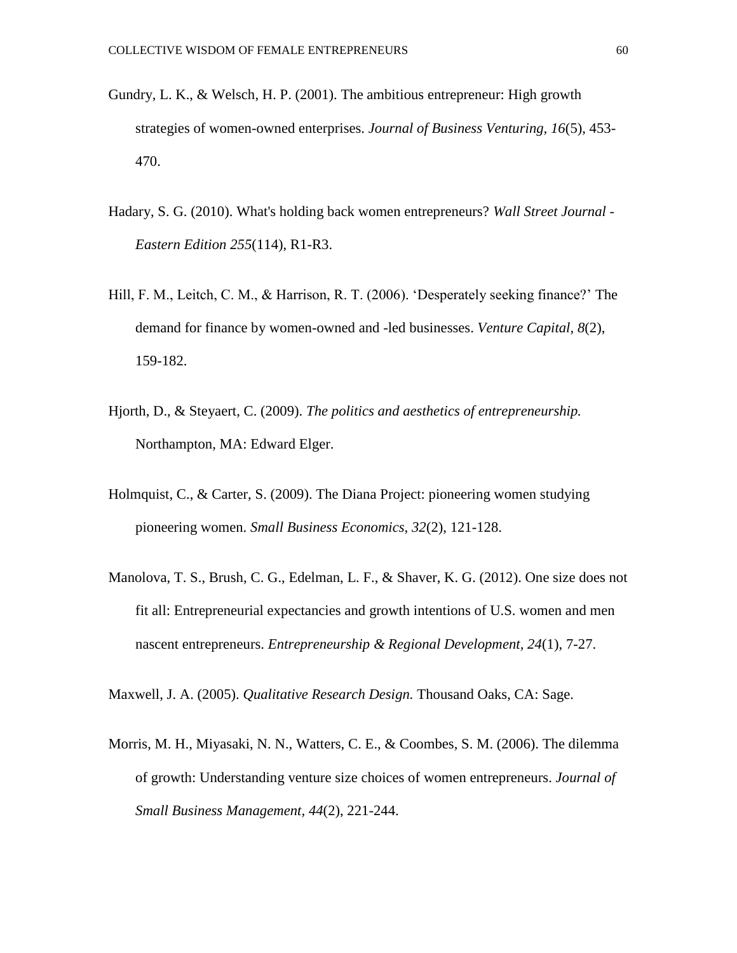- Gundry, L. K., & Welsch, H. P. (2001). The ambitious entrepreneur: High growth strategies of women-owned enterprises. *Journal of Business Venturing, 16*(5), 453- 470.
- Hadary, S. G. (2010). What's holding back women entrepreneurs? *Wall Street Journal - Eastern Edition 255*(114), R1-R3.
- Hill, F. M., Leitch, C. M., & Harrison, R. T. (2006). 'Desperately seeking finance?' The demand for finance by women-owned and -led businesses. *Venture Capital, 8*(2), 159-182.
- Hjorth, D., & Steyaert, C. (2009). *The politics and aesthetics of entrepreneurship.* Northampton, MA: Edward Elger.
- Holmquist, C., & Carter, S. (2009). The Diana Project: pioneering women studying pioneering women. *Small Business Economics, 32*(2), 121-128.
- Manolova, T. S., Brush, C. G., Edelman, L. F., & Shaver, K. G. (2012). One size does not fit all: Entrepreneurial expectancies and growth intentions of U.S. women and men nascent entrepreneurs. *Entrepreneurship & Regional Development, 24*(1), 7-27.

Maxwell, J. A. (2005). *Qualitative Research Design.* Thousand Oaks, CA: Sage.

Morris, M. H., Miyasaki, N. N., Watters, C. E., & Coombes, S. M. (2006). The dilemma of growth: Understanding venture size choices of women entrepreneurs. *Journal of Small Business Management, 44*(2), 221-244.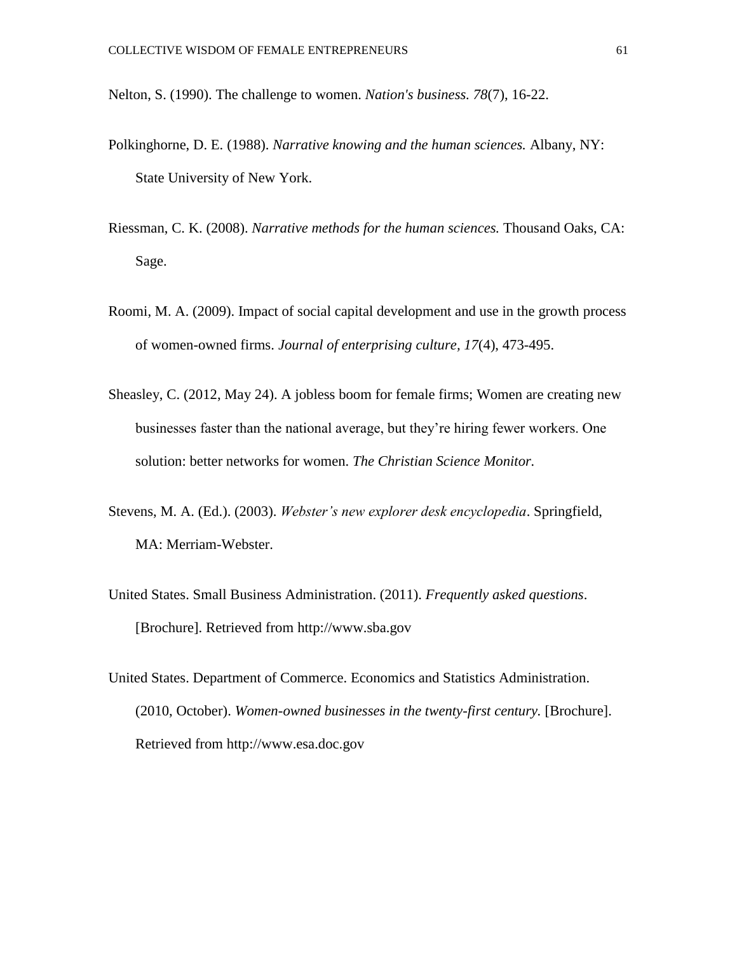Nelton, S. (1990). The challenge to women. *Nation's business. 78*(7), 16-22.

- Polkinghorne, D. E. (1988). *Narrative knowing and the human sciences.* Albany, NY: State University of New York.
- Riessman, C. K. (2008). *Narrative methods for the human sciences.* Thousand Oaks, CA: Sage.
- Roomi, M. A. (2009). Impact of social capital development and use in the growth process of women-owned firms. *Journal of enterprising culture, 17*(4), 473-495.
- Sheasley, C. (2012, May 24). A jobless boom for female firms; Women are creating new businesses faster than the national average, but they're hiring fewer workers. One solution: better networks for women. *The Christian Science Monitor.*
- Stevens, M. A. (Ed.). (2003). *Webster's new explorer desk encyclopedia*. Springfield, MA: Merriam-Webster.
- United States. Small Business Administration. (2011). *Frequently asked questions*. [Brochure]. Retrieved from http://www.sba.gov
- United States. Department of Commerce. Economics and Statistics Administration. (2010, October). *Women-owned businesses in the twenty-first century.* [Brochure]. Retrieved from http://www.esa.doc.gov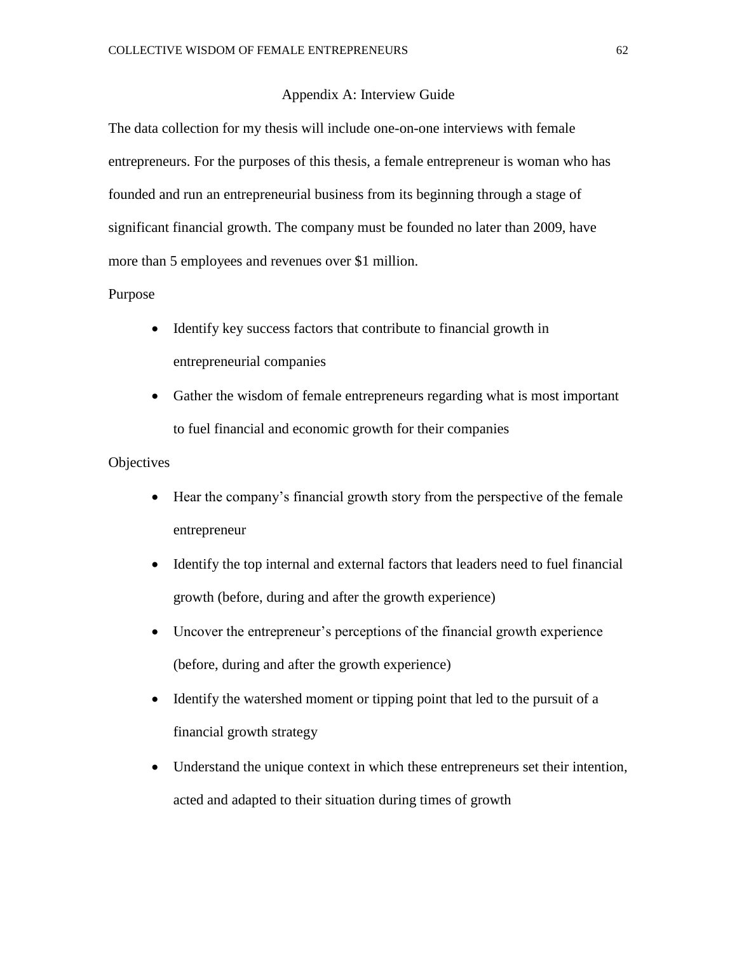#### Appendix A: Interview Guide

The data collection for my thesis will include one-on-one interviews with female entrepreneurs. For the purposes of this thesis, a female entrepreneur is woman who has founded and run an entrepreneurial business from its beginning through a stage of significant financial growth. The company must be founded no later than 2009, have more than 5 employees and revenues over \$1 million.

#### Purpose

- Identify key success factors that contribute to financial growth in entrepreneurial companies
- Gather the wisdom of female entrepreneurs regarding what is most important to fuel financial and economic growth for their companies

# **Objectives**

- Hear the company's financial growth story from the perspective of the female entrepreneur
- Identify the top internal and external factors that leaders need to fuel financial growth (before, during and after the growth experience)
- Uncover the entrepreneur's perceptions of the financial growth experience (before, during and after the growth experience)
- Identify the watershed moment or tipping point that led to the pursuit of a financial growth strategy
- Understand the unique context in which these entrepreneurs set their intention, acted and adapted to their situation during times of growth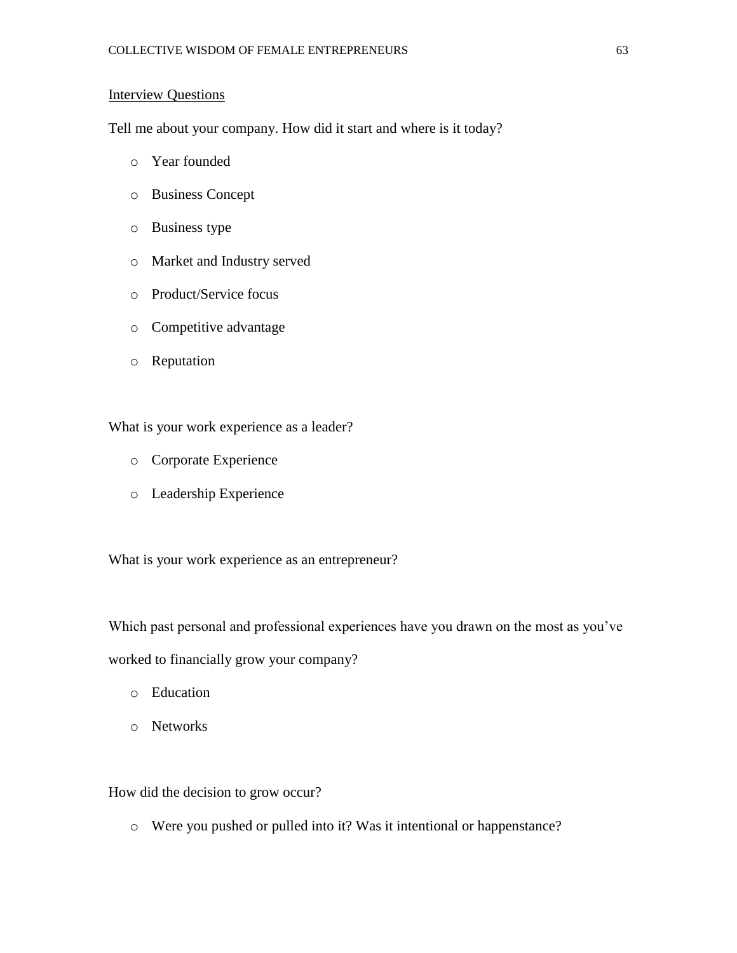# **Interview Questions**

Tell me about your company. How did it start and where is it today?

- o Year founded
- o Business Concept
- o Business type
- o Market and Industry served
- o Product/Service focus
- o Competitive advantage
- o Reputation

What is your work experience as a leader?

- o Corporate Experience
- o Leadership Experience

What is your work experience as an entrepreneur?

Which past personal and professional experiences have you drawn on the most as you've

worked to financially grow your company?

- o Education
- o Networks

How did the decision to grow occur?

o Were you pushed or pulled into it? Was it intentional or happenstance?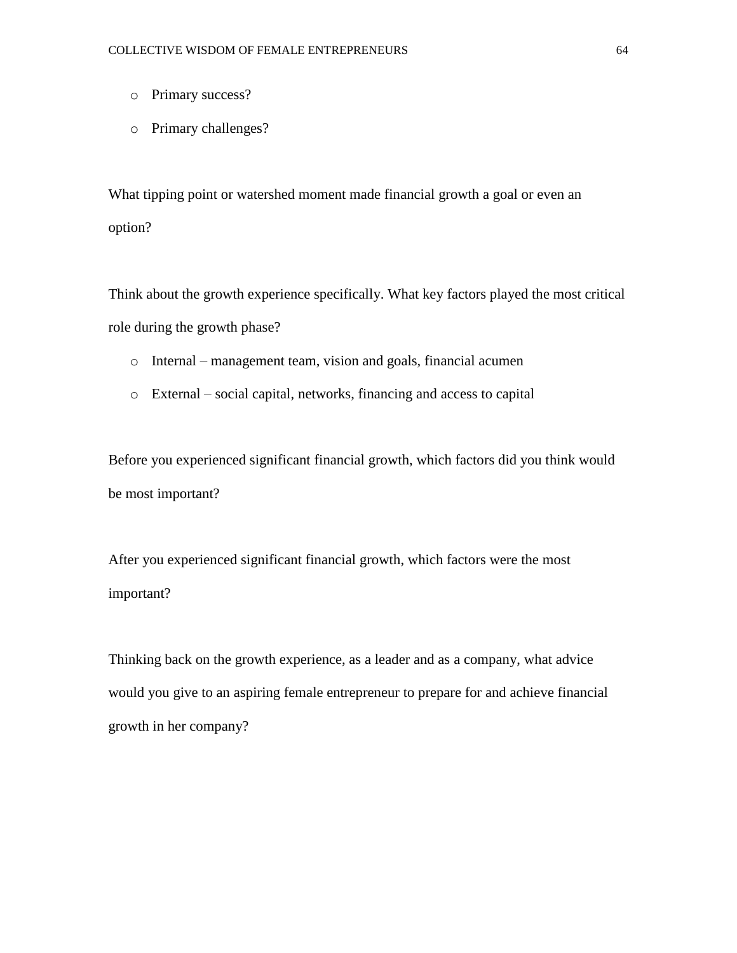- o Primary success?
- o Primary challenges?

What tipping point or watershed moment made financial growth a goal or even an option?

Think about the growth experience specifically. What key factors played the most critical role during the growth phase?

- o Internal management team, vision and goals, financial acumen
- o External social capital, networks, financing and access to capital

Before you experienced significant financial growth, which factors did you think would be most important?

After you experienced significant financial growth, which factors were the most important?

Thinking back on the growth experience, as a leader and as a company, what advice would you give to an aspiring female entrepreneur to prepare for and achieve financial growth in her company?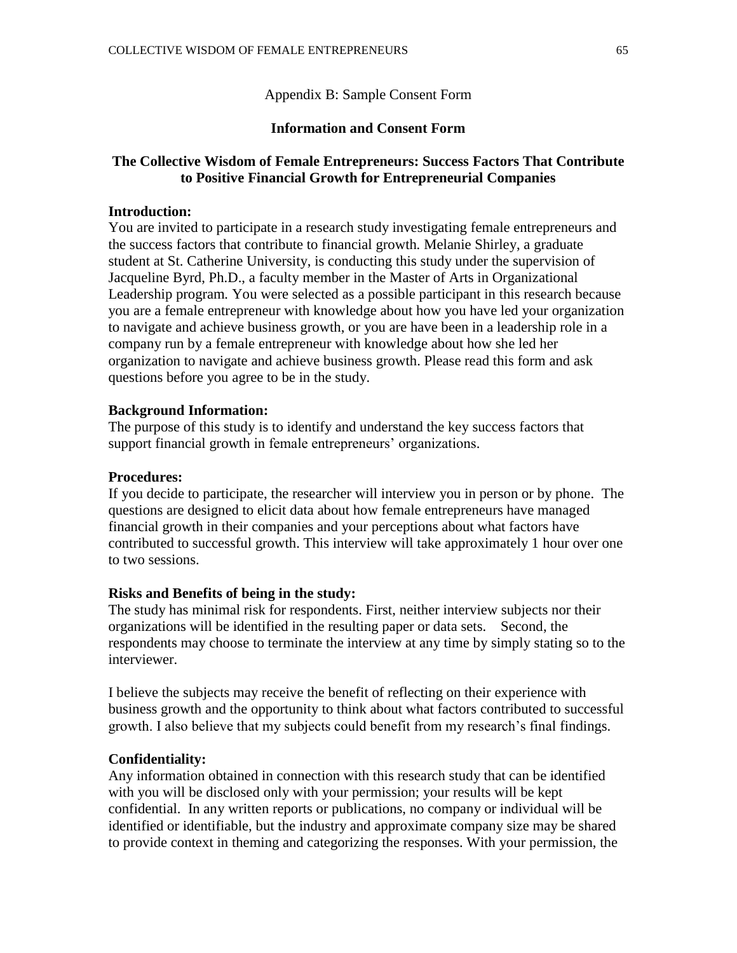Appendix B: Sample Consent Form

# **Information and Consent Form**

# **The Collective Wisdom of Female Entrepreneurs: Success Factors That Contribute to Positive Financial Growth for Entrepreneurial Companies**

#### **Introduction:**

You are invited to participate in a research study investigating female entrepreneurs and the success factors that contribute to financial growth*.* Melanie Shirley, a graduate student at St. Catherine University, is conducting this study under the supervision of Jacqueline Byrd, Ph.D., a faculty member in the Master of Arts in Organizational Leadership program*.* You were selected as a possible participant in this research because you are a female entrepreneur with knowledge about how you have led your organization to navigate and achieve business growth, or you are have been in a leadership role in a company run by a female entrepreneur with knowledge about how she led her organization to navigate and achieve business growth. Please read this form and ask questions before you agree to be in the study.

#### **Background Information:**

The purpose of this study is to identify and understand the key success factors that support financial growth in female entrepreneurs' organizations.

# **Procedures:**

If you decide to participate, the researcher will interview you in person or by phone. The questions are designed to elicit data about how female entrepreneurs have managed financial growth in their companies and your perceptions about what factors have contributed to successful growth. This interview will take approximately 1 hour over one to two sessions.

#### **Risks and Benefits of being in the study:**

The study has minimal risk for respondents. First, neither interview subjects nor their organizations will be identified in the resulting paper or data sets. Second, the respondents may choose to terminate the interview at any time by simply stating so to the interviewer.

I believe the subjects may receive the benefit of reflecting on their experience with business growth and the opportunity to think about what factors contributed to successful growth. I also believe that my subjects could benefit from my research's final findings.

#### **Confidentiality:**

Any information obtained in connection with this research study that can be identified with you will be disclosed only with your permission; your results will be kept confidential. In any written reports or publications, no company or individual will be identified or identifiable, but the industry and approximate company size may be shared to provide context in theming and categorizing the responses. With your permission, the